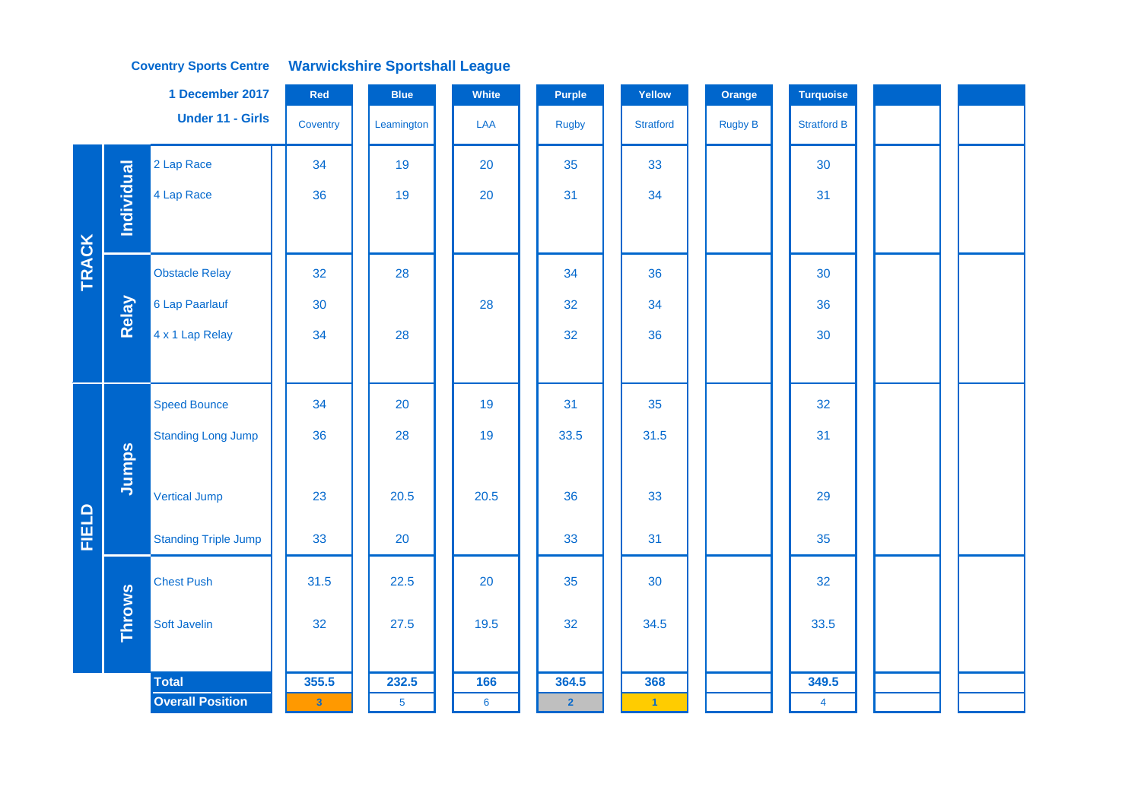### **Coventry Sports Centre Warwickshire Sportshall League**

|              |                   | 1 December 2017             | Red                     | <b>Blue</b>    | White | Purple         | Yellow           | Orange         | <b>Turquoise</b>   |  |  |
|--------------|-------------------|-----------------------------|-------------------------|----------------|-------|----------------|------------------|----------------|--------------------|--|--|
|              |                   | <b>Under 11 - Girls</b>     | Coventry                | Leamington     | LAA   | <b>Rugby</b>   | <b>Stratford</b> | <b>Rugby B</b> | <b>Stratford B</b> |  |  |
|              |                   | 2 Lap Race                  | 34                      | 19             | 20    | 35             | 33               |                | 30                 |  |  |
|              | <b>Individual</b> | 4 Lap Race                  | 36                      | 19             | 20    | 31             | 34               |                | 31                 |  |  |
|              |                   |                             |                         |                |       |                |                  |                |                    |  |  |
| <b>TRACK</b> |                   | <b>Obstacle Relay</b>       | 32                      | 28             |       | 34             | 36               |                | 30                 |  |  |
|              | Relay             | 6 Lap Paarlauf              | 30                      |                | 28    | 32             | 34               |                | 36                 |  |  |
|              |                   | 4 x 1 Lap Relay             | 34                      | 28             |       | 32             | 36               |                | 30                 |  |  |
|              |                   |                             |                         |                |       |                |                  |                |                    |  |  |
|              |                   | <b>Speed Bounce</b>         | 34                      | 20             | 19    | 31             | 35               |                | 32                 |  |  |
|              |                   | <b>Standing Long Jump</b>   | 36                      | 28             | 19    | 33.5           | 31.5             |                | 31                 |  |  |
|              | Jumps             |                             |                         |                |       |                |                  |                |                    |  |  |
|              |                   | <b>Vertical Jump</b>        | 23                      | 20.5           | 20.5  | 36             | 33               |                | 29                 |  |  |
| FIELD        |                   | <b>Standing Triple Jump</b> | 33                      | 20             |       | 33             | 31               |                | 35                 |  |  |
|              |                   | <b>Chest Push</b>           | 31.5                    | 22.5           | 20    | 35             | 30               |                | 32                 |  |  |
|              | <b>Throws</b>     | Soft Javelin                | 32                      | 27.5           | 19.5  | 32             | 34.5             |                | 33.5               |  |  |
|              |                   |                             |                         |                |       |                |                  |                |                    |  |  |
|              |                   | <b>Total</b>                | 355.5                   | 232.5          | 166   | 364.5          | 368              |                | 349.5              |  |  |
|              |                   | <b>Overall Position</b>     | $\overline{\mathbf{3}}$ | $\overline{5}$ | 6     | $\overline{2}$ | $\vert 1 \vert$  |                | $\overline{4}$     |  |  |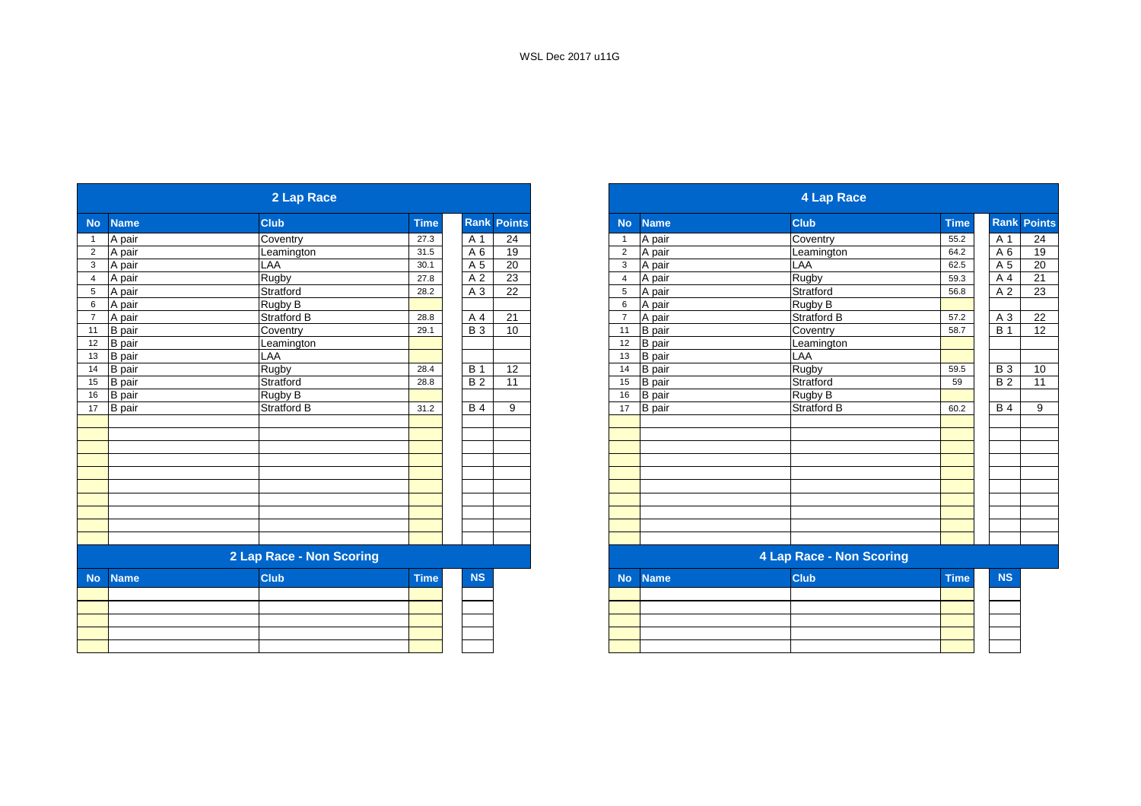|                |               | 2 Lap Race               |             |                |                    |                |               | <b>4 Lap Race</b>               |             |
|----------------|---------------|--------------------------|-------------|----------------|--------------------|----------------|---------------|---------------------------------|-------------|
| <b>No</b>      | <b>Name</b>   | <b>Club</b>              | <b>Time</b> |                | <b>Rank Points</b> | <b>No</b>      | <b>Name</b>   | <b>Club</b>                     | <b>Time</b> |
| $\mathbf{1}$   | A pair        | Coventry                 | 27.3        | A 1            | 24                 | -1             | A pair        | Coventry                        | 55.2        |
| $\overline{2}$ | A pair        | Leamington               | 31.5        | A <sub>6</sub> | 19                 | $\overline{2}$ | A pair        | Leamington                      | 64.2        |
| $\mathbf{3}$   | A pair        | LAA                      | 30.1        | A 5            | 20                 | 3              | A pair        | LAA                             | 62.5        |
| $\overline{4}$ | A pair        | Rugby                    | 27.8        | A 2            | 23                 | $\overline{4}$ | A pair        | <b>Rugby</b>                    | 59.3        |
| 5              | A pair        | Stratford                | 28.2        | A 3            | 22                 | 5              | A pair        | Stratford                       | 56.8        |
| 6              | A pair        | Rugby B                  |             |                |                    | 6              | A pair        | Rugby B                         |             |
| $7^{\circ}$    | A pair        | <b>Stratford B</b>       | 28.8        | A 4            | 21                 | $\overline{7}$ | A pair        | <b>Stratford B</b>              | 57.2        |
| 11             | <b>B</b> pair | Coventry                 | 29.1        | <b>B</b> 3     | 10                 | 11             | <b>B</b> pair | Coventry                        | 58.7        |
| 12             | <b>B</b> pair | Leamington               |             |                |                    | 12             | <b>B</b> pair | Leamington                      |             |
| 13             | <b>B</b> pair | LAA                      |             |                |                    | 13             | <b>B</b> pair | LAA                             |             |
| 14             | <b>B</b> pair | Rugby                    | 28.4        | <b>B</b> 1     | 12                 | 14             | <b>B</b> pair | Rugby                           | 59.5        |
| 15             | <b>B</b> pair | Stratford                | 28.8        | <b>B2</b>      | 11                 | 15             | <b>B</b> pair | Stratford                       | 59          |
| 16             | <b>B</b> pair | Rugby B                  |             |                |                    | 16             | <b>B</b> pair | Rugby B                         |             |
| 17             | <b>B</b> pair | <b>Stratford B</b>       | 31.2        | <b>B4</b>      | 9                  | 17             | <b>B</b> pair | <b>Stratford B</b>              | 60.2        |
|                |               |                          |             |                |                    |                |               |                                 |             |
|                |               |                          |             |                |                    |                |               |                                 |             |
|                |               |                          |             |                |                    |                |               |                                 |             |
|                |               |                          |             |                |                    |                |               |                                 |             |
|                |               |                          |             |                |                    |                |               |                                 |             |
|                |               |                          |             |                |                    |                |               |                                 |             |
|                |               |                          |             |                |                    |                |               |                                 |             |
|                |               |                          |             |                |                    |                |               |                                 |             |
|                |               |                          |             |                |                    |                |               |                                 |             |
|                |               |                          |             |                |                    |                |               |                                 |             |
|                |               | 2 Lap Race - Non Scoring |             |                |                    |                |               | <b>4 Lap Race - Non Scoring</b> |             |
| <b>No</b>      | <b>Name</b>   | <b>Club</b>              | <b>Time</b> | <b>NS</b>      |                    | <b>No</b>      | <b>Name</b>   | <b>Club</b>                     | <b>Time</b> |
|                |               |                          |             |                |                    |                |               |                                 |             |
|                |               |                          |             |                |                    |                |               |                                 |             |
|                |               |                          |             |                |                    |                |               |                                 |             |
|                |               |                          |             |                |                    |                |               |                                 |             |
|                |               |                          |             |                |                    |                |               |                                 |             |
|                |               |                          |             |                |                    |                |               |                                 |             |

|                 |               | 2 Lap Race               |             |            |                    |                |               | <b>4 Lap Race</b>        |             |                    |  |
|-----------------|---------------|--------------------------|-------------|------------|--------------------|----------------|---------------|--------------------------|-------------|--------------------|--|
| No              | <b>Name</b>   | <b>Club</b>              | <b>Time</b> |            | <b>Rank Points</b> | <b>No</b>      | <b>Name</b>   | <b>Club</b>              | <b>Time</b> | <b>Rank Points</b> |  |
|                 | A pair        | Coventry                 | 27.3        | A 1        | 24                 | $\overline{1}$ | A pair        | Coventry                 | 55.2        | A 1                |  |
| $\overline{2}$  | A pair        | Leamington               | 31.5        | A 6        | 19                 | $\overline{2}$ | A pair        | Leamington               | 64.2        | A 6                |  |
| $\mathbf{3}$    | A pair        | LAA                      | 30.1        | A 5        | 20                 | 3              | A pair        | LAA                      | 62.5        | A 5                |  |
| $\overline{4}$  | A pair        | Rugby                    | 27.8        | A 2        | 23                 | 4              | A pair        | <b>Rugby</b>             | 59.3        | A 4                |  |
| $\sqrt{5}$      | A pair        | Stratford                | 28.2        | A 3        | 22                 | 5              | A pair        | Stratford                | 56.8        | A 2                |  |
| $6\phantom{1}6$ | A pair        | Rugby B                  |             |            |                    | 6              | A pair        | Rugby B                  |             |                    |  |
| $\overline{7}$  | A pair        | Stratford B              | 28.8        | A 4        | 21                 | $\overline{7}$ | A pair        | Stratford B              | 57.2        | A 3                |  |
| 11              | <b>B</b> pair | Coventry                 | 29.1        | <b>B</b> 3 | 10                 | 11             | <b>B</b> pair | Coventry                 | 58.7        | <b>B</b> 1         |  |
| 12              | <b>B</b> pair | Leamington               |             |            |                    | 12             | <b>B</b> pair | Leamington               |             |                    |  |
| $13\,$          | <b>B</b> pair | LAA                      |             |            |                    | 13             | <b>B</b> pair | LAA                      |             |                    |  |
| 14              | <b>B</b> pair | Rugby                    | 28.4        | <b>B</b> 1 | 12                 | 14             | <b>B</b> pair | Rugby                    | 59.5        | <b>B3</b>          |  |
| 15              | B pair        | Stratford                | 28.8        | <b>B2</b>  | 11                 | 15             | <b>B</b> pair | Stratford                | 59          | B <sub>2</sub>     |  |
| 16              | <b>B</b> pair | Rugby B                  |             |            |                    | 16             | B pair        | Rugby B                  |             |                    |  |
| 17              | <b>B</b> pair | Stratford B              | 31.2        | <b>B4</b>  | 9                  | 17             | <b>B</b> pair | Stratford B              | 60.2        | <b>B4</b>          |  |
|                 |               |                          |             |            |                    |                |               |                          |             |                    |  |
|                 |               |                          |             |            |                    |                |               |                          |             |                    |  |
|                 |               |                          |             |            |                    |                |               |                          |             |                    |  |
|                 |               |                          |             |            |                    |                |               |                          |             |                    |  |
|                 |               |                          |             |            |                    |                |               |                          |             |                    |  |
|                 |               |                          |             |            |                    |                |               |                          |             |                    |  |
|                 |               |                          |             |            |                    |                |               |                          |             |                    |  |
|                 |               |                          |             |            |                    |                |               |                          |             |                    |  |
|                 |               |                          |             |            |                    |                |               |                          |             |                    |  |
|                 |               |                          |             |            |                    |                |               |                          |             |                    |  |
|                 |               | 2 Lap Race - Non Scoring |             |            |                    |                |               | 4 Lap Race - Non Scoring |             |                    |  |
|                 | No Name       | <b>Club</b>              | <b>Time</b> | <b>NS</b>  |                    | <b>No</b>      | <b>Name</b>   | <b>Club</b>              | <b>Time</b> | <b>NS</b>          |  |

|  | $119$ $119$ |  | . |
|--|-------------|--|---|
|  |             |  |   |
|  |             |  |   |
|  |             |  |   |
|  |             |  |   |
|  |             |  |   |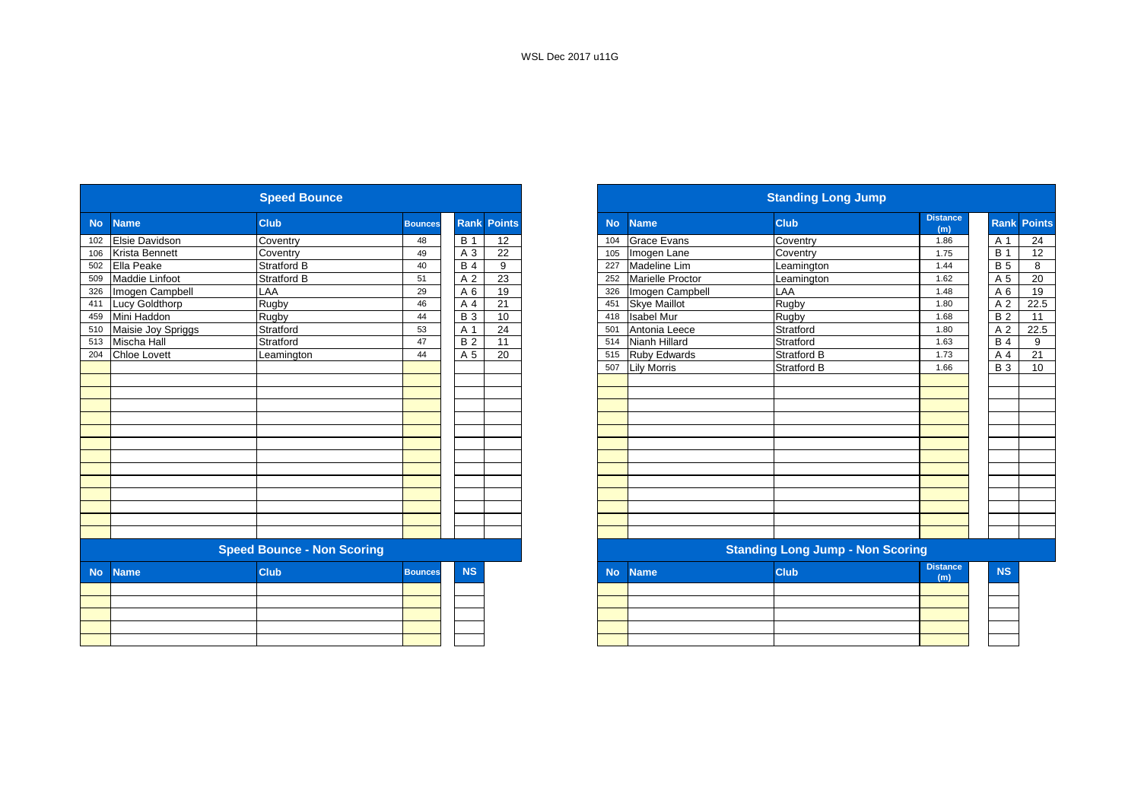|           |                       | <b>Speed Bounce</b>               |                |            |                    |           |                     | <b>Standing Long Jump</b>               |                        |
|-----------|-----------------------|-----------------------------------|----------------|------------|--------------------|-----------|---------------------|-----------------------------------------|------------------------|
| <b>No</b> | <b>Name</b>           | <b>Club</b>                       | <b>Bounces</b> |            | <b>Rank Points</b> | <b>No</b> | <b>Name</b>         | <b>Club</b>                             | <b>Distance</b><br>(m) |
| 102       | <b>Elsie Davidson</b> | Coventry                          | 48             | <b>B</b> 1 | 12                 | 104       | <b>Grace Evans</b>  | Coventry                                | 1.86                   |
| 106       | <b>Krista Bennett</b> | Coventry                          | 49             | A 3        | 22                 | 105       | Imogen Lane         | Coventry                                | 1.75                   |
| 502       | Ella Peake            | <b>Stratford B</b>                | 40             | <b>B4</b>  | 9                  | 227       | Madeline Lim        | Leamington                              | 1.44                   |
| 509       | Maddie Linfoot        | <b>Stratford B</b>                | 51             | A 2        | 23                 | 252       | Marielle Proctor    | Leamington                              | 1.62                   |
| 326       | Imogen Campbell       | LAA                               | 29             | A6         | 19                 | 326       | Imogen Campbell     | LAA                                     | 1.48                   |
|           | 411 Lucy Goldthorp    | <b>Rugby</b>                      | 46             | A 4        | 21                 | 451       | <b>Skye Maillot</b> | Rugby                                   | 1.80                   |
| 459       | Mini Haddon           | <b>Rugby</b>                      | 44             | <b>B</b> 3 | 10                 | 418       | <b>Isabel Mur</b>   | Rugby                                   | 1.68                   |
| 510       | Maisie Joy Spriggs    | Stratford                         | 53             | A 1        | 24                 | 501       | Antonia Leece       | Stratford                               | 1.80                   |
| 513       | Mischa Hall           | Stratford                         | 47             | <b>B2</b>  | 11                 | 514       | Nianh Hillard       | Stratford                               | 1.63                   |
| 204       | <b>Chloe Lovett</b>   | Leamington                        | 44             | A 5        | 20                 | 515       | <b>Ruby Edwards</b> | <b>Stratford B</b>                      | 1.73                   |
|           |                       |                                   |                |            |                    | 507       | <b>Lily Morris</b>  | <b>Stratford B</b>                      | 1.66                   |
|           |                       |                                   |                |            |                    |           |                     |                                         |                        |
|           |                       |                                   |                |            |                    |           |                     |                                         |                        |
|           |                       |                                   |                |            |                    |           |                     |                                         |                        |
|           |                       |                                   |                |            |                    |           |                     |                                         |                        |
|           |                       |                                   |                |            |                    |           |                     |                                         |                        |
|           |                       |                                   |                |            |                    |           |                     |                                         |                        |
|           |                       |                                   |                |            |                    |           |                     |                                         |                        |
|           |                       |                                   |                |            |                    |           |                     |                                         |                        |
|           |                       |                                   |                |            |                    |           |                     |                                         |                        |
|           |                       |                                   |                |            |                    |           |                     |                                         |                        |
|           |                       |                                   |                |            |                    |           |                     |                                         |                        |
|           |                       |                                   |                |            |                    |           |                     |                                         |                        |
|           |                       |                                   |                |            |                    |           |                     |                                         |                        |
|           |                       | <b>Speed Bounce - Non Scoring</b> |                |            |                    |           |                     | <b>Standing Long Jump - Non Scoring</b> |                        |
| <b>No</b> | <b>Name</b>           | <b>Club</b>                       | <b>Bounces</b> | <b>NS</b>  |                    | <b>No</b> | <b>Name</b>         | <b>Club</b>                             | <b>Distance</b><br>(m) |
|           |                       |                                   |                |            |                    |           |                     |                                         |                        |
|           |                       |                                   |                |            |                    |           |                     |                                         |                        |
|           |                       |                                   |                |            |                    |           |                     |                                         |                        |
|           |                       |                                   |                |            |                    |           |                     |                                         |                        |
|           |                       |                                   |                |            |                    |           |                     |                                         |                        |

|           |                       | <b>Speed Bounce</b>               |                |            |                    |
|-----------|-----------------------|-----------------------------------|----------------|------------|--------------------|
| <b>No</b> | <b>Name</b>           | <b>Club</b>                       | <b>Bounces</b> |            | <b>Rank Points</b> |
|           | <b>Elsie Davidson</b> | Coventry                          | 48             | <b>B</b> 1 | 12                 |
|           | Krista Bennett        | Coventry                          | 49             | A 3        | $\overline{22}$    |
|           | Ella Peake            | <b>Stratford B</b>                | 40             | <b>B</b> 4 | 9                  |
|           | Maddie Linfoot        | Stratford B                       | 51             | A 2        | 23                 |
|           | Imogen Campbell       | LAA                               | 29             | A 6        | 19                 |
|           | <b>Lucy Goldthorp</b> | Rugby                             | 46             | A 4        | 21                 |
|           | Mini Haddon           | Rugby                             | 44             | <b>B</b> 3 | 10                 |
| 510       | Maisie Joy Spriggs    | Stratford                         | 53             | A 1        | 24                 |
| 513       | Mischa Hall           | Stratford                         | 47             | <b>B2</b>  | 11                 |
| 204       | <b>Chloe Lovett</b>   | Leamington                        | 44             | A 5        | 20                 |
|           |                       |                                   |                |            |                    |
|           |                       |                                   |                |            |                    |
|           |                       |                                   |                |            |                    |
|           |                       |                                   |                |            |                    |
|           |                       |                                   |                |            |                    |
|           |                       |                                   |                |            |                    |
|           |                       |                                   |                |            |                    |
|           |                       |                                   |                |            |                    |
|           |                       |                                   |                |            |                    |
|           |                       |                                   |                |            |                    |
|           |                       |                                   |                |            |                    |
|           |                       |                                   |                |            |                    |
|           |                       |                                   |                |            |                    |
|           |                       |                                   |                |            |                    |
|           |                       | <b>Speed Bounce - Non Scoring</b> |                |            |                    |
| <b>No</b> | <b>Name</b>           | <b>Club</b>                       | <b>Bounces</b> | <b>NS</b>  |                    |
|           |                       |                                   |                |            |                    |
|           |                       |                                   |                |            |                    |
|           |                       |                                   |                |            |                    |
|           |                       |                                   |                |            |                    |
|           |                       |                                   |                |            |                    |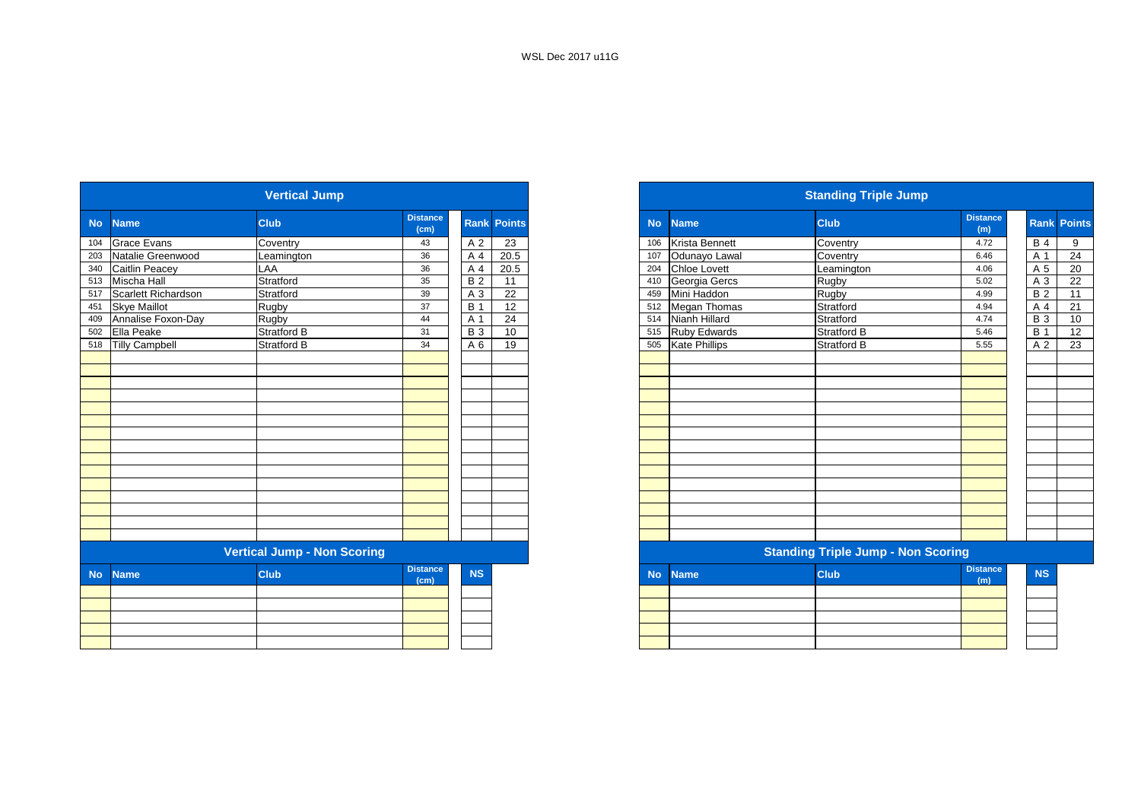|           |                       | <b>Vertical Jump</b>               |                         |                |                    |
|-----------|-----------------------|------------------------------------|-------------------------|----------------|--------------------|
| <b>No</b> | <b>Name</b>           | <b>Club</b>                        | <b>Distance</b><br>(cm) |                | <b>Rank Points</b> |
| 104       | <b>Grace Evans</b>    | Coventry                           | 43                      | A 2            | 23                 |
| 203       | Natalie Greenwood     | Leamington                         | 36                      | A 4            | 20.5               |
| 340       | Caitlin Peacey        | LAA                                | 36                      | A 4            | 20.5               |
| 513       | Mischa Hall           | Stratford                          | 35                      | <b>B2</b>      | 11                 |
| 517       | Scarlett Richardson   | Stratford                          | 39                      | A <sub>3</sub> | 22                 |
| 451       | <b>Skye Maillot</b>   | Rugby                              | 37                      | <b>B</b> 1     | 12                 |
| 409       | Annalise Foxon-Day    | Rugby                              | 44                      | A 1            | 24                 |
| 502       | Ella Peake            | <b>Stratford B</b>                 | 31                      | <b>B</b> 3     | 10                 |
| 518       | <b>Tilly Campbell</b> | <b>Stratford B</b>                 | 34                      | A 6            | 19                 |
|           |                       |                                    |                         |                |                    |
|           |                       |                                    |                         |                |                    |
|           |                       |                                    |                         |                |                    |
|           |                       |                                    |                         |                |                    |
|           |                       |                                    |                         |                |                    |
|           |                       |                                    |                         |                |                    |
|           |                       |                                    |                         |                |                    |
|           |                       |                                    |                         |                |                    |
|           |                       |                                    |                         |                |                    |
|           |                       |                                    |                         |                |                    |
|           |                       |                                    |                         |                |                    |
|           |                       |                                    |                         |                |                    |
|           |                       |                                    |                         |                |                    |
|           |                       |                                    |                         |                |                    |
|           |                       |                                    |                         |                |                    |
|           |                       | <b>Vertical Jump - Non Scoring</b> |                         |                |                    |
| <b>No</b> | <b>Name</b>           | <b>Club</b>                        | <b>Distance</b><br>(cm) | <b>NS</b>      |                    |
|           |                       |                                    |                         |                |                    |
|           |                       |                                    |                         |                |                    |
|           |                       |                                    |                         |                |                    |
|           |                       |                                    |                         |                |                    |
|           |                       |                                    |                         |                |                    |
|           |                       |                                    |                         |                |                    |

|           |                         | <b>Vertical Jump</b>               |                         |            |                    |
|-----------|-------------------------|------------------------------------|-------------------------|------------|--------------------|
| <b>No</b> | <b>Name</b>             | <b>Club</b>                        | <b>Distance</b><br>(cm) |            | <b>Rank Points</b> |
|           | Grace Evans             | Coventry                           | 43                      | A 2        | 23                 |
|           | Natalie Greenwood       | Leamington                         | 36                      | A 4        | 20.5               |
|           | 340 Caitlin Peacey      | LAA                                | 36                      | A 4        | 20.5               |
|           | 513 Mischa Hall         | Stratford                          | 35                      | <b>B2</b>  | 11                 |
|           | 517 Scarlett Richardson | Stratford                          | 39                      | A 3        | 22                 |
| 451       | <b>Skye Maillot</b>     | Rugby                              | 37                      | <b>B</b> 1 | 12                 |
| 409       | Annalise Foxon-Day      | Rugby                              | 44                      | A 1        | 24                 |
|           | 502 Ella Peake          | Stratford B                        | 31                      | <b>B</b> 3 | 10                 |
|           | 518 Tilly Campbell      | <b>Stratford B</b>                 | 34                      | A 6        | 19                 |
|           |                         |                                    |                         |            |                    |
|           |                         |                                    |                         |            |                    |
|           |                         |                                    |                         |            |                    |
|           |                         |                                    |                         |            |                    |
|           |                         |                                    |                         |            |                    |
|           |                         |                                    |                         |            |                    |
|           |                         |                                    |                         |            |                    |
|           |                         |                                    |                         |            |                    |
|           |                         |                                    |                         |            |                    |
|           |                         |                                    |                         |            |                    |
|           |                         |                                    |                         |            |                    |
|           |                         |                                    |                         |            |                    |
|           |                         |                                    |                         |            |                    |
|           |                         |                                    |                         |            |                    |
|           |                         |                                    |                         |            |                    |
|           |                         | <b>Vertical Jump - Non Scoring</b> |                         |            |                    |
| <b>No</b> | <b>Name</b>             | <b>Club</b>                        | <b>Distance</b><br>(cm) | <b>NS</b>  |                    |
|           |                         |                                    |                         |            |                    |
|           |                         |                                    |                         |            |                    |
|           |                         |                                    |                         |            |                    |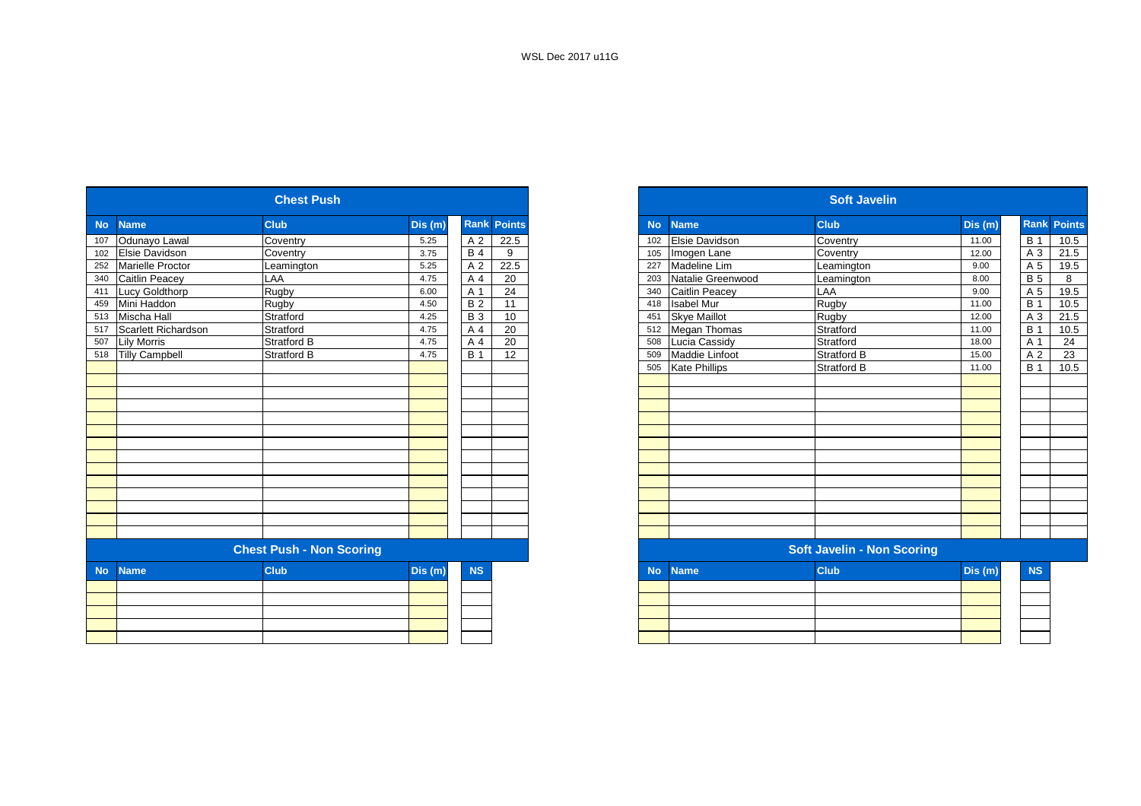|                       | <b>Chest Push</b>               |         |                    |                 |           |                       | <b>Soft Javelin</b>               |         |
|-----------------------|---------------------------------|---------|--------------------|-----------------|-----------|-----------------------|-----------------------------------|---------|
| <b>Name</b>           | <b>Club</b>                     | Dis (m) | <b>Rank Points</b> |                 | <b>No</b> | <b>Name</b>           | <b>Club</b>                       | Dis (m) |
| Odunayo Lawal         | Coventry                        | 5.25    | A 2                | 22.5            | 102       | Elsie Davidson        | Coventry                          | 11.00   |
| Elsie Davidson        | Coventry                        | 3.75    | $\overline{B4}$    | 9               | 105       | Imogen Lane           | Coventry                          | 12.00   |
| Marielle Proctor      | Leamington                      | 5.25    | A 2                | 22.5            | 227       | Madeline Lim          | Leamington                        | 9.00    |
| Caitlin Peacey        | LAA                             | 4.75    | A 4                | 20              | 203       | Natalie Greenwood     | Leamington                        | 8.00    |
| <b>Lucy Goldthorp</b> | Rugby                           | 6.00    | A 1                | $\overline{24}$ | 340       | <b>Caitlin Peacey</b> | <b>LAA</b>                        | 9.00    |
| Mini Haddon           | Rugby                           | 4.50    | B <sub>2</sub>     | 11              | 418       | <b>Isabel Mur</b>     | Rugby                             | 11.00   |
| Mischa Hall           | Stratford                       | 4.25    | <b>B</b> 3         | 10              | 451       | <b>Skye Maillot</b>   | Rugby                             | 12.00   |
| Scarlett Richardson   | Stratford                       | 4.75    | A 4                | 20              | 512       | Megan Thomas          | Stratford                         | 11.00   |
| <b>Lily Morris</b>    | Stratford B                     | 4.75    | A 4                | 20              | 508       | Lucia Cassidy         | Stratford                         | 18.00   |
| <b>Tilly Campbell</b> | <b>Stratford B</b>              | 4.75    | <b>B</b> 1         | 12              | 509       | Maddie Linfoot        | Stratford B                       | 15.00   |
|                       |                                 |         |                    |                 | 505       | <b>Kate Phillips</b>  | <b>Stratford B</b>                | 11.00   |
|                       |                                 |         |                    |                 |           |                       |                                   |         |
|                       |                                 |         |                    |                 |           |                       |                                   |         |
|                       |                                 |         |                    |                 |           |                       |                                   |         |
|                       |                                 |         |                    |                 |           |                       |                                   |         |
|                       |                                 |         |                    |                 |           |                       |                                   |         |
|                       |                                 |         |                    |                 |           |                       |                                   |         |
|                       |                                 |         |                    |                 |           |                       |                                   |         |
|                       |                                 |         |                    |                 |           |                       |                                   |         |
|                       |                                 |         |                    |                 |           |                       |                                   |         |
|                       |                                 |         |                    |                 |           |                       |                                   |         |
|                       |                                 |         |                    |                 |           |                       |                                   |         |
|                       |                                 |         |                    |                 |           |                       |                                   |         |
|                       |                                 |         |                    |                 |           |                       |                                   |         |
|                       | <b>Chest Push - Non Scoring</b> |         |                    |                 |           |                       | <b>Soft Javelin - Non Scoring</b> |         |
| <b>Name</b>           | <b>Club</b>                     | Dis (m) | <b>NS</b>          |                 | <b>No</b> | <b>Name</b>           | <b>Club</b>                       | Dis(m)  |
|                       |                                 |         |                    |                 |           |                       |                                   |         |
|                       |                                 |         |                    |                 |           |                       |                                   |         |
|                       |                                 |         |                    |                 |           |                       |                                   |         |
|                       |                                 |         |                    |                 |           |                       |                                   |         |
|                       |                                 |         |                    |                 |           |                       |                                   |         |

|                     | <b>Chest Push</b>               |         |                              |           |                       | <b>Soft Javelin</b>               |         |             |
|---------------------|---------------------------------|---------|------------------------------|-----------|-----------------------|-----------------------------------|---------|-------------|
|                     | <b>Club</b>                     | Dis(m)  | <b>Points</b><br><b>Rank</b> | <b>No</b> | <b>Name</b>           | <b>Club</b>                       | Dis (m) | <b>Rank</b> |
|                     | Coventry                        | 5.25    | A 2<br>22.5                  | 102       | <b>Elsie Davidson</b> | Coventry                          | 11.00   |             |
|                     | Coventry                        | 3.75    | <b>B</b> 4<br>9              | 105       | Imogen Lane           | Coventry                          | 12.00   |             |
|                     | Leamington                      | 5.25    | A 2<br>22.5                  | 227       | <b>Madeline Lim</b>   | Leamington                        | 9.00    |             |
|                     | LAA                             | 4.75    | A 4<br>20                    | 203       | Natalie Greenwood     | Leamington                        | 8.00    |             |
| Lucy Goldthorp      | Rugby                           | 6.00    | 24<br>A 1                    | 340       | Caitlin Peacey        | LAA                               | 9.00    |             |
|                     | Rugby                           | 4.50    | $\overline{B}$<br>11         | 418       | <b>Isabel Mur</b>     | <b>Rugby</b>                      | 11.00   |             |
|                     | Stratford                       | 4.25    | <b>B</b> 3<br>10             | 451       | <b>Skve Maillot</b>   | Rugby                             | 12.00   |             |
| Scarlett Richardson | Stratford                       | 4.75    | 20<br>A 4                    |           | 512 Megan Thomas      | Stratford                         | 11.00   |             |
|                     | Stratford B                     | 4.75    | A 4<br>20                    | 508       | Lucia Cassidy         | Stratford                         | 18.00   |             |
| 518 Tilly Campbell  | Stratford B                     | 4.75    | $\overline{B}$ 1<br>12       | 509       | Maddie Linfoot        | <b>Stratford B</b>                | 15.00   |             |
|                     |                                 |         |                              | 505       | <b>Kate Phillips</b>  | <b>Stratford B</b>                | 11.00   |             |
|                     |                                 |         |                              |           |                       |                                   |         |             |
|                     |                                 |         |                              |           |                       |                                   |         |             |
|                     |                                 |         |                              |           |                       |                                   |         |             |
|                     |                                 |         |                              |           |                       |                                   |         |             |
|                     |                                 |         |                              |           |                       |                                   |         |             |
|                     |                                 |         |                              |           |                       |                                   |         |             |
|                     |                                 |         |                              |           |                       |                                   |         |             |
|                     |                                 |         |                              |           |                       |                                   |         |             |
|                     |                                 |         |                              |           |                       |                                   |         |             |
|                     |                                 |         |                              |           |                       |                                   |         |             |
|                     |                                 |         |                              |           |                       |                                   |         |             |
|                     |                                 |         |                              |           |                       |                                   |         |             |
|                     |                                 |         |                              |           |                       |                                   |         |             |
|                     | <b>Chest Push - Non Scoring</b> |         |                              |           |                       | <b>Soft Javelin - Non Scoring</b> |         |             |
|                     | <b>Club</b>                     | Dis (m) | <b>NS</b>                    | <b>No</b> | <b>Name</b>           | <b>Club</b>                       | Dis(m)  |             |
|                     |                                 |         |                              |           |                       |                                   |         |             |
|                     |                                 |         |                              |           |                       |                                   |         |             |
|                     |                                 |         |                              |           |                       |                                   |         |             |
|                     |                                 |         |                              |           |                       |                                   |         |             |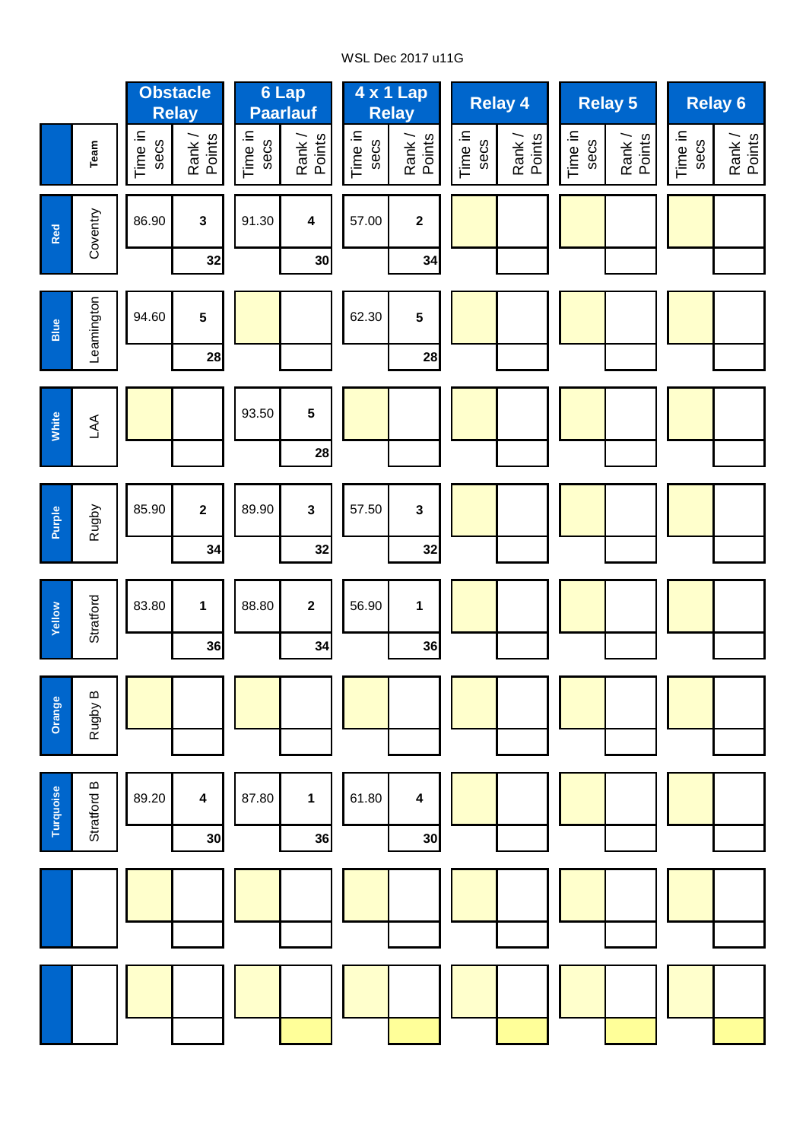# WSL Dec 2017 u11G

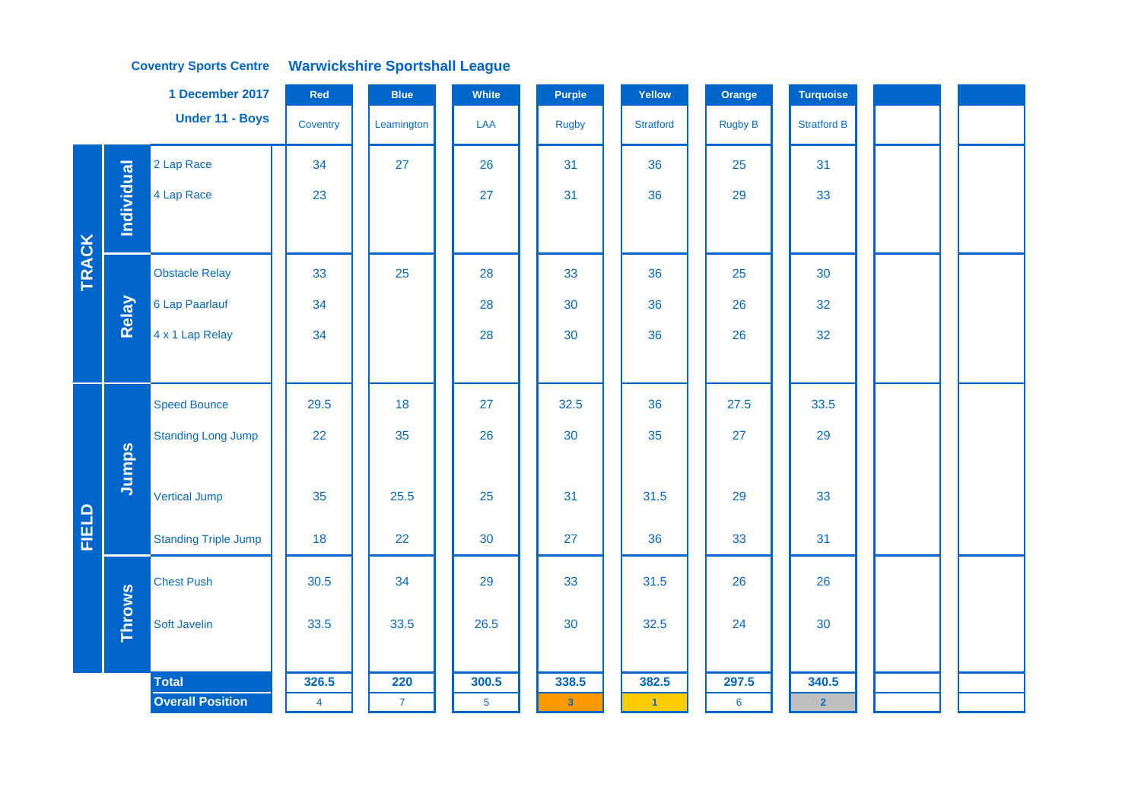### **Coventry Sports Centre Warwickshire Sportshall League**

|              |                   | 1 December 2017             | Red            | <b>Blue</b>    | White          | <b>Purple</b> | Yellow           | Orange          | <b>Turquoise</b>   |  |  |
|--------------|-------------------|-----------------------------|----------------|----------------|----------------|---------------|------------------|-----------------|--------------------|--|--|
|              |                   | Under 11 - Boys             | Coventry       | Leamington     | LAA            | <b>Rugby</b>  | <b>Stratford</b> | <b>Rugby B</b>  | <b>Stratford B</b> |  |  |
|              |                   | 2 Lap Race                  | 34             | 27             | 26             | 31            | 36               | 25              | 31                 |  |  |
|              | <b>Individual</b> | 4 Lap Race                  | 23             |                | 27             | 31            | 36               | 29              | 33                 |  |  |
|              |                   |                             |                |                |                |               |                  |                 |                    |  |  |
| <b>TRACK</b> |                   | <b>Obstacle Relay</b>       | 33             | 25             | 28             | 33            | 36               | 25              | 30                 |  |  |
|              | Relay             | 6 Lap Paarlauf              | 34             |                | 28             | 30            | 36               | 26              | 32                 |  |  |
|              |                   | 4 x 1 Lap Relay             | 34             |                | 28             | 30            | 36               | 26              | 32                 |  |  |
|              |                   |                             |                |                |                |               |                  |                 |                    |  |  |
|              |                   | <b>Speed Bounce</b>         | 29.5           | 18             | 27             | 32.5          | 36               | 27.5            | 33.5               |  |  |
|              |                   | <b>Standing Long Jump</b>   | 22             | 35             | 26             | 30            | 35               | 27              | 29                 |  |  |
|              | Jumps             |                             |                |                |                |               |                  |                 |                    |  |  |
|              |                   | <b>Vertical Jump</b>        | 35             | 25.5           | 25             | 31            | 31.5             | 29              | 33                 |  |  |
| FIELD        |                   | <b>Standing Triple Jump</b> | 18             | 22             | 30             | 27            | 36               | 33              | 31                 |  |  |
|              |                   | <b>Chest Push</b>           | 30.5           | 34             | 29             | 33            | 31.5             | 26              | 26                 |  |  |
|              | <b>Throws</b>     | Soft Javelin                | 33.5           | 33.5           | 26.5           | 30            | 32.5             | 24              | 30                 |  |  |
|              |                   |                             |                |                |                |               |                  |                 |                    |  |  |
|              |                   | <b>Total</b>                | 326.5          | 220            | 300.5          | 338.5         | 382.5            | 297.5           | 340.5              |  |  |
|              |                   | <b>Overall Position</b>     | $\overline{4}$ | $\overline{7}$ | 5 <sub>5</sub> | $\mathbf{3}$  | $\vert$ 1        | $6\phantom{1}6$ | $\overline{2}$     |  |  |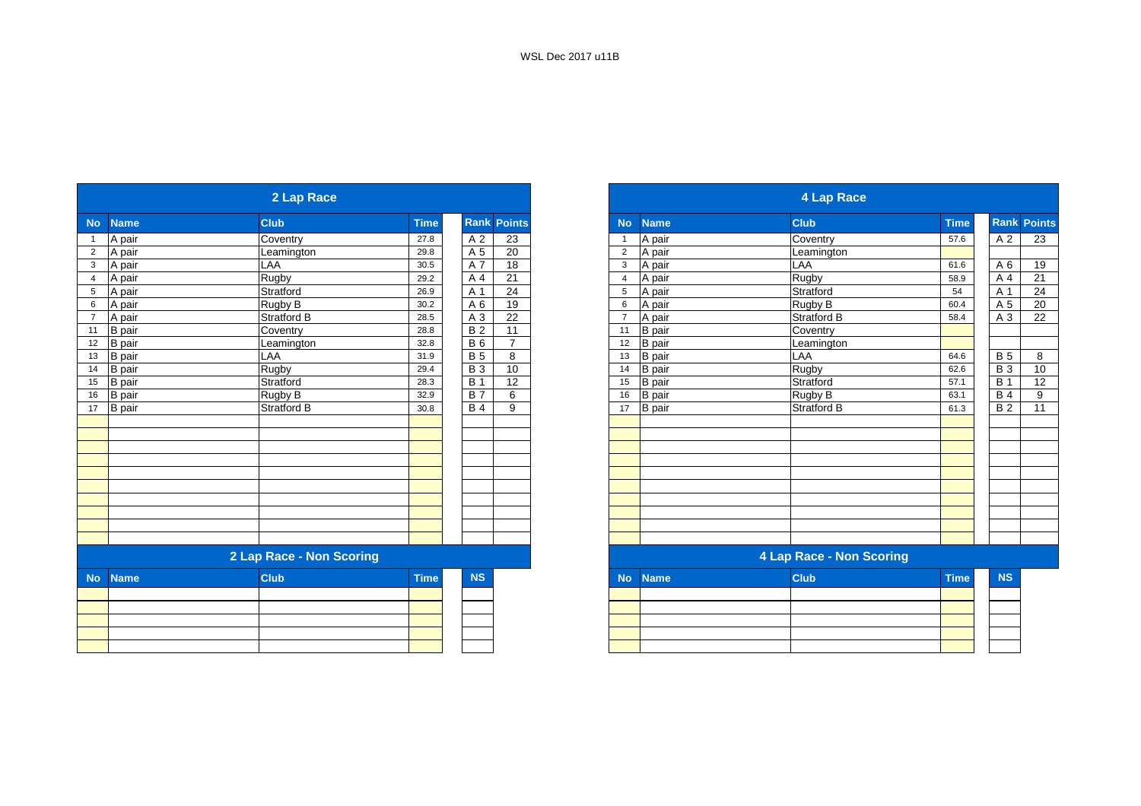| 2 Lap Race                                                                                                                                                                         |                                      |                 |                 |                               |               | <b>4 Lap Race</b>                                         |                                                           |                  |
|------------------------------------------------------------------------------------------------------------------------------------------------------------------------------------|--------------------------------------|-----------------|-----------------|-------------------------------|---------------|-----------------------------------------------------------|-----------------------------------------------------------|------------------|
| <b>Club</b>                                                                                                                                                                        | <b>Time</b>                          |                 | <b>Points</b>   | <b>No</b>                     | <b>Name</b>   | <b>Club</b>                                               | <b>Time</b>                                               | <b>Rank Poil</b> |
| Coventry                                                                                                                                                                           | 27.8                                 | A 2             | 23              | $\mathbf{1}$                  | A pair        | Coventry                                                  | 57.6                                                      |                  |
| Leamington                                                                                                                                                                         | 29.8                                 | A 5             | 20              | $\overline{2}$                | A pair        | Leamington                                                |                                                           |                  |
| LAA                                                                                                                                                                                | 30.5                                 | A 7             | $\overline{18}$ | 3                             | A pair        | <b>LAA</b>                                                | 61.6                                                      |                  |
| Rugby                                                                                                                                                                              | 29.2                                 | A 4             | 21              | $\overline{4}$                | A pair        |                                                           | 58.9                                                      |                  |
| Stratford                                                                                                                                                                          | 26.9                                 | A 1             | 24              | 5                             |               |                                                           | 54                                                        |                  |
| Rugby B                                                                                                                                                                            | 30.2                                 | A 6             | 19              | 6                             | A pair        |                                                           | 60.4                                                      |                  |
| Stratford B                                                                                                                                                                        | 28.5                                 | A 3             | 22              | $\overline{7}$                | A pair        | Stratford B                                               | 58.4                                                      |                  |
|                                                                                                                                                                                    | 28.8                                 | <b>B2</b>       |                 | 11                            |               |                                                           |                                                           |                  |
| Leamington                                                                                                                                                                         | 32.8                                 | <b>B6</b>       | $\overline{7}$  | 12                            |               | Leamington                                                |                                                           |                  |
| LAA                                                                                                                                                                                | 31.9                                 | <b>B</b> 5      | 8               | 13                            | <b>B</b> pair | <b>LAA</b>                                                | 64.6                                                      |                  |
| Rugby                                                                                                                                                                              | 29.4                                 | <b>B3</b>       | 10              | 14                            | <b>B</b> pair |                                                           | 62.6                                                      |                  |
| Stratford                                                                                                                                                                          | 28.3                                 | <b>B</b> 1      |                 | 15                            | <b>B</b> pair | Stratford                                                 | 57.1                                                      |                  |
| Rugby B                                                                                                                                                                            | 32.9                                 | <b>B7</b>       | 6               | 16                            | <b>B</b> pair | Rugby B                                                   | 63.1                                                      |                  |
| <b>Stratford B</b>                                                                                                                                                                 | 30.8                                 | $\overline{B4}$ | 9               | 17                            |               | Stratford B                                               | 61.3                                                      |                  |
|                                                                                                                                                                                    |                                      |                 |                 |                               |               |                                                           |                                                           |                  |
|                                                                                                                                                                                    |                                      |                 |                 |                               |               |                                                           |                                                           |                  |
|                                                                                                                                                                                    |                                      |                 |                 |                               |               |                                                           |                                                           |                  |
|                                                                                                                                                                                    |                                      |                 |                 |                               |               |                                                           |                                                           |                  |
|                                                                                                                                                                                    |                                      |                 |                 |                               |               |                                                           |                                                           |                  |
|                                                                                                                                                                                    |                                      |                 |                 |                               |               |                                                           |                                                           |                  |
|                                                                                                                                                                                    |                                      |                 |                 |                               |               |                                                           |                                                           |                  |
|                                                                                                                                                                                    |                                      |                 |                 |                               |               |                                                           |                                                           |                  |
|                                                                                                                                                                                    |                                      |                 |                 |                               |               |                                                           |                                                           |                  |
|                                                                                                                                                                                    |                                      |                 |                 |                               |               |                                                           |                                                           |                  |
|                                                                                                                                                                                    |                                      |                 |                 |                               |               | <b>4 Lap Race - Non Scoring</b>                           |                                                           |                  |
| <b>Club</b>                                                                                                                                                                        | <b>Time</b>                          | <b>NS</b>       |                 | <b>No</b>                     | <b>Name</b>   | <b>Club</b>                                               | <b>Time</b>                                               |                  |
|                                                                                                                                                                                    |                                      |                 |                 |                               |               |                                                           |                                                           |                  |
|                                                                                                                                                                                    |                                      |                 |                 |                               |               |                                                           |                                                           |                  |
|                                                                                                                                                                                    |                                      |                 |                 |                               |               |                                                           |                                                           |                  |
|                                                                                                                                                                                    |                                      |                 |                 |                               |               |                                                           |                                                           |                  |
|                                                                                                                                                                                    |                                      |                 |                 |                               |               |                                                           |                                                           |                  |
| <b>Name</b><br>A pair<br>A pair<br>A pair<br>A pair<br>5 A pair<br>A pair<br>A pair<br>11 B pair<br>B pair<br>B pair<br>B pair<br>B pair<br><b>B</b> pair<br>B pair<br><b>Name</b> | Coventry<br>2 Lap Race - Non Scoring |                 |                 | Rank<br>$\overline{11}$<br>12 |               | A pair<br><b>B</b> pair<br><b>B</b> pair<br><b>B</b> pair | <b>Rugby</b><br>Stratford<br>Rugby B<br>Coventry<br>Rugby |                  |

|                 |               | 2 Lap Race               |             |                |                    |                |               | <b>4 Lap Race</b>               |             |            |               |
|-----------------|---------------|--------------------------|-------------|----------------|--------------------|----------------|---------------|---------------------------------|-------------|------------|---------------|
| <b>No</b>       | <b>Name</b>   | <b>Club</b>              | <b>Time</b> |                | <b>Rank Points</b> | <b>No</b>      | <b>Name</b>   | <b>Club</b>                     | <b>Time</b> | Rank       | <b>Points</b> |
|                 | A pair        | Coventry                 | 27.8        | A 2            | 23                 |                | A pair        | Coventry                        | 57.6        | A 2        | 23            |
| $\overline{2}$  | A pair        | Leamington               | 29.8        | A 5            | 20                 | $\overline{2}$ | A pair        | Leamington                      |             |            |               |
| $\mathbf{3}$    | A pair        | LAA                      | 30.5        | A 7            | 18                 | 3              | A pair        | LAA                             | 61.6        | A 6        | 19            |
| $\overline{4}$  | A pair        | Rugby                    | 29.2        | A 4            | 21                 | Δ              | A pair        | Rugby                           | 58.9        | A 4        | 21            |
| $5\phantom{.0}$ | A pair        | Stratford                | 26.9        | A 1            | 24                 | 5              | A pair        | Stratford                       | 54          | A 1        | 24            |
| $6\phantom{1}6$ | A pair        | Rugby B                  | 30.2        | A <sub>6</sub> | 19                 | 6              | A pair        | Rugby B                         | 60.4        | A 5        | 20            |
| $\overline{7}$  | A pair        | Stratford B              | 28.5        | A 3            | 22                 |                | A pair        | <b>Stratford B</b>              | 58.4        | A 3        | 22            |
| 11              | <b>B</b> pair | Coventry                 | 28.8        | <b>B2</b>      | 11                 | 11             | <b>B</b> pair | Coventry                        |             |            |               |
| 12              | <b>B</b> pair | Leamington               | 32.8        | <b>B6</b>      | $\overline{7}$     | 12             | <b>B</b> pair | Leamington                      |             |            |               |
| 13              | <b>B</b> pair | LAA                      | 31.9        | <b>B</b> 5     | 8                  | 13             | <b>B</b> pair | LAA                             | 64.6        | <b>B</b> 5 | 8             |
| 14              | B pair        | Rugby                    | 29.4        | <b>B</b> 3     | 10                 | 14             | <b>B</b> pair | Rugby                           | 62.6        | <b>B</b> 3 | 10            |
| 15              | B pair        | Stratford                | 28.3        | <b>B</b> 1     | 12                 | 15             | <b>B</b> pair | Stratford                       | 57.1        | <b>B</b> 1 | 12            |
| 16              | <b>B</b> pair | Rugby B                  | 32.9        | <b>B</b> 7     | 6                  | 16             | <b>B</b> pair | Rugby B                         | 63.1        | <b>B4</b>  | 9             |
| 17              | B pair        | Stratford B              | 30.8        | <b>B4</b>      | 9                  | 17             | <b>B</b> pair | Stratford B                     | 61.3        | <b>B2</b>  | 11            |
|                 |               |                          |             |                |                    |                |               |                                 |             |            |               |
|                 |               |                          |             |                |                    |                |               |                                 |             |            |               |
|                 |               |                          |             |                |                    |                |               |                                 |             |            |               |
|                 |               |                          |             |                |                    |                |               |                                 |             |            |               |
|                 |               |                          |             |                |                    |                |               |                                 |             |            |               |
|                 |               |                          |             |                |                    |                |               |                                 |             |            |               |
|                 |               |                          |             |                |                    |                |               |                                 |             |            |               |
|                 |               | 2 Lap Race - Non Scoring |             |                |                    |                |               | <b>4 Lap Race - Non Scoring</b> |             |            |               |
|                 |               |                          |             |                |                    |                |               |                                 |             |            |               |
|                 | No Name       | <b>Club</b>              | <b>Time</b> | <b>NS</b>      |                    |                | No Name       | <b>Club</b>                     | <b>Time</b> | <b>NS</b>  |               |

|  | $\sim$ $\sim$ | <b>Prop</b> | ------ | . |
|--|---------------|-------------|--------|---|
|  |               |             |        |   |
|  |               |             |        |   |
|  |               |             |        |   |
|  |               |             |        |   |
|  |               |             |        |   |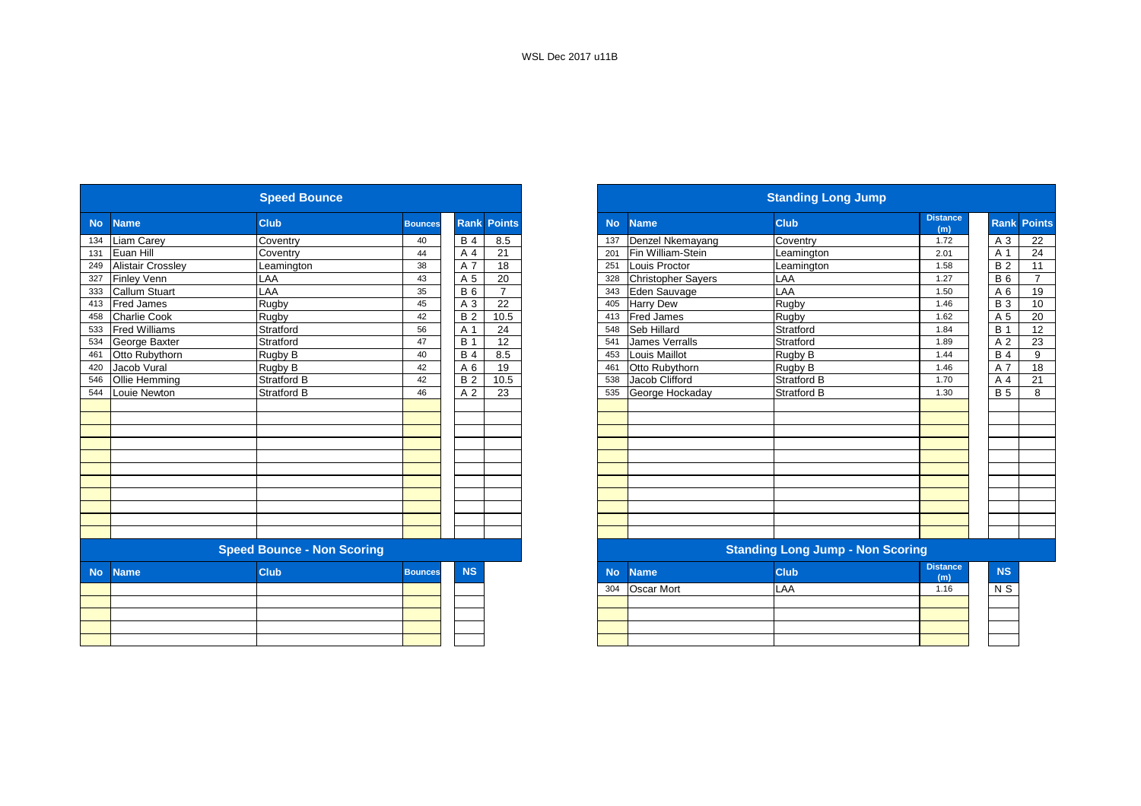|           |                          | <b>Speed Bounce</b>               |                |            |                    | <b>Standing Long Jump</b> |                           |                                         |                        |  |  |  |  |
|-----------|--------------------------|-----------------------------------|----------------|------------|--------------------|---------------------------|---------------------------|-----------------------------------------|------------------------|--|--|--|--|
| <b>No</b> | <b>Name</b>              | <b>Club</b>                       | <b>Bounces</b> |            | <b>Rank Points</b> | <b>No</b>                 | <b>Name</b>               | <b>Club</b>                             | <b>Distance</b><br>(m) |  |  |  |  |
| 134       | Liam Carey               | Coventry                          | 40             | <b>B4</b>  | 8.5                | 137                       | Denzel Nkemayang          | Coventry                                | 1.72                   |  |  |  |  |
| 131       | Euan Hill                | Coventry                          | 44             | A 4        | 21                 | 201                       | Fin William-Stein         | Leamington                              | 2.01                   |  |  |  |  |
| 249       | <b>Alistair Crossley</b> | Leamington                        | 38             | A 7        | 18                 | 251                       | Louis Proctor             | Leamington                              | 1.58                   |  |  |  |  |
| 327       | <b>Finley Venn</b>       | LAA                               | 43             | A 5        | 20                 | 328                       | <b>Christopher Sayers</b> | LAA                                     | 1.27                   |  |  |  |  |
| 333       | Callum Stuart            | LAA                               | 35             | <b>B6</b>  | $\overline{7}$     | 343                       | Eden Sauvage              | LAA                                     | 1.50                   |  |  |  |  |
| 413       | <b>Fred James</b>        | Rugby                             | 45             | A 3        | 22                 | 405                       | <b>Harry Dew</b>          | Rugby                                   | 1.46                   |  |  |  |  |
| 458       | <b>Charlie Cook</b>      | Rugby                             | 42             | <b>B2</b>  | 10.5               | 413                       | <b>Fred James</b>         | Rugby                                   | 1.62                   |  |  |  |  |
| 533       | <b>Fred Williams</b>     | Stratford                         | 56             | A 1        | 24                 | 548                       | Seb Hillard               | Stratford                               | 1.84                   |  |  |  |  |
| 534       | George Baxter            | Stratford                         | 47             | <b>B</b> 1 | 12                 | 541                       | James Verralls            | Stratford                               | 1.89                   |  |  |  |  |
| 461       | Otto Rubythorn           | Rugby B                           | 40             | <b>B4</b>  | 8.5                | 453                       | Louis Maillot             | Rugby B                                 | 1.44                   |  |  |  |  |
| 420       | Jacob Vural              | Rugby B                           | 42             | A 6        | 19                 | 461                       | Otto Rubythorn            | Rugby B                                 | 1.46                   |  |  |  |  |
| 546       | Ollie Hemming            | <b>Stratford B</b>                | 42             | <b>B2</b>  | 10.5               | 538                       | Jacob Clifford            | <b>Stratford B</b>                      | 1.70                   |  |  |  |  |
| 544       | Louie Newton             | <b>Stratford B</b>                | 46             | A 2        | 23                 | 535                       | George Hockaday           | <b>Stratford B</b>                      | 1.30                   |  |  |  |  |
|           |                          |                                   |                |            |                    |                           |                           |                                         |                        |  |  |  |  |
|           |                          |                                   |                |            |                    |                           |                           |                                         |                        |  |  |  |  |
|           |                          |                                   |                |            |                    |                           |                           |                                         |                        |  |  |  |  |
|           |                          |                                   |                |            |                    |                           |                           |                                         |                        |  |  |  |  |
|           |                          |                                   |                |            |                    |                           |                           |                                         |                        |  |  |  |  |
|           |                          |                                   |                |            |                    |                           |                           |                                         |                        |  |  |  |  |
|           |                          |                                   |                |            |                    |                           |                           |                                         |                        |  |  |  |  |
|           |                          |                                   |                |            |                    |                           |                           |                                         |                        |  |  |  |  |
|           |                          |                                   |                |            |                    |                           |                           |                                         |                        |  |  |  |  |
|           |                          |                                   |                |            |                    |                           |                           |                                         |                        |  |  |  |  |
|           |                          |                                   |                |            |                    |                           |                           |                                         |                        |  |  |  |  |
|           |                          | <b>Speed Bounce - Non Scoring</b> |                |            |                    |                           |                           | <b>Standing Long Jump - Non Scoring</b> |                        |  |  |  |  |
| <b>No</b> | <b>Name</b>              | <b>Club</b>                       | <b>Bounces</b> | <b>NS</b>  |                    | <b>No</b>                 | <b>Name</b>               | <b>Club</b>                             | <b>Distance</b><br>(m) |  |  |  |  |
|           |                          |                                   |                |            |                    | 304                       | <b>Oscar Mort</b>         | LAA                                     | 1.16                   |  |  |  |  |
|           |                          |                                   |                |            |                    |                           |                           |                                         |                        |  |  |  |  |
|           |                          |                                   |                |            |                    |                           |                           |                                         |                        |  |  |  |  |
|           |                          |                                   |                |            |                    |                           |                           |                                         |                        |  |  |  |  |
|           |                          |                                   |                |            |                    |                           |                           |                                         |                        |  |  |  |  |
|           |                          |                                   |                |            |                    |                           |                           |                                         |                        |  |  |  |  |

|           |                          | <b>Speed Bounce</b>               |                |            |                    |           |                           |                                         |                        |                    |                |
|-----------|--------------------------|-----------------------------------|----------------|------------|--------------------|-----------|---------------------------|-----------------------------------------|------------------------|--------------------|----------------|
| <b>No</b> | <b>Name</b>              | <b>Club</b>                       | <b>Bounces</b> |            | <b>Rank Points</b> | <b>No</b> | <b>Name</b>               | <b>Club</b>                             | <b>Distance</b><br>(m) | <b>Rank Points</b> |                |
| 134       | <b>Liam Carey</b>        | Coventry                          | 40             | <b>B4</b>  | 8.5                | 137       | Denzel Nkemayang          | Coventry                                | 1.72                   | A 3                | 22             |
| 131       | Euan Hill                | Coventry                          | 44             | A 4        | 21                 | 201       | Fin William-Stein         | Leamington                              | 2.01                   | A 1                | 24             |
| 249       | <b>Alistair Crossley</b> | Leamington                        | 38             | A 7        | 18                 | 251       | Louis Proctor             | Leamington                              | 1.58                   | <b>B2</b>          | 11             |
| 327       | <b>Finley Venn</b>       | LAA                               | 43             | A 5        | 20                 | 328       | <b>Christopher Sayers</b> | LAA                                     | 1.27                   | <b>B</b> 6         | $\overline{7}$ |
| 333       | <b>Callum Stuart</b>     | LAA                               | 35             | <b>B6</b>  | $\overline{7}$     | 343       | Eden Sauvage              | LAA                                     | 1.50                   | A 6                | 19             |
| 413       | <b>Fred James</b>        | Rugby                             | 45             | A 3        | 22                 | 405       | <b>Harry Dew</b>          | Rugby                                   | 1.46                   | <b>B</b> 3         | 10             |
| 458       | <b>Charlie Cook</b>      | Rugby                             | 42             | <b>B2</b>  | 10.5               | 413       | <b>Fred James</b>         | Rugby                                   | 1.62                   | A 5                | 20             |
| 533       | <b>Fred Williams</b>     | Stratford                         | 56             | A 1        | 24                 | 548       | Seb Hillard               | Stratford                               | 1.84                   | <b>B</b> 1         | 12             |
| 534       | George Baxter            | Stratford                         | 47             | <b>B</b> 1 | 12                 | 541       | <b>James Verralls</b>     | Stratford                               | 1.89                   | A <sub>2</sub>     | 23             |
| 461       | Otto Rubythorn           | Rugby B                           | 40             | <b>B4</b>  | 8.5                | 453       | <b>Louis Maillot</b>      | Rugby B                                 | 1.44                   | <b>B</b> 4         | 9              |
| 420       | Jacob Vural              | Rugby B                           | 42             | A 6        | 19                 | 461       | Otto Rubythorn            | Rugby B                                 | 1.46                   | A 7                | 18             |
| 546       | Ollie Hemming            | <b>Stratford B</b>                | 42             | <b>B2</b>  | 10.5               | 538       | Jacob Clifford            | <b>Stratford B</b>                      | 1.70                   | A 4                | 21             |
| 544       | Louie Newton             | Stratford B                       | 46             | A 2        | 23                 | 535       | George Hockaday           | <b>Stratford B</b>                      | 1.30                   | <b>B</b> 5         | 8              |
|           |                          |                                   |                |            |                    |           |                           |                                         |                        |                    |                |
|           |                          |                                   |                |            |                    |           |                           |                                         |                        |                    |                |
|           |                          |                                   |                |            |                    |           |                           |                                         |                        |                    |                |
|           |                          |                                   |                |            |                    |           |                           |                                         |                        |                    |                |
|           |                          |                                   |                |            |                    |           |                           |                                         |                        |                    |                |
|           |                          |                                   |                |            |                    |           |                           |                                         |                        |                    |                |
|           |                          |                                   |                |            |                    |           |                           |                                         |                        |                    |                |
|           |                          |                                   |                |            |                    |           |                           |                                         |                        |                    |                |
|           |                          |                                   |                |            |                    |           |                           |                                         |                        |                    |                |
|           |                          |                                   |                |            |                    |           |                           |                                         |                        |                    |                |
|           |                          |                                   |                |            |                    |           |                           |                                         |                        |                    |                |
|           |                          | <b>Speed Bounce - Non Scoring</b> |                |            |                    |           |                           | <b>Standing Long Jump - Non Scoring</b> |                        |                    |                |
| <b>No</b> | <b>Name</b>              | <b>Club</b>                       | <b>Bounces</b> | <b>NS</b>  |                    | <b>No</b> | <b>Name</b>               | <b>Club</b>                             | <b>Distance</b><br>(m) | <b>NS</b>          |                |
|           |                          |                                   |                |            |                    | 304       | <b>Oscar Mort</b>         | LAA                                     | 1.16                   | N S                |                |
|           |                          |                                   |                |            |                    |           |                           |                                         |                        |                    |                |
|           |                          |                                   |                |            |                    |           |                           |                                         |                        |                    |                |
|           |                          |                                   |                |            |                    |           |                           |                                         |                        |                    |                |
|           |                          |                                   |                |            |                    |           |                           |                                         |                        |                    |                |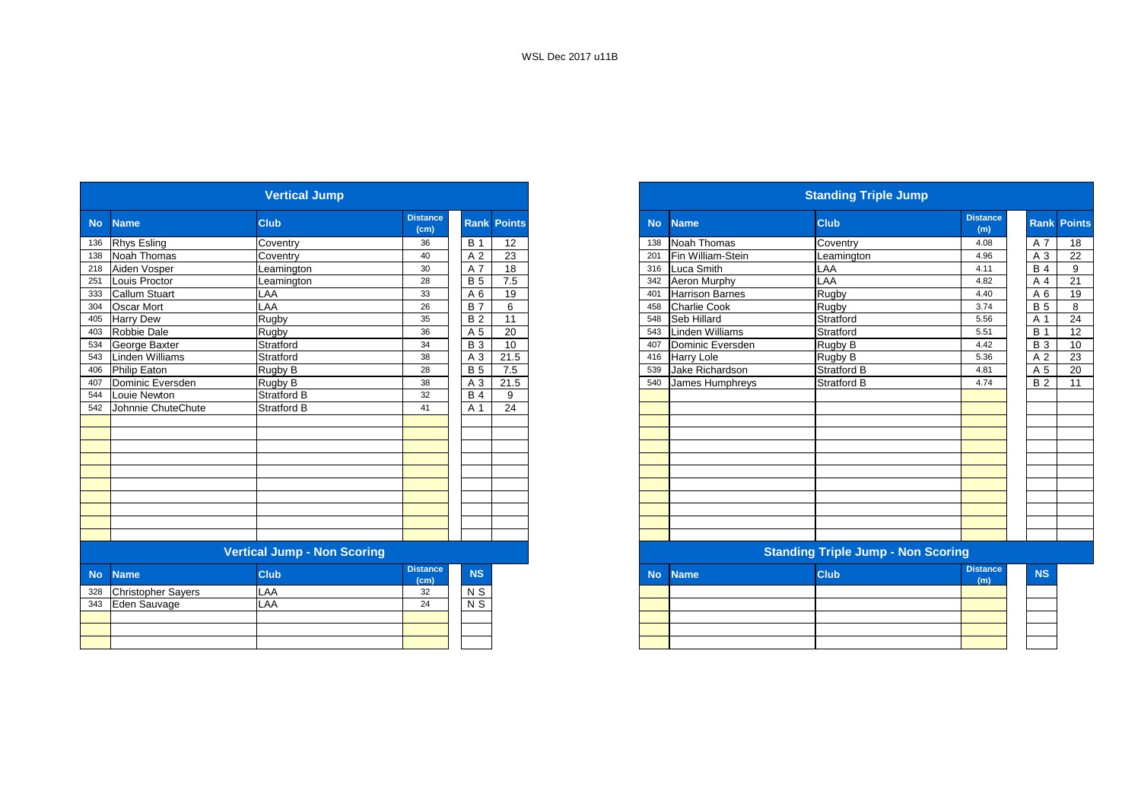| <b>Vertical Jump</b> |                           |                                    |                                      |                |                    |  |  |  |  |  |  |  |
|----------------------|---------------------------|------------------------------------|--------------------------------------|----------------|--------------------|--|--|--|--|--|--|--|
| <b>No</b>            | <b>Name</b>               | Club                               | <b>Distance</b><br>(cm)              |                | <b>Rank Points</b> |  |  |  |  |  |  |  |
| 136                  | <b>Rhys Esling</b>        | Coventry                           | 36                                   | <b>B</b> 1     | 12                 |  |  |  |  |  |  |  |
| 138                  | Noah Thomas               | Coventry                           | 40                                   | A 2            | 23                 |  |  |  |  |  |  |  |
| 218                  | Aiden Vosper              | Leamington                         | 30                                   | A 7            | 18                 |  |  |  |  |  |  |  |
| 251                  | Louis Proctor             | Leamington                         | 28                                   | <b>B</b> 5     | 7.5                |  |  |  |  |  |  |  |
| 333                  | Callum Stuart             | LAA                                | 33                                   | A 6            | 19                 |  |  |  |  |  |  |  |
| 304                  | Oscar Mort                | LAA                                | 26                                   | <b>B7</b>      | 6                  |  |  |  |  |  |  |  |
| 405                  | <b>Harry Dew</b>          | Rugby                              | 35                                   | <b>B2</b>      | 11                 |  |  |  |  |  |  |  |
| 403                  | <b>Robbie Dale</b>        | Rugby                              | 36                                   | A 5            | 20                 |  |  |  |  |  |  |  |
| 534                  | George Baxter             | Stratford                          | 34                                   | <b>B</b> 3     | 10                 |  |  |  |  |  |  |  |
| 543                  | <b>Linden Williams</b>    | Stratford                          | 38                                   | A <sub>3</sub> | 21.5               |  |  |  |  |  |  |  |
| 406                  | Philip Eaton              | Rugby B                            | 28                                   | <b>B5</b>      | 7.5                |  |  |  |  |  |  |  |
| 407                  | Dominic Eversden          | Rugby B                            | 38                                   | A <sub>3</sub> | 21.5               |  |  |  |  |  |  |  |
| 544                  | Louie Newton              | <b>Stratford B</b>                 | 32                                   | <b>B4</b>      | 9                  |  |  |  |  |  |  |  |
| 542                  | Johnnie ChuteChute        | <b>Stratford B</b>                 | 41                                   | A 1            | 24                 |  |  |  |  |  |  |  |
|                      |                           |                                    |                                      |                |                    |  |  |  |  |  |  |  |
|                      |                           |                                    |                                      |                |                    |  |  |  |  |  |  |  |
|                      |                           |                                    |                                      |                |                    |  |  |  |  |  |  |  |
|                      |                           |                                    |                                      |                |                    |  |  |  |  |  |  |  |
|                      |                           |                                    |                                      |                |                    |  |  |  |  |  |  |  |
|                      |                           |                                    |                                      |                |                    |  |  |  |  |  |  |  |
|                      |                           |                                    |                                      |                |                    |  |  |  |  |  |  |  |
|                      |                           |                                    |                                      |                |                    |  |  |  |  |  |  |  |
|                      |                           |                                    |                                      |                |                    |  |  |  |  |  |  |  |
|                      |                           |                                    |                                      |                |                    |  |  |  |  |  |  |  |
|                      |                           | <b>Vertical Jump - Non Scoring</b> |                                      |                |                    |  |  |  |  |  |  |  |
| <b>No</b>            | <b>Name</b>               | Club                               | <b>Distance</b><br>(c <sub>m</sub> ) | <b>NS</b>      |                    |  |  |  |  |  |  |  |
| 328                  | <b>Christopher Sayers</b> | LAA                                | 32                                   | N S            |                    |  |  |  |  |  |  |  |
| 343                  | Eden Sauvage              | <b>LAA</b>                         | 24                                   | N <sub>S</sub> |                    |  |  |  |  |  |  |  |
|                      |                           |                                    |                                      |                |                    |  |  |  |  |  |  |  |
|                      |                           |                                    |                                      |                |                    |  |  |  |  |  |  |  |
|                      |                           |                                    |                                      |                |                    |  |  |  |  |  |  |  |

|                                    | <b>Vertical Jump</b> |                         |            |                    |  |  |  |  |  |
|------------------------------------|----------------------|-------------------------|------------|--------------------|--|--|--|--|--|
|                                    | <b>Club</b>          | <b>Distance</b><br>(cm) |            | <b>Rank Points</b> |  |  |  |  |  |
|                                    | Coventry             | 36                      | <b>B</b> 1 | 12                 |  |  |  |  |  |
|                                    | Coventry             | 40                      | A 2        | 23                 |  |  |  |  |  |
|                                    | Leamington           | 30                      | A 7        | 18                 |  |  |  |  |  |
| Louis Proctor                      | Leamington           | 28                      | <b>B</b> 5 | 7.5                |  |  |  |  |  |
| <b>Callum Stuart</b>               | LAA                  | 33                      | A 6        | 19                 |  |  |  |  |  |
| <b>Oscar Mort</b>                  | LAA                  | 26                      | <b>B</b> 7 | 6                  |  |  |  |  |  |
| <b>Harry Dew</b>                   | Rugby                | 35                      | <b>B2</b>  | 11                 |  |  |  |  |  |
| Robbie Dale                        | Rugby                | 36                      | A 5        | 20                 |  |  |  |  |  |
| George Baxter                      | Stratford            | 34                      | <b>B</b> 3 | 10                 |  |  |  |  |  |
| <b>Linden Williams</b>             | Stratford            | 38                      | A 3        | 21.5               |  |  |  |  |  |
| <b>Philip Eaton</b>                | Rugby B              | 28                      | <b>B</b> 5 | 7.5                |  |  |  |  |  |
| Dominic Eversden                   | Rugby B              | 38                      | A 3        | 21.5               |  |  |  |  |  |
| Louie Newton                       | <b>Stratford B</b>   | 32                      | <b>B</b> 4 | 9                  |  |  |  |  |  |
| 542 Johnnie ChuteChute             | <b>Stratford B</b>   | 41                      | A 1        | 24                 |  |  |  |  |  |
|                                    |                      |                         |            |                    |  |  |  |  |  |
|                                    |                      |                         |            |                    |  |  |  |  |  |
|                                    |                      |                         |            |                    |  |  |  |  |  |
|                                    |                      |                         |            |                    |  |  |  |  |  |
|                                    |                      |                         |            |                    |  |  |  |  |  |
|                                    |                      |                         |            |                    |  |  |  |  |  |
|                                    |                      |                         |            |                    |  |  |  |  |  |
|                                    |                      |                         |            |                    |  |  |  |  |  |
|                                    |                      |                         |            |                    |  |  |  |  |  |
|                                    |                      |                         |            |                    |  |  |  |  |  |
| <b>Vertical Jump - Non Scoring</b> |                      |                         |            |                    |  |  |  |  |  |
| <b>Name</b>                        | <b>Club</b>          | <b>Distance</b><br>(cm) | <b>NS</b>  |                    |  |  |  |  |  |
| <b>Christopher Sayers</b>          | LAA                  | 32                      | N S        |                    |  |  |  |  |  |
| 343 Eden Sauvage                   | LAA                  | 24                      | $N$ S      |                    |  |  |  |  |  |
|                                    |                      |                         |            |                    |  |  |  |  |  |
|                                    |                      |                         |            |                    |  |  |  |  |  |
|                                    |                      |                         |            |                    |  |  |  |  |  |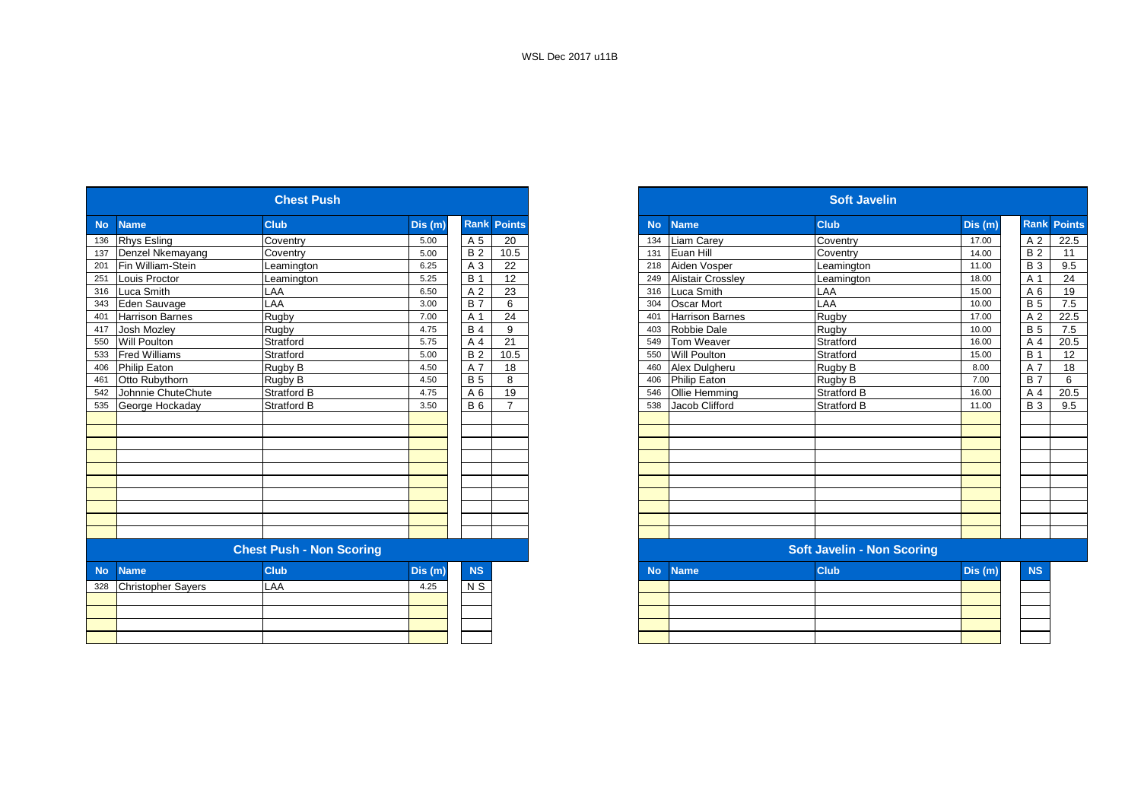| <b>Rank Points</b><br><b>Club</b><br>Dis(m)<br><b>Name</b><br><b>Rhys Esling</b><br>Coventry<br>A 5<br>5.00<br>20<br>Denzel Nkemayang<br>Coventry<br><b>B2</b><br>5.00<br>10.5<br>Fin William-Stein<br>A 3<br>22<br>6.25<br>Leamington<br><b>B</b> 1<br>12<br>Louis Proctor<br>5.25<br>Leamington<br>LAA<br>23<br>Luca Smith<br>A 2<br>316<br>6.50<br>LAA<br><b>B</b> 7<br>Eden Sauvage<br>6<br>3.00<br>24<br>Rugby<br><b>Harrison Barnes</b><br>7.00<br>A 1<br><b>Josh Mozley</b><br>Rugby<br>9<br>4.75<br><b>B4</b><br>Will Poulton<br>21<br>Stratford<br>5.75<br>A 4<br><b>Fred Williams</b><br><b>B2</b><br>5.00<br>10.5<br>Stratford<br>Philip Eaton<br>4.50<br>A 7<br>18<br>Rugby B<br>Otto Rubythorn<br>Rugby B<br>4.50<br><b>B</b> 5<br>8<br>19<br>4.75<br>Johnnie ChuteChute<br><b>Stratford B</b><br>A 6<br><b>B</b> 6<br>George Hockaday<br><b>Stratford B</b><br>3.50<br>$\overline{7}$<br><b>Chest Push - Non Scoring</b><br><b>NS</b><br><b>Club</b><br><b>Name</b><br>Dis (m)<br><b>Christopher Sayers</b><br>LAA<br>$\overline{N}$<br>4.25 |           | <b>Chest Push</b> |  |  |  |  |  |  |  |  |  |  |
|------------------------------------------------------------------------------------------------------------------------------------------------------------------------------------------------------------------------------------------------------------------------------------------------------------------------------------------------------------------------------------------------------------------------------------------------------------------------------------------------------------------------------------------------------------------------------------------------------------------------------------------------------------------------------------------------------------------------------------------------------------------------------------------------------------------------------------------------------------------------------------------------------------------------------------------------------------------------------------------------------------------------------------------------------------|-----------|-------------------|--|--|--|--|--|--|--|--|--|--|
| 134                                                                                                                                                                                                                                                                                                                                                                                                                                                                                                                                                                                                                                                                                                                                                                                                                                                                                                                                                                                                                                                        | <b>No</b> |                   |  |  |  |  |  |  |  |  |  |  |
| 131<br>304<br>401<br>460<br>406                                                                                                                                                                                                                                                                                                                                                                                                                                                                                                                                                                                                                                                                                                                                                                                                                                                                                                                                                                                                                            | 136       |                   |  |  |  |  |  |  |  |  |  |  |
| 218<br>249<br>316<br>403<br>549<br>550<br>546<br><b>No</b>                                                                                                                                                                                                                                                                                                                                                                                                                                                                                                                                                                                                                                                                                                                                                                                                                                                                                                                                                                                                 | 137       |                   |  |  |  |  |  |  |  |  |  |  |
| 538                                                                                                                                                                                                                                                                                                                                                                                                                                                                                                                                                                                                                                                                                                                                                                                                                                                                                                                                                                                                                                                        | 201       |                   |  |  |  |  |  |  |  |  |  |  |
|                                                                                                                                                                                                                                                                                                                                                                                                                                                                                                                                                                                                                                                                                                                                                                                                                                                                                                                                                                                                                                                            | 251       |                   |  |  |  |  |  |  |  |  |  |  |
| Oscar Mort                                                                                                                                                                                                                                                                                                                                                                                                                                                                                                                                                                                                                                                                                                                                                                                                                                                                                                                                                                                                                                                 |           |                   |  |  |  |  |  |  |  |  |  |  |
| <b>Harrison Barnes</b><br>Robbie Dale                                                                                                                                                                                                                                                                                                                                                                                                                                                                                                                                                                                                                                                                                                                                                                                                                                                                                                                                                                                                                      | 343       |                   |  |  |  |  |  |  |  |  |  |  |
|                                                                                                                                                                                                                                                                                                                                                                                                                                                                                                                                                                                                                                                                                                                                                                                                                                                                                                                                                                                                                                                            | 401       |                   |  |  |  |  |  |  |  |  |  |  |
| Tom Weaver<br>Will Poulton                                                                                                                                                                                                                                                                                                                                                                                                                                                                                                                                                                                                                                                                                                                                                                                                                                                                                                                                                                                                                                 | 417       |                   |  |  |  |  |  |  |  |  |  |  |
|                                                                                                                                                                                                                                                                                                                                                                                                                                                                                                                                                                                                                                                                                                                                                                                                                                                                                                                                                                                                                                                            | 550       |                   |  |  |  |  |  |  |  |  |  |  |
| Alex Dulgheru                                                                                                                                                                                                                                                                                                                                                                                                                                                                                                                                                                                                                                                                                                                                                                                                                                                                                                                                                                                                                                              | 533       |                   |  |  |  |  |  |  |  |  |  |  |
| <b>Philip Eaton</b>                                                                                                                                                                                                                                                                                                                                                                                                                                                                                                                                                                                                                                                                                                                                                                                                                                                                                                                                                                                                                                        | 406       |                   |  |  |  |  |  |  |  |  |  |  |
| Ollie Hemming                                                                                                                                                                                                                                                                                                                                                                                                                                                                                                                                                                                                                                                                                                                                                                                                                                                                                                                                                                                                                                              | 461       |                   |  |  |  |  |  |  |  |  |  |  |
| Jacob Clifford                                                                                                                                                                                                                                                                                                                                                                                                                                                                                                                                                                                                                                                                                                                                                                                                                                                                                                                                                                                                                                             | 542       |                   |  |  |  |  |  |  |  |  |  |  |
|                                                                                                                                                                                                                                                                                                                                                                                                                                                                                                                                                                                                                                                                                                                                                                                                                                                                                                                                                                                                                                                            | 535       |                   |  |  |  |  |  |  |  |  |  |  |
|                                                                                                                                                                                                                                                                                                                                                                                                                                                                                                                                                                                                                                                                                                                                                                                                                                                                                                                                                                                                                                                            |           |                   |  |  |  |  |  |  |  |  |  |  |
|                                                                                                                                                                                                                                                                                                                                                                                                                                                                                                                                                                                                                                                                                                                                                                                                                                                                                                                                                                                                                                                            |           |                   |  |  |  |  |  |  |  |  |  |  |
|                                                                                                                                                                                                                                                                                                                                                                                                                                                                                                                                                                                                                                                                                                                                                                                                                                                                                                                                                                                                                                                            |           |                   |  |  |  |  |  |  |  |  |  |  |
|                                                                                                                                                                                                                                                                                                                                                                                                                                                                                                                                                                                                                                                                                                                                                                                                                                                                                                                                                                                                                                                            |           |                   |  |  |  |  |  |  |  |  |  |  |
|                                                                                                                                                                                                                                                                                                                                                                                                                                                                                                                                                                                                                                                                                                                                                                                                                                                                                                                                                                                                                                                            |           |                   |  |  |  |  |  |  |  |  |  |  |
|                                                                                                                                                                                                                                                                                                                                                                                                                                                                                                                                                                                                                                                                                                                                                                                                                                                                                                                                                                                                                                                            |           |                   |  |  |  |  |  |  |  |  |  |  |
|                                                                                                                                                                                                                                                                                                                                                                                                                                                                                                                                                                                                                                                                                                                                                                                                                                                                                                                                                                                                                                                            |           |                   |  |  |  |  |  |  |  |  |  |  |
|                                                                                                                                                                                                                                                                                                                                                                                                                                                                                                                                                                                                                                                                                                                                                                                                                                                                                                                                                                                                                                                            |           |                   |  |  |  |  |  |  |  |  |  |  |
|                                                                                                                                                                                                                                                                                                                                                                                                                                                                                                                                                                                                                                                                                                                                                                                                                                                                                                                                                                                                                                                            |           |                   |  |  |  |  |  |  |  |  |  |  |
| <b>Name</b>                                                                                                                                                                                                                                                                                                                                                                                                                                                                                                                                                                                                                                                                                                                                                                                                                                                                                                                                                                                                                                                |           |                   |  |  |  |  |  |  |  |  |  |  |
|                                                                                                                                                                                                                                                                                                                                                                                                                                                                                                                                                                                                                                                                                                                                                                                                                                                                                                                                                                                                                                                            |           |                   |  |  |  |  |  |  |  |  |  |  |
|                                                                                                                                                                                                                                                                                                                                                                                                                                                                                                                                                                                                                                                                                                                                                                                                                                                                                                                                                                                                                                                            | <b>No</b> |                   |  |  |  |  |  |  |  |  |  |  |
|                                                                                                                                                                                                                                                                                                                                                                                                                                                                                                                                                                                                                                                                                                                                                                                                                                                                                                                                                                                                                                                            | 328       |                   |  |  |  |  |  |  |  |  |  |  |
|                                                                                                                                                                                                                                                                                                                                                                                                                                                                                                                                                                                                                                                                                                                                                                                                                                                                                                                                                                                                                                                            |           |                   |  |  |  |  |  |  |  |  |  |  |
|                                                                                                                                                                                                                                                                                                                                                                                                                                                                                                                                                                                                                                                                                                                                                                                                                                                                                                                                                                                                                                                            |           |                   |  |  |  |  |  |  |  |  |  |  |
|                                                                                                                                                                                                                                                                                                                                                                                                                                                                                                                                                                                                                                                                                                                                                                                                                                                                                                                                                                                                                                                            |           |                   |  |  |  |  |  |  |  |  |  |  |
|                                                                                                                                                                                                                                                                                                                                                                                                                                                                                                                                                                                                                                                                                                                                                                                                                                                                                                                                                                                                                                                            |           |                   |  |  |  |  |  |  |  |  |  |  |

|                           | <b>Chest Push</b>               |         |                              |           |                          | <b>Soft Javelin</b>               |         |                    |
|---------------------------|---------------------------------|---------|------------------------------|-----------|--------------------------|-----------------------------------|---------|--------------------|
| <b>Name</b>               | <b>Club</b>                     | Dis (m) | <b>Rank Points</b>           | <b>No</b> | Name                     | <b>Club</b>                       | Dis (m) | <b>Rank Points</b> |
| <b>Rhys Esling</b>        | Coventry                        | 5.00    | A 5<br>20                    | 134       | Liam Carey               | Coventry                          | 17.00   | A 2                |
| Denzel Nkemayang          | Coventry                        | 5.00    | <b>B2</b><br>10.5            | 131       | Euan Hill                | Coventry                          | 14.00   | <b>B2</b>          |
| Fin William-Stein         | Leamington                      | 6.25    | 22<br>A 3                    | 218       | Aiden Vosper             | Leamington                        | 11.00   | <b>B</b> 3         |
| Louis Proctor             | Leamington                      | 5.25    | 12<br><b>B</b> 1             | 249       | <b>Alistair Crossley</b> | Leamington                        | 18.00   | A 1                |
| Luca Smith                | LAA                             | 6.50    | 23<br>A 2                    | 316       | Luca Smith               | LAA                               | 15.00   | A 6                |
| Eden Sauvage              | LAA                             | 3.00    | <b>B</b> 7<br>6              | 304       | <b>Oscar Mort</b>        | LAA                               | 10.00   | <b>B</b> 5         |
| <b>Harrison Barnes</b>    | Rugby                           | 7.00    | 24<br>A 1                    | 401       | <b>Harrison Barnes</b>   | Rugby                             | 17.00   | A 2                |
| Josh Mozley               | Rugby                           | 4.75    | <b>B</b> 4<br>9              | 403       | Robbie Dale              | <b>Rugby</b>                      | 10.00   | <b>B</b> 5         |
| <b>Will Poulton</b>       | Stratford                       | 5.75    | 21<br>A 4                    | 549       | Tom Weaver               | Stratford                         | 16.00   | A 4                |
| <b>Fred Williams</b>      | Stratford                       | 5.00    | <b>B2</b><br>10.5            | 550       | <b>Will Poulton</b>      | Stratford                         | 15.00   | <b>B</b> 1         |
| Philip Eaton              | Rugby B                         | 4.50    | A 7<br>18                    | 460       | Alex Dulgheru            | Rugby B                           | 8.00    | A 7                |
| Otto Rubythorn            | Rugby B                         | 4.50    | <b>B</b> 5<br>8              | 406       | Philip Eaton             | Rugby B                           | 7.00    | <b>B</b> 7         |
| Johnnie ChuteChute        | <b>Stratford B</b>              | 4.75    | 19<br>A 6                    | 546       | Ollie Hemming            | <b>Stratford B</b>                | 16.00   | A 4                |
| George Hockaday           | Stratford B                     | 3.50    | $\overline{7}$<br><b>B</b> 6 | 538       | Jacob Clifford           | <b>Stratford B</b>                | 11.00   | <b>B3</b>          |
|                           |                                 |         |                              |           |                          |                                   |         |                    |
|                           |                                 |         |                              |           |                          |                                   |         |                    |
|                           |                                 |         |                              |           |                          |                                   |         |                    |
|                           |                                 |         |                              |           |                          |                                   |         |                    |
|                           |                                 |         |                              |           |                          |                                   |         |                    |
|                           |                                 |         |                              |           |                          |                                   |         |                    |
|                           |                                 |         |                              |           |                          |                                   |         |                    |
|                           |                                 |         |                              |           |                          |                                   |         |                    |
|                           |                                 |         |                              |           |                          |                                   |         |                    |
|                           |                                 |         |                              |           |                          |                                   |         |                    |
|                           | <b>Chest Push - Non Scoring</b> |         |                              |           |                          | <b>Soft Javelin - Non Scoring</b> |         |                    |
| <b>Name</b>               | <b>Club</b>                     | Dis(m)  | <b>NS</b>                    | <b>No</b> | <b>Name</b>              | <b>Club</b>                       | Dis (m) | <b>NS</b>          |
| <b>Christopher Sayers</b> | LAA                             | 4.25    | N S                          |           |                          |                                   |         |                    |
|                           |                                 |         |                              |           |                          |                                   |         |                    |
|                           |                                 |         |                              |           |                          |                                   |         |                    |
|                           |                                 |         |                              |           |                          |                                   |         |                    |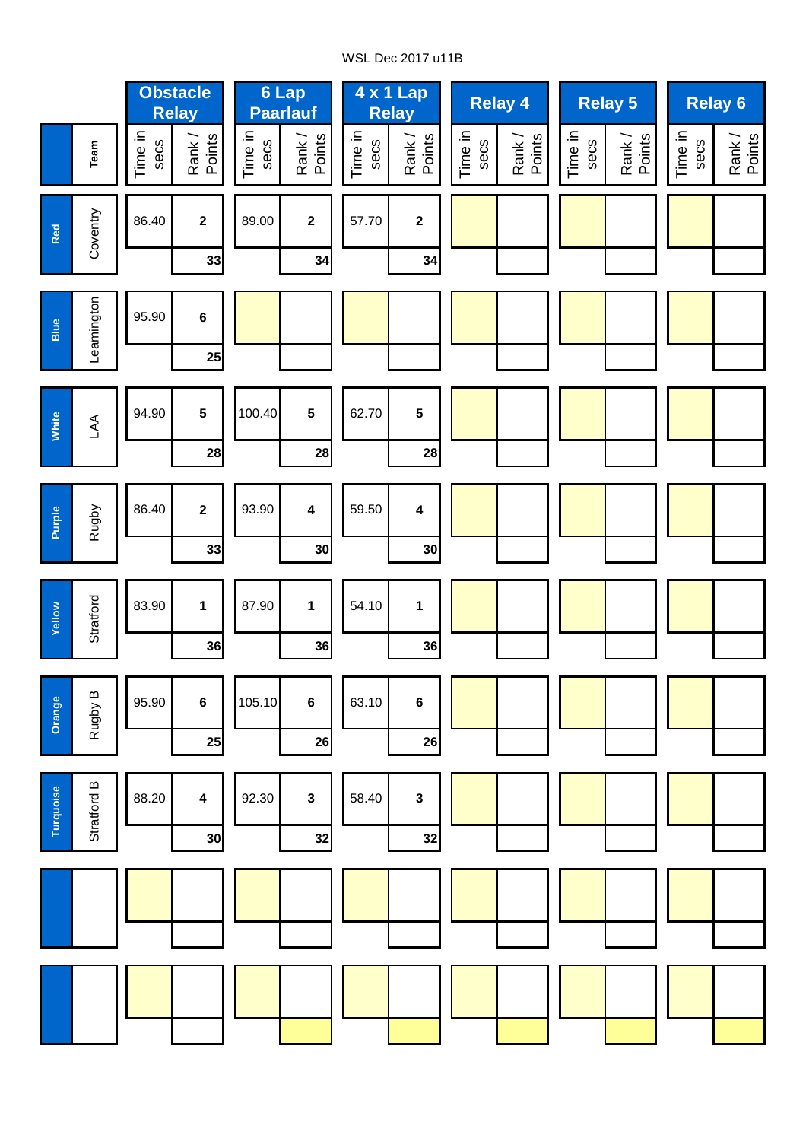# WSL Dec 2017 u11B

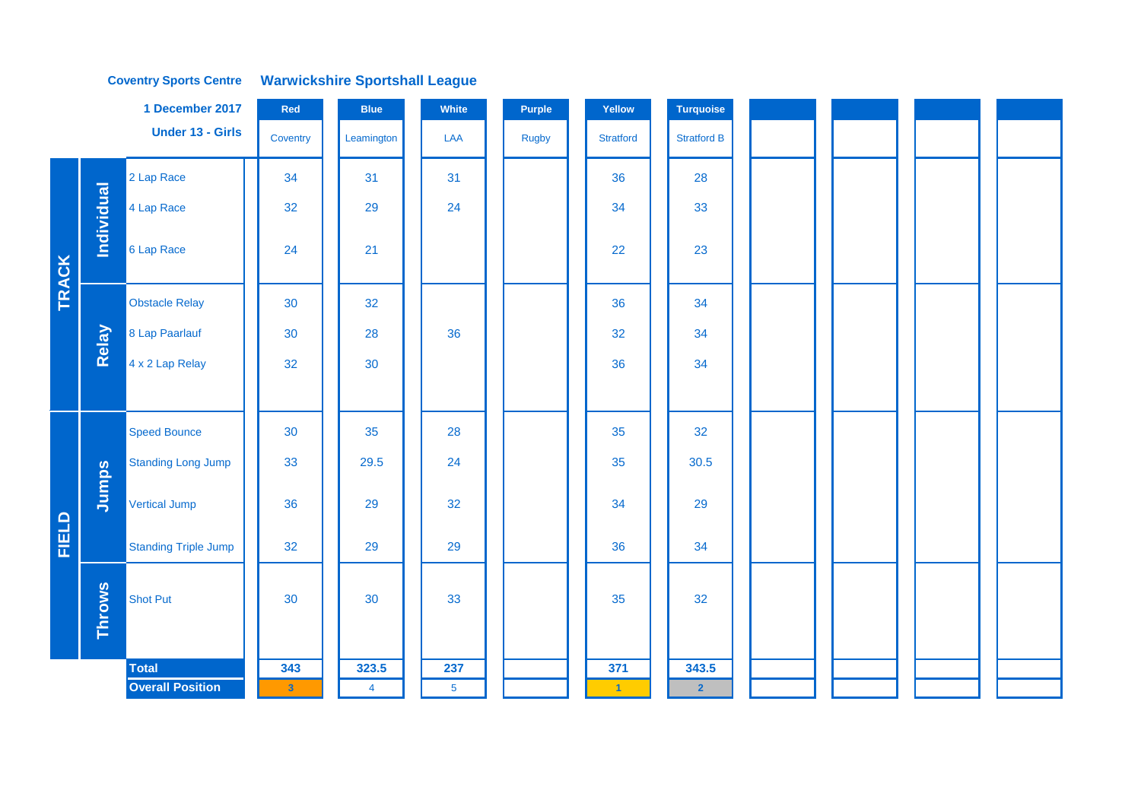**Coventry Sports Centre Warwickshire Sportshall League** 

|              |                   | 1 December 2017             | Red          | <b>Blue</b>    | White          | <b>Purple</b> | Yellow           | <b>Turquoise</b>   |  |  |  |  |
|--------------|-------------------|-----------------------------|--------------|----------------|----------------|---------------|------------------|--------------------|--|--|--|--|
|              |                   | <b>Under 13 - Girls</b>     | Coventry     | Leamington     | LAA            | Rugby         | <b>Stratford</b> | <b>Stratford B</b> |  |  |  |  |
|              |                   | 2 Lap Race                  | 34           | 31             | 31             |               | 36               | 28                 |  |  |  |  |
|              | <b>Individual</b> | 4 Lap Race                  | 32           | 29             | 24             |               | 34               | 33                 |  |  |  |  |
| TRACK        |                   | 6 Lap Race                  | 24           | 21             |                |               | 22               | 23                 |  |  |  |  |
|              |                   | <b>Obstacle Relay</b>       | 30           | 32             |                |               | 36               | 34                 |  |  |  |  |
|              | Relay             | 8 Lap Paarlauf              | 30           | 28             | 36             |               | 32               | 34                 |  |  |  |  |
|              |                   | 4 x 2 Lap Relay             | 32           | 30             |                |               | 36               | 34                 |  |  |  |  |
|              |                   |                             |              |                |                |               |                  |                    |  |  |  |  |
|              |                   | <b>Speed Bounce</b>         | 30           | 35             | 28             |               | 35               | 32                 |  |  |  |  |
|              |                   | <b>Standing Long Jump</b>   | 33           | 29.5           | 24             |               | 35               | 30.5               |  |  |  |  |
|              | Jumps             | <b>Vertical Jump</b>        | 36           | 29             | 32             |               | 34               | 29                 |  |  |  |  |
| <b>FIELD</b> |                   | <b>Standing Triple Jump</b> | 32           | 29             | 29             |               | 36               | 34                 |  |  |  |  |
|              | <b>Throws</b>     | <b>Shot Put</b>             | 30           | 30             | 33             |               | 35               | 32                 |  |  |  |  |
|              |                   | <b>Total</b>                | 343          | 323.5          | 237            |               | 371              | 343.5              |  |  |  |  |
|              |                   | <b>Overall Position</b>     | $\mathbf{3}$ | $\overline{4}$ | 5 <sup>5</sup> |               | $\vert 1 \vert$  | $\mathbf{2}$       |  |  |  |  |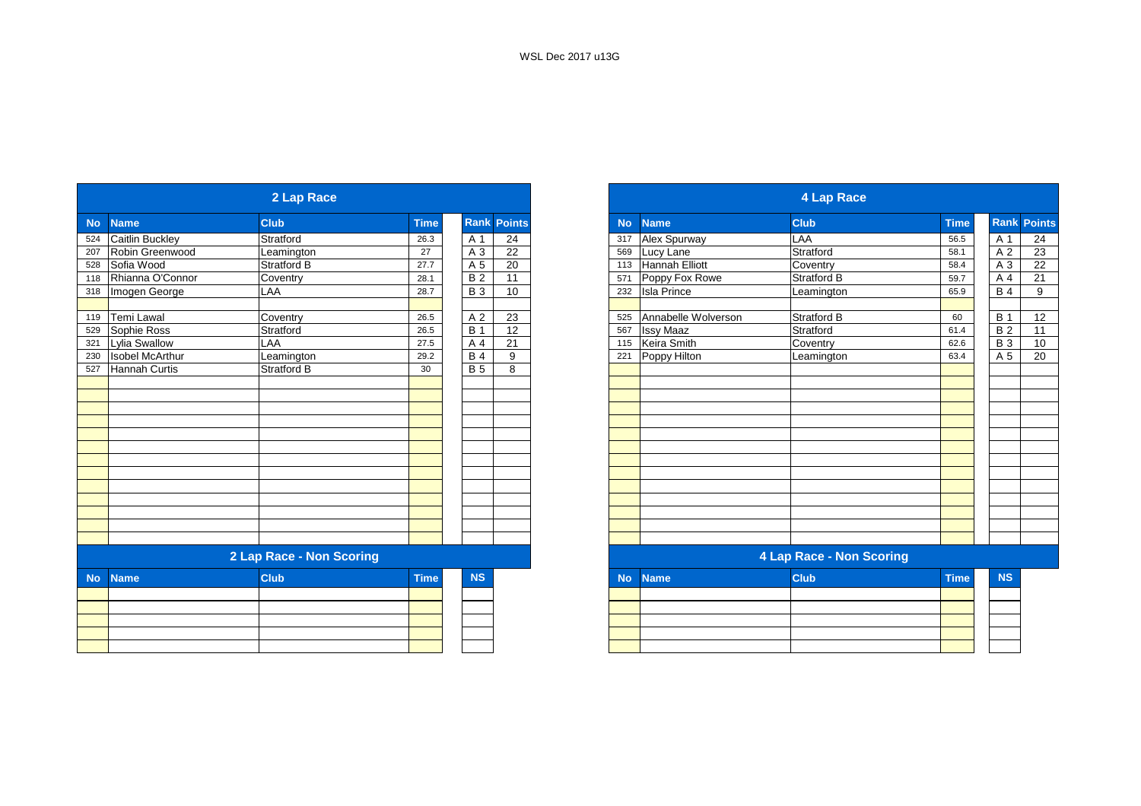|           | 2 Lap Race             |                          |             |                 |               |  |  |  |  |  |
|-----------|------------------------|--------------------------|-------------|-----------------|---------------|--|--|--|--|--|
| <b>No</b> | <b>Name</b>            | <b>Club</b>              | <b>Time</b> | Rank            | <b>Points</b> |  |  |  |  |  |
| 524       | <b>Caitlin Buckley</b> | Stratford                | 26.3        | A 1             | 24            |  |  |  |  |  |
| 207       | Robin Greenwood        | Leamington               | 27          | A 3             | 22            |  |  |  |  |  |
| 528       | Sofia Wood             | <b>Stratford B</b>       | 27.7        | A 5             | 20            |  |  |  |  |  |
| 118       | Rhianna O'Connor       | Coventry                 | 28.1        | $\overline{B2}$ | 11            |  |  |  |  |  |
| 318       | Imogen George          | LAA                      | 28.7        | <b>B3</b>       | 10            |  |  |  |  |  |
| 119       | <b>Temi Lawal</b>      | Coventry                 | 26.5        | A 2             | 23            |  |  |  |  |  |
| 529       | Sophie Ross            | Stratford                | 26.5        | <b>B</b> 1      | 12            |  |  |  |  |  |
| 321       | <b>Lylia Swallow</b>   | LAA                      | 27.5        | A 4             | 21            |  |  |  |  |  |
| 230       | <b>Isobel McArthur</b> | Leamington               | 29.2        | <b>B</b> 4      | 9             |  |  |  |  |  |
| 527       | <b>Hannah Curtis</b>   | Stratford B              | 30          | <b>B</b> 5      | 8             |  |  |  |  |  |
|           |                        |                          |             |                 |               |  |  |  |  |  |
|           |                        |                          |             |                 |               |  |  |  |  |  |
|           |                        |                          |             |                 |               |  |  |  |  |  |
|           |                        |                          |             |                 |               |  |  |  |  |  |
|           |                        |                          |             |                 |               |  |  |  |  |  |
|           |                        |                          |             |                 |               |  |  |  |  |  |
|           |                        |                          |             |                 |               |  |  |  |  |  |
|           |                        |                          |             |                 |               |  |  |  |  |  |
|           |                        | 2 Lap Race - Non Scoring |             |                 |               |  |  |  |  |  |
|           |                        |                          |             |                 |               |  |  |  |  |  |
| <b>No</b> | <b>Name</b>            | <b>Club</b>              | <b>Time</b> | <b>NS</b>       |               |  |  |  |  |  |
|           |                        |                          |             |                 |               |  |  |  |  |  |
|           |                        |                          |             |                 |               |  |  |  |  |  |
|           |                        |                          |             |                 |               |  |  |  |  |  |
|           |                        |                          |             |                 |               |  |  |  |  |  |

| 2 Lap Race               |                        |                    |             |             |                 |  |  |  |  |
|--------------------------|------------------------|--------------------|-------------|-------------|-----------------|--|--|--|--|
|                          | <b>Name</b>            | <b>Club</b>        | <b>Time</b> | <b>Rank</b> | <b>Points</b>   |  |  |  |  |
|                          | Caitlin Buckley        | Stratford          | 26.3        | A 1         | 24              |  |  |  |  |
|                          | Robin Greenwood        | Leamington         | 27          | A 3         | $\overline{22}$ |  |  |  |  |
|                          | Sofia Wood             | <b>Stratford B</b> | 27.7        | A 5         | 20              |  |  |  |  |
|                          | Rhianna O'Connor       | Coventry           | 28.1        | <b>B2</b>   | 11              |  |  |  |  |
|                          | Imogen George          | LAA                | 28.7        | <b>B</b> 3  | 10              |  |  |  |  |
|                          | Temi Lawal             | Coventry           | 26.5        | A 2         | 23              |  |  |  |  |
|                          | Sophie Ross            | Stratford          | 26.5        | <b>B</b> 1  | 12              |  |  |  |  |
|                          | <b>Lylia Swallow</b>   | LAA                | 27.5        | A 4         | 21              |  |  |  |  |
|                          | <b>Isobel McArthur</b> | Leamington         | 29.2        | <b>B4</b>   | 9               |  |  |  |  |
|                          | Hannah Curtis          | <b>Stratford B</b> | 30          | <b>B</b> 5  | 8               |  |  |  |  |
|                          |                        |                    |             |             |                 |  |  |  |  |
|                          |                        |                    |             |             |                 |  |  |  |  |
|                          |                        |                    |             |             |                 |  |  |  |  |
|                          |                        |                    |             |             |                 |  |  |  |  |
|                          |                        |                    |             |             |                 |  |  |  |  |
|                          |                        |                    |             |             |                 |  |  |  |  |
|                          |                        |                    |             |             |                 |  |  |  |  |
|                          |                        |                    |             |             |                 |  |  |  |  |
|                          |                        |                    |             |             |                 |  |  |  |  |
|                          |                        |                    |             |             |                 |  |  |  |  |
|                          |                        |                    |             |             |                 |  |  |  |  |
| 2 Lap Race - Non Scoring |                        |                    |             |             |                 |  |  |  |  |
| <b>No</b>                | <b>Name</b>            | <b>Club</b>        | <b>Time</b> | <b>NS</b>   |                 |  |  |  |  |
|                          |                        |                    |             |             |                 |  |  |  |  |
|                          |                        |                    |             |             |                 |  |  |  |  |

|  | the contract of the contract of the contract of the contract of the contract of the contract of the contract of |  |  |
|--|-----------------------------------------------------------------------------------------------------------------|--|--|
|  |                                                                                                                 |  |  |
|  |                                                                                                                 |  |  |
|  |                                                                                                                 |  |  |
|  |                                                                                                                 |  |  |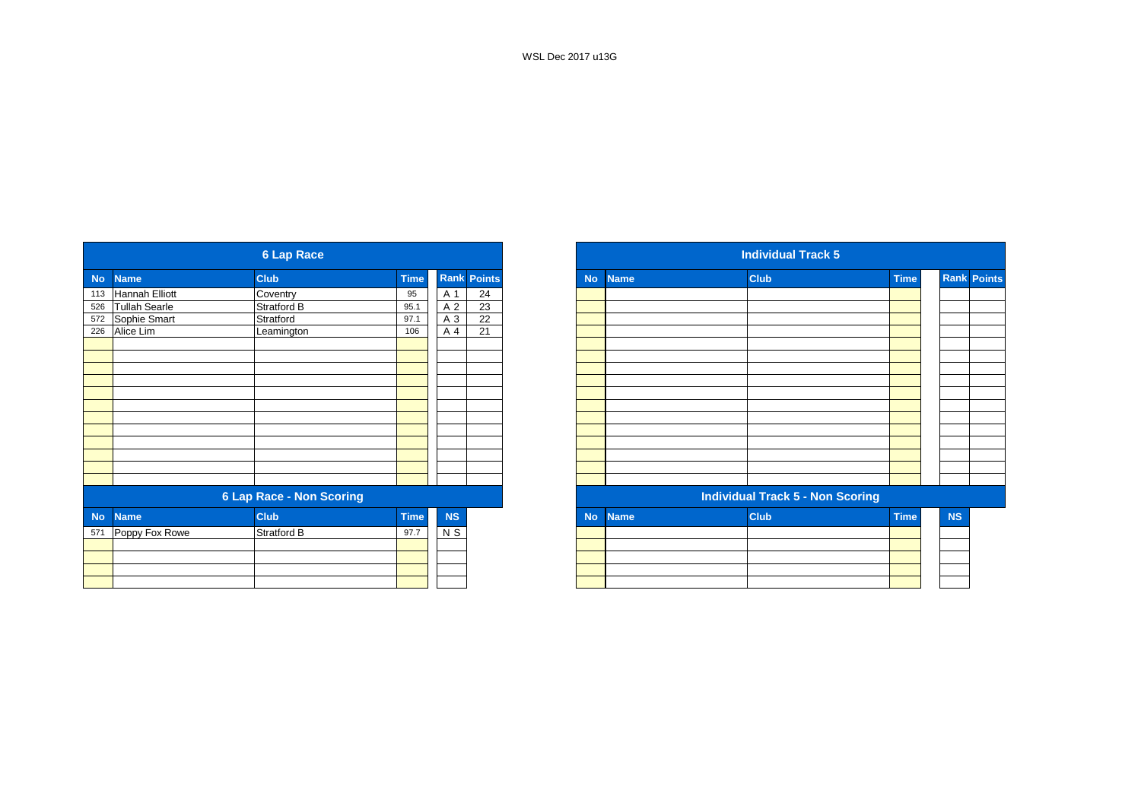|           |                      | <b>6 Lap Race</b>               |             |           |                    |
|-----------|----------------------|---------------------------------|-------------|-----------|--------------------|
| <b>No</b> | <b>Name</b>          | <b>Club</b>                     | <b>Time</b> |           | <b>Rank Points</b> |
|           | 113 Hannah Elliott   | Coventry                        | 95          | A 1       | 24                 |
| 526       | <b>Tullah Searle</b> | Stratford B                     | 95.1        | A 2       | 23                 |
|           | 572 Sophie Smart     | Stratford                       | 97.1        | A 3       | 22                 |
|           | 226 Alice Lim        | Leamington                      | 106         | A 4       | 21                 |
|           |                      |                                 |             |           |                    |
|           |                      |                                 |             |           |                    |
|           |                      |                                 |             |           |                    |
|           |                      |                                 |             |           |                    |
|           |                      |                                 |             |           |                    |
|           |                      |                                 |             |           |                    |
|           |                      |                                 |             |           |                    |
|           |                      |                                 |             |           |                    |
|           |                      |                                 |             |           |                    |
|           |                      |                                 |             |           |                    |
|           |                      |                                 |             |           |                    |
|           |                      |                                 |             |           |                    |
|           |                      | <b>6 Lap Race - Non Scoring</b> |             |           |                    |
| <b>No</b> | <b>Name</b>          | <b>Club</b>                     | <b>Time</b> | <b>NS</b> |                    |
| 571       | Poppy Fox Rowe       | Stratford B                     | 97.7        | N S       |                    |
|           |                      |                                 |             |           |                    |
|           |                      |                                 |             |           |                    |

|                      |                | <b>6 Lap Race</b>               |             |           |                    |
|----------------------|----------------|---------------------------------|-------------|-----------|--------------------|
| <b>Name</b>          |                | <b>Club</b>                     | <b>Time</b> |           | <b>Rank Points</b> |
| 113 Hannah Elliott   |                | Coventry                        | 95          | A 1       | 24                 |
| <b>Tullah Searle</b> |                | Stratford B                     | 95.1        | A 2       | 23                 |
| 572 Sophie Smart     |                | Stratford                       | 97.1        | A 3       | $\overline{22}$    |
| Alice Lim            |                | Leamington                      | 106         | A 4       | 21                 |
|                      |                |                                 |             |           |                    |
|                      |                |                                 |             |           |                    |
|                      |                |                                 |             |           |                    |
|                      |                |                                 |             |           |                    |
|                      |                |                                 |             |           |                    |
|                      |                |                                 |             |           |                    |
|                      |                |                                 |             |           |                    |
|                      |                |                                 |             |           |                    |
|                      |                |                                 |             |           |                    |
|                      |                |                                 |             |           |                    |
|                      |                |                                 |             |           |                    |
|                      |                | <b>6 Lap Race - Non Scoring</b> |             |           |                    |
|                      | <b>Name</b>    | <b>Club</b>                     | <b>Time</b> | <b>NS</b> |                    |
|                      | Poppy Fox Rowe | Stratford B                     | 97.7        | $N$ S     |                    |
|                      |                |                                 |             |           |                    |
|                      |                |                                 |             |           |                    |
|                      |                |                                 |             |           |                    |
|                      |                |                                 |             |           |                    |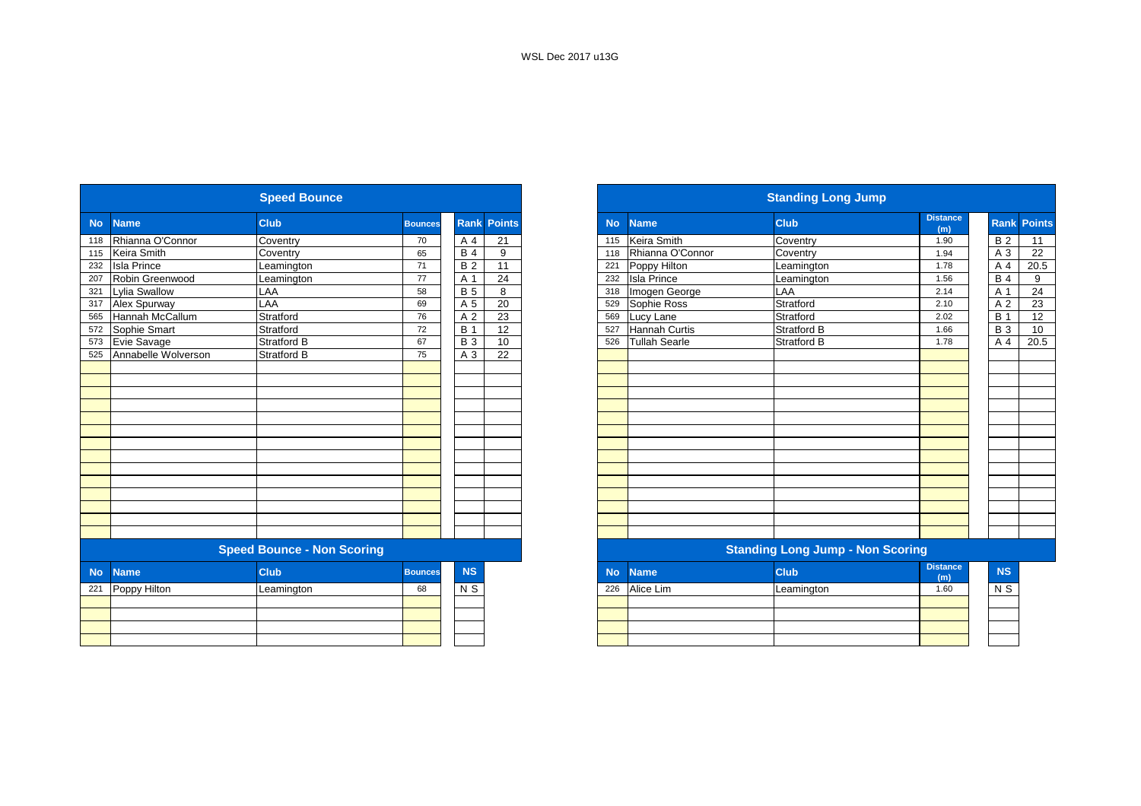|           |                     | <b>Speed Bounce</b>               |                |                 |                    |           |                      | <b>Standing Long Jump</b>               |                        |
|-----------|---------------------|-----------------------------------|----------------|-----------------|--------------------|-----------|----------------------|-----------------------------------------|------------------------|
| <b>No</b> | <b>Name</b>         | <b>Club</b>                       | <b>Bounces</b> |                 | <b>Rank Points</b> | <b>No</b> | <b>Name</b>          | <b>Club</b>                             | <b>Distance</b><br>(m) |
| 118       | Rhianna O'Connor    | Coventry                          | 70             | A 4             | 21                 | 115       | Keira Smith          | Coventry                                | 1.90                   |
| 115       | Keira Smith         | Coventry                          | 65             | <b>B4</b>       | 9                  | 118       | Rhianna O'Connor     | Coventry                                | 1.94                   |
| 232       | <b>Isla Prince</b>  | Leamington                        | 71             | $\overline{B2}$ | $\overline{11}$    | 221       | Poppy Hilton         | Leamington                              | 1.78                   |
| 207       | Robin Greenwood     | Leamington                        | 77             | A 1             | 24                 | 232       | <b>Isla Prince</b>   | Leamington                              | 1.56                   |
| 321       | Lylia Swallow       | LAA                               | 58             | <b>B</b> 5      | 8                  | 318       | Imogen George        | LAA                                     | 2.14                   |
| 317       | Alex Spurway        | LAA                               | 69             | A 5             | 20                 | 529       | Sophie Ross          | Stratford                               | 2.10                   |
| 565       | Hannah McCallum     | Stratford                         | 76             | A 2             | 23                 | 569       | Lucy Lane            | Stratford                               | 2.02                   |
| 572       | Sophie Smart        | Stratford                         | 72             | <b>B</b> 1      | 12                 | 527       | Hannah Curtis        | <b>Stratford B</b>                      | 1.66                   |
| 573       | Evie Savage         | <b>Stratford B</b>                | 67             | <b>B3</b>       | 10                 | 526       | <b>Tullah Searle</b> | <b>Stratford B</b>                      | 1.78                   |
| 525       | Annabelle Wolverson | <b>Stratford B</b>                | 75             | A 3             | 22                 |           |                      |                                         |                        |
|           |                     |                                   |                |                 |                    |           |                      |                                         |                        |
|           |                     |                                   |                |                 |                    |           |                      |                                         |                        |
|           |                     |                                   |                |                 |                    |           |                      |                                         |                        |
|           |                     |                                   |                |                 |                    |           |                      |                                         |                        |
|           |                     |                                   |                |                 |                    |           |                      |                                         |                        |
|           |                     |                                   |                |                 |                    |           |                      |                                         |                        |
|           |                     |                                   |                |                 |                    |           |                      |                                         |                        |
|           |                     |                                   |                |                 |                    |           |                      |                                         |                        |
|           |                     |                                   |                |                 |                    |           |                      |                                         |                        |
|           |                     |                                   |                |                 |                    |           |                      |                                         |                        |
|           |                     |                                   |                |                 |                    |           |                      |                                         |                        |
|           |                     |                                   |                |                 |                    |           |                      |                                         |                        |
|           |                     |                                   |                |                 |                    |           |                      |                                         |                        |
|           |                     |                                   |                |                 |                    |           |                      |                                         |                        |
|           |                     | <b>Speed Bounce - Non Scoring</b> |                |                 |                    |           |                      | <b>Standing Long Jump - Non Scoring</b> |                        |
| <b>No</b> | <b>Name</b>         | <b>Club</b>                       | <b>Bounces</b> | <b>NS</b>       |                    | <b>No</b> | <b>Name</b>          | <b>Club</b>                             | <b>Distance</b><br>(m) |
| 221       | Poppy Hilton        | Leamington                        | 68             | N S             |                    | 226       | Alice Lim            | Leamington                              | 1.60                   |
|           |                     |                                   |                |                 |                    |           |                      |                                         |                        |
|           |                     |                                   |                |                 |                    |           |                      |                                         |                        |
|           |                     |                                   |                |                 |                    |           |                      |                                         |                        |
|           |                     |                                   |                |                 |                    |           |                      |                                         |                        |
|           |                     |                                   |                |                 |                    |           |                      |                                         |                        |

|                  |                     | <b>Speed Bounce</b>               |                |                |                    |           |                      | <b>Standing Long Jump</b>               |                        |                |                    |
|------------------|---------------------|-----------------------------------|----------------|----------------|--------------------|-----------|----------------------|-----------------------------------------|------------------------|----------------|--------------------|
| <b>No</b>        | <b>Name</b>         | <b>Club</b>                       | <b>Bounces</b> |                | <b>Rank Points</b> | <b>No</b> | <b>Name</b>          | <b>Club</b>                             | <b>Distance</b><br>(m) |                | <b>Rank Points</b> |
| 118              | Rhianna O'Connor    | Coventry                          | 70             | A 4            | 21                 | 115       | Keira Smith          | Coventry                                | 1.90                   | <b>B2</b>      | 11                 |
| 115              | Keira Smith         | Coventry                          | 65             | <b>B4</b>      | 9                  | 118       | Rhianna O'Connor     | Coventry                                | 1.94                   | A 3            | 22                 |
| 232              | <b>Isla Prince</b>  | Leamington                        | 71             | <b>B2</b>      | 11                 | 221       | Poppy Hilton         | Leamington                              | 1.78                   | A 4            | 20.5               |
| 207              | Robin Greenwood     | Leamington                        | 77             | A 1            | 24                 | 232       | <b>Isla Prince</b>   | Leamington                              | 1.56                   | <b>B</b> 4     | 9                  |
| 321              | Lylia Swallow       | LAA                               | 58             | <b>B</b> 5     | 8                  | 318       | Imogen George        | LAA                                     | 2.14                   | A 1            | 24                 |
| 317              | Alex Spurway        | LAA                               | 69             | A 5            | 20                 | 529       | Sophie Ross          | Stratford                               | 2.10                   | A 2            | 23                 |
| 565              | Hannah McCallum     | Stratford                         | 76             | A <sub>2</sub> | 23                 | 569       | Lucy Lane            | Stratford                               | 2.02                   | <b>B</b> 1     | 12                 |
| 572              | Sophie Smart        | Stratford                         | 72             | <b>B</b> 1     | 12                 | 527       | <b>Hannah Curtis</b> | Stratford B                             | 1.66                   | <b>B</b> 3     | 10                 |
| 573              | Evie Savage         | <b>Stratford B</b>                | 67             | <b>B</b> 3     | 10                 | 526       | <b>Tullah Searle</b> | <b>Stratford B</b>                      | 1.78                   | A 4            | 20.5               |
| 525              | Annabelle Wolverson | <b>Stratford B</b>                | 75             | A 3            | 22                 |           |                      |                                         |                        |                |                    |
|                  |                     |                                   |                |                |                    |           |                      |                                         |                        |                |                    |
|                  |                     |                                   |                |                |                    |           |                      |                                         |                        |                |                    |
|                  |                     |                                   |                |                |                    |           |                      |                                         |                        |                |                    |
|                  |                     |                                   |                |                |                    |           |                      |                                         |                        |                |                    |
|                  |                     |                                   |                |                |                    |           |                      |                                         |                        |                |                    |
|                  |                     |                                   |                |                |                    |           |                      |                                         |                        |                |                    |
|                  |                     |                                   |                |                |                    |           |                      |                                         |                        |                |                    |
|                  |                     |                                   |                |                |                    |           |                      |                                         |                        |                |                    |
|                  |                     |                                   |                |                |                    |           |                      |                                         |                        |                |                    |
|                  |                     |                                   |                |                |                    |           |                      |                                         |                        |                |                    |
|                  |                     |                                   |                |                |                    |           |                      |                                         |                        |                |                    |
|                  |                     |                                   |                |                |                    |           |                      |                                         |                        |                |                    |
|                  |                     |                                   |                |                |                    |           |                      |                                         |                        |                |                    |
|                  |                     |                                   |                |                |                    |           |                      |                                         |                        |                |                    |
|                  |                     | <b>Speed Bounce - Non Scoring</b> |                |                |                    |           |                      | <b>Standing Long Jump - Non Scoring</b> |                        |                |                    |
| <b>No</b>        | <b>Name</b>         | <b>Club</b>                       | <b>Bounces</b> | <b>NS</b>      |                    | <b>No</b> | <b>Name</b>          | <b>Club</b>                             | <b>Distance</b><br>(m) | <b>NS</b>      |                    |
| $\overline{221}$ | Poppy Hilton        | Leamington                        | 68             | N <sub>S</sub> |                    | 226       | Alice Lim            | Leamington                              | 1.60                   | N <sub>S</sub> |                    |
|                  |                     |                                   |                |                |                    |           |                      |                                         |                        |                |                    |
|                  |                     |                                   |                |                |                    |           |                      |                                         |                        |                |                    |
|                  |                     |                                   |                |                |                    |           |                      |                                         |                        |                |                    |
|                  |                     |                                   |                |                |                    |           |                      |                                         |                        |                |                    |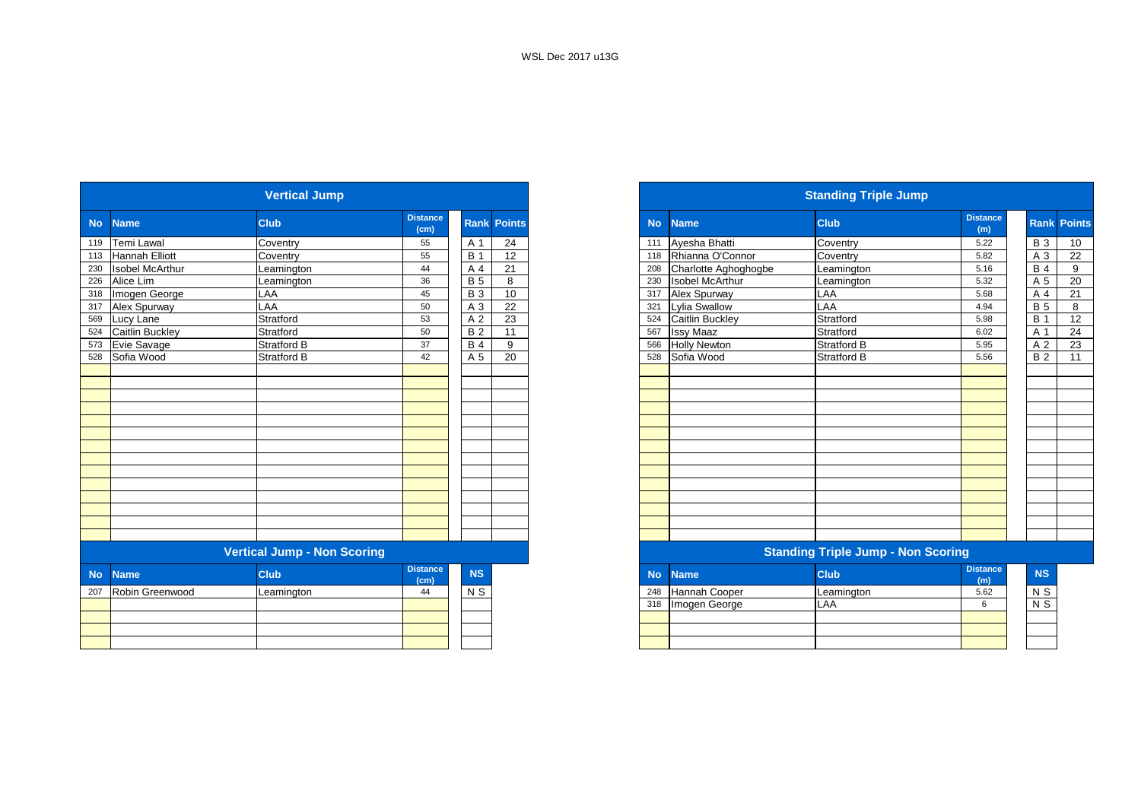|           |                        | <b>Vertical Jump</b>               |                         |                  |                    |
|-----------|------------------------|------------------------------------|-------------------------|------------------|--------------------|
| <b>No</b> | <b>Name</b>            | <b>Club</b>                        | <b>Distance</b><br>(cm) |                  | <b>Rank Points</b> |
| 119       | Temi Lawal             | Coventry                           | 55                      | A 1              | 24                 |
| 113       | Hannah Elliott         | Coventry                           | 55                      | $\overline{B}$ 1 | 12                 |
| 230       | <b>Isobel McArthur</b> | Leamington                         | 44                      | A 4              | 21                 |
| 226       | Alice Lim              | Leamington                         | 36                      | B <sub>5</sub>   | 8                  |
| 318       | Imogen George          | LAA                                | 45                      | $\overline{B}$ 3 | 10                 |
| 317       | Alex Spurway           | LAA                                | 50                      | A 3              | 22                 |
| 569       | Lucy Lane              | Stratford                          | 53                      | A 2              | 23                 |
| 524       | Caitlin Buckley        | Stratford                          | 50                      | $\overline{B2}$  | 11                 |
| 573       | Evie Savage            | <b>Stratford B</b>                 | 37                      | <b>B</b> 4       | 9                  |
| 528       | Sofia Wood             | Stratford B                        | 42                      | A 5              | 20                 |
|           |                        |                                    |                         |                  |                    |
|           |                        |                                    |                         |                  |                    |
|           |                        |                                    |                         |                  |                    |
|           |                        |                                    |                         |                  |                    |
|           |                        |                                    |                         |                  |                    |
|           |                        |                                    |                         |                  |                    |
|           |                        |                                    |                         |                  |                    |
|           |                        |                                    |                         |                  |                    |
|           |                        |                                    |                         |                  |                    |
|           |                        |                                    |                         |                  |                    |
|           |                        |                                    |                         |                  |                    |
|           |                        |                                    |                         |                  |                    |
|           |                        |                                    |                         |                  |                    |
|           |                        |                                    |                         |                  |                    |
|           |                        | <b>Vertical Jump - Non Scoring</b> |                         |                  |                    |
| <b>No</b> | <b>Name</b>            | <b>Club</b>                        | <b>Distance</b><br>(cm) | NS               |                    |
| 207       | Robin Greenwood        | Leamington                         | 44                      | $N$ S            |                    |
|           |                        |                                    |                         |                  |                    |
|           |                        |                                    |                         |                  |                    |
|           |                        |                                    |                         |                  |                    |
|           |                        |                                    |                         |                  |                    |
|           |                        |                                    |                         |                  |                    |

|           |                        | <b>Vertical Jump</b> |                         |            |                    |
|-----------|------------------------|----------------------|-------------------------|------------|--------------------|
| <b>No</b> | <b>Name</b>            | <b>Club</b>          | <b>Distance</b><br>(cm) |            | <b>Rank Points</b> |
|           | 119 Temi Lawal         | Coventry             | 55                      | A 1        | 24                 |
|           | 113 Hannah Elliott     | Coventry             | 55                      | <b>B</b> 1 | 12                 |
| 230       | <b>Isobel McArthur</b> | Leamington           | 44                      | A 4        | $\overline{21}$    |
| 226       | Alice Lim              | Leamington           | 36                      | <b>B</b> 5 | 8                  |
|           | 318 Imogen George      | LAA                  | 45                      | <b>B</b> 3 | 10                 |
| 317       | Alex Spurway           | LAA                  | 50                      | A 3        | 22                 |
|           | 569 Lucy Lane          | Stratford            | 53                      | A 2        | 23                 |
| 524       | <b>Caitlin Buckley</b> | Stratford            | 50                      | <b>B2</b>  | 11                 |
|           | 573 Evie Savage        | <b>Stratford B</b>   | 37                      | <b>B</b> 4 | 9                  |
|           | 528 Sofia Wood         | <b>Stratford B</b>   | 42                      | A 5        | 20                 |
|           |                        |                      |                         |            |                    |
|           |                        |                      |                         |            |                    |
|           |                        |                      |                         |            |                    |
|           |                        |                      |                         |            |                    |
|           |                        |                      |                         |            |                    |
|           |                        |                      |                         |            |                    |
|           |                        |                      |                         |            |                    |
|           |                        |                      |                         |            |                    |
|           |                        |                      |                         |            |                    |
|           |                        |                      |                         |            |                    |
|           |                        |                      |                         |            |                    |
|           |                        |                      |                         |            |                    |
|           |                        |                      |                         |            |                    |
|           |                        |                      |                         |            |                    |

#### **Vertical Jump - Non Scoring Standing Triple Jump - Non Scoring**

| <b>stance</b><br>(cm) | <b>NS</b>      | <b>No</b> | <b>Name</b>   | <b>Club</b> | <b>Distance</b><br>(m) |
|-----------------------|----------------|-----------|---------------|-------------|------------------------|
|                       | N <sub>S</sub> | 248       | Hannah Cooper | Leamington  | 5.62                   |
|                       |                | 318       | Imogen George | LAA         |                        |
|                       |                |           |               |             |                        |
|                       |                |           |               |             |                        |
|                       |                |           |               |             |                        |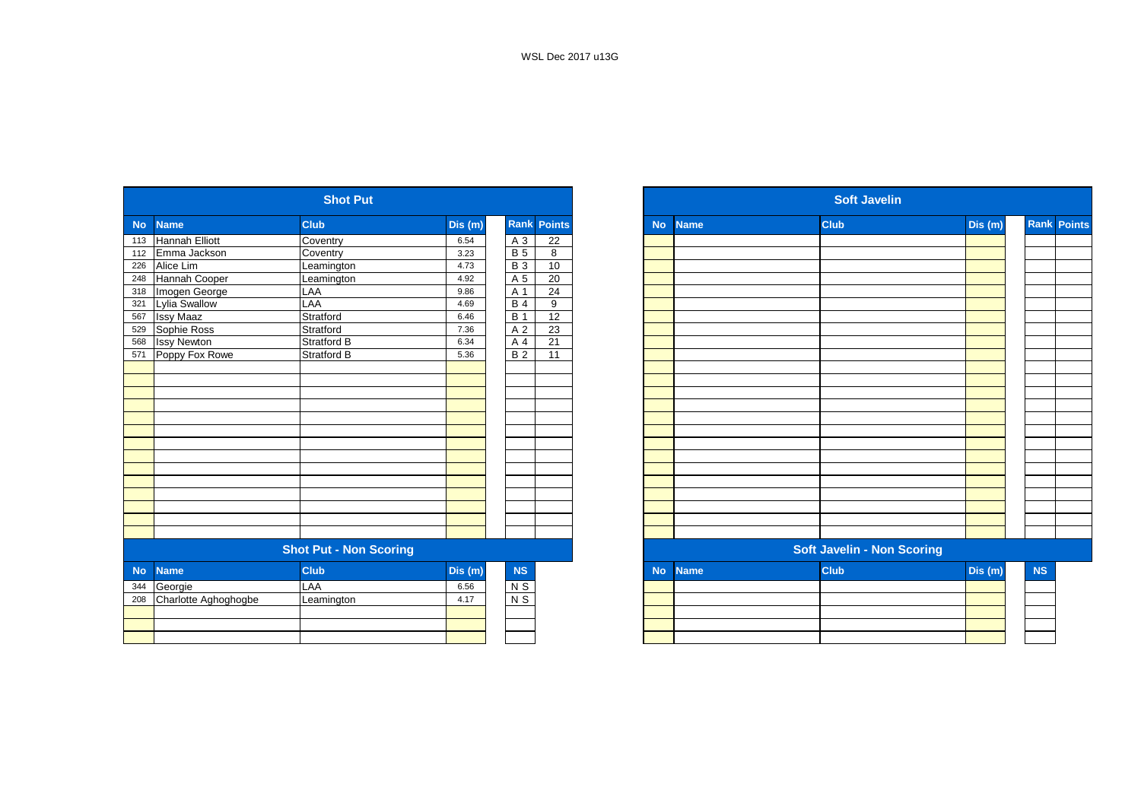|           |                       | <b>Shot Put</b>               |         |                |                    |           |             | <b>Soft Javelin</b>               |         |
|-----------|-----------------------|-------------------------------|---------|----------------|--------------------|-----------|-------------|-----------------------------------|---------|
| <b>No</b> | <b>Name</b>           | <b>Club</b>                   | Dis(m)  |                | <b>Rank Points</b> | <b>No</b> | <b>Name</b> | <b>Club</b>                       | Dis (m) |
| 113       | <b>Hannah Elliott</b> | Coventry                      | 6.54    | $A_3$          | 22                 |           |             |                                   |         |
| 112       | Emma Jackson          | Coventry                      | 3.23    | $\overline{B}$ | 8                  |           |             |                                   |         |
| 226       | Alice Lim             | Leamington                    | 4.73    | <b>B3</b>      | 10                 |           |             |                                   |         |
| 248       | Hannah Cooper         | Leamington                    | 4.92    | A 5            | 20                 |           |             |                                   |         |
| 318       | Imogen George         | LAA                           | 9.86    | A 1            | $\overline{24}$    |           |             |                                   |         |
| 321       | Lylia Swallow         | LAA                           | 4.69    | <b>B4</b>      | 9                  |           |             |                                   |         |
| 567       | <b>Issy Maaz</b>      | Stratford                     | 6.46    | <b>B</b> 1     | $\overline{12}$    |           |             |                                   |         |
| 529       | Sophie Ross           | Stratford                     | 7.36    | A 2            | 23                 |           |             |                                   |         |
| 568       | <b>Issy Newton</b>    | Stratford B                   | 6.34    | A 4            | 21                 |           |             |                                   |         |
| 571       | Poppy Fox Rowe        | Stratford B                   | 5.36    | <b>B2</b>      | 11                 |           |             |                                   |         |
|           |                       |                               |         |                |                    |           |             |                                   |         |
|           |                       |                               |         |                |                    |           |             |                                   |         |
|           |                       |                               |         |                |                    |           |             |                                   |         |
|           |                       |                               |         |                |                    |           |             |                                   |         |
|           |                       |                               |         |                |                    |           |             |                                   |         |
|           |                       |                               |         |                |                    |           |             |                                   |         |
|           |                       |                               |         |                |                    |           |             |                                   |         |
|           |                       |                               |         |                |                    |           |             |                                   |         |
|           |                       |                               |         |                |                    |           |             |                                   |         |
|           |                       |                               |         |                |                    |           |             |                                   |         |
|           |                       |                               |         |                |                    |           |             |                                   |         |
|           |                       |                               |         |                |                    |           |             |                                   |         |
|           |                       |                               |         |                |                    |           |             |                                   |         |
|           |                       |                               |         |                |                    |           |             |                                   |         |
|           |                       | <b>Shot Put - Non Scoring</b> |         |                |                    |           |             | <b>Soft Javelin - Non Scoring</b> |         |
| <b>No</b> | <b>Name</b>           | <b>Club</b>                   | Dis (m) | NS             |                    | <b>No</b> | <b>Name</b> | <b>Club</b>                       | Dis (m) |
| 344       | Georgie               | LAA                           | 6.56    | $N$ S          |                    |           |             |                                   |         |
| 208       | Charlotte Aghoghogbe  | Leamington                    | 4.17    | $N$ S          |                    |           |             |                                   |         |
|           |                       |                               |         |                |                    |           |             |                                   |         |
|           |                       |                               |         |                |                    |           |             |                                   |         |
|           |                       |                               |         |                |                    |           |             |                                   |         |

|                 |                      | <b>Shot Put</b>               |         |                |                    |           |             | <b>Soft Javelin</b>               |         |           |                    |  |
|-----------------|----------------------|-------------------------------|---------|----------------|--------------------|-----------|-------------|-----------------------------------|---------|-----------|--------------------|--|
| No              | <b>Name</b>          | <b>Club</b>                   | Dis (m) |                | <b>Rank Points</b> | <b>No</b> | <b>Name</b> | <b>Club</b>                       | Dis(m)  |           | <b>Rank Points</b> |  |
| 113             | Hannah Elliott       | Coventry                      | 6.54    | A 3            | 22                 |           |             |                                   |         |           |                    |  |
| 112             | Emma Jackson         | Coventry                      | 3.23    | <b>B</b> 5     | 8                  |           |             |                                   |         |           |                    |  |
| 226<br>248      | Alice Lim            | Leamington                    | 4.73    | <b>B</b> 3     | 10                 |           |             |                                   |         |           |                    |  |
|                 | Hannah Cooper        | Leamington                    | 4.92    | A 5            | 20                 |           |             |                                   |         |           |                    |  |
| 318             | Imogen George        | LAA                           | 9.86    | A 1            | $\overline{24}$    |           |             |                                   |         |           |                    |  |
| 321             | Lylia Swallow        | LAA                           | 4.69    | <b>B4</b>      | 9                  |           |             |                                   |         |           |                    |  |
| 567             | <b>Issy Maaz</b>     | Stratford                     | 6.46    | <b>B</b> 1     | 12                 |           |             |                                   |         |           |                    |  |
| 529<br>568      | Sophie Ross          | Stratford                     | 7.36    | A 2            | 23                 |           |             |                                   |         |           |                    |  |
|                 | <b>Issy Newton</b>   | Stratford B                   | 6.34    | A 4            | 21                 |           |             |                                   |         |           |                    |  |
| $\frac{1}{571}$ | Poppy Fox Rowe       | <b>Stratford B</b>            | 5.36    | B <sub>2</sub> | 11                 |           |             |                                   |         |           |                    |  |
|                 |                      |                               |         |                |                    |           |             |                                   |         |           |                    |  |
|                 |                      |                               |         |                |                    |           |             |                                   |         |           |                    |  |
|                 |                      |                               |         |                |                    |           |             |                                   |         |           |                    |  |
|                 |                      |                               |         |                |                    |           |             |                                   |         |           |                    |  |
|                 |                      |                               |         |                |                    |           |             |                                   |         |           |                    |  |
|                 |                      |                               |         |                |                    |           |             |                                   |         |           |                    |  |
|                 |                      |                               |         |                |                    |           |             |                                   |         |           |                    |  |
|                 |                      |                               |         |                |                    |           |             |                                   |         |           |                    |  |
|                 |                      |                               |         |                |                    |           |             |                                   |         |           |                    |  |
|                 |                      |                               |         |                |                    |           |             |                                   |         |           |                    |  |
|                 |                      |                               |         |                |                    |           |             |                                   |         |           |                    |  |
|                 |                      |                               |         |                |                    |           |             |                                   |         |           |                    |  |
|                 |                      |                               |         |                |                    |           |             |                                   |         |           |                    |  |
|                 |                      |                               |         |                |                    |           |             |                                   |         |           |                    |  |
|                 |                      | <b>Shot Put - Non Scoring</b> |         |                |                    |           |             | <b>Soft Javelin - Non Scoring</b> |         |           |                    |  |
| <b>No</b>       | <b>Name</b>          | <b>Club</b>                   | Dis(m)  | NS             |                    | <b>No</b> | <b>Name</b> | <b>Club</b>                       | Dis (m) | <b>NS</b> |                    |  |
| 344             | Georgie              | LAA                           | 6.56    | $N$ S          |                    |           |             |                                   |         |           |                    |  |
| 208             | Charlotte Aghoghogbe | Leamington                    | 4.17    | $N$ S          |                    |           |             |                                   |         |           |                    |  |
|                 |                      |                               |         |                |                    |           |             |                                   |         |           |                    |  |
|                 |                      |                               |         |                |                    |           |             |                                   |         |           |                    |  |
|                 |                      |                               |         |                |                    |           |             |                                   |         |           |                    |  |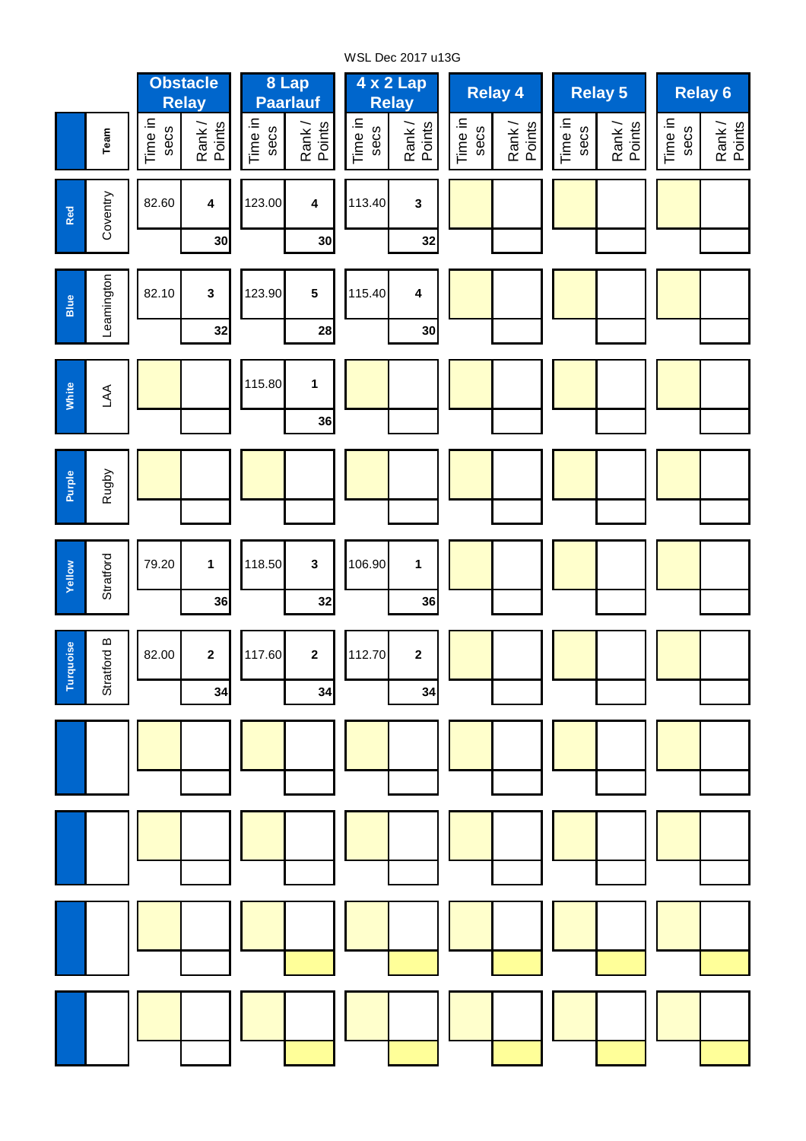**Team** Tim e in secsœς ank / Points Tim e in secsœ ank / Points Tim e in secsœς ank / Points Tim e in secsœς ank / Points Tim e in secsœς ank / Points Tim e in secsœς ank / Points **30 30 32 32 28 30 36 36 32 36 34 34 34 3 1** 106.90 **2 2** 118.50 112.70 **1** 117.60 **Yellow Stratford Turquoise** Stratford B **2** 79.20 **Purple** Rugby 82.00 **1** Leamington 82.10 **Blue White** LA A123.90 **3 5** 115.40 115.80 **4 3 Relay 5 4 x 2 Lap Relay 4 Relay 6 Relay A A t t A t** 123.00 **4** 113.40 **A t 8 Lap Paarlauf Red Coventry** 82.60 **4 Obstacle Relay A t**

WSL Dec 2017 u13G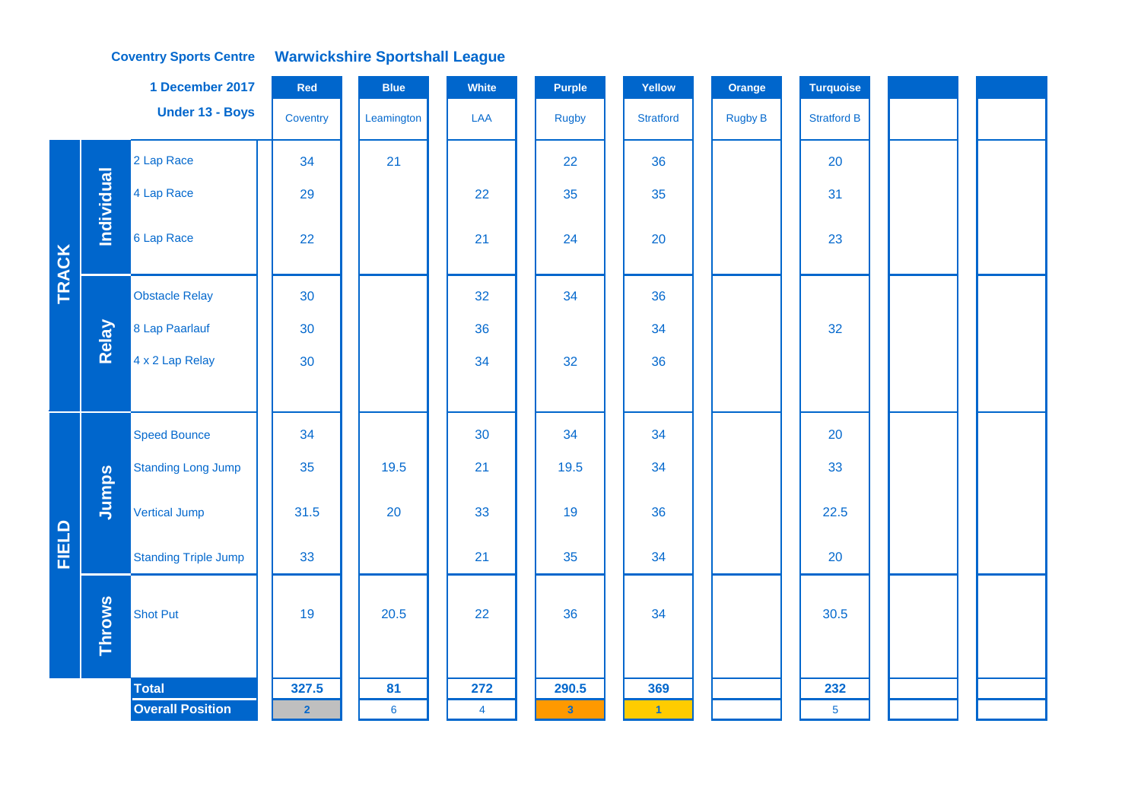## **Coventry Sports Centre Warwickshire Sportshall League**

|              |               | 1 December 2017             | Red            | <b>Blue</b>    | White          | <b>Purple</b> | Yellow           | Orange         | <b>Turquoise</b>   |  |  |
|--------------|---------------|-----------------------------|----------------|----------------|----------------|---------------|------------------|----------------|--------------------|--|--|
|              |               | Under 13 - Boys             | Coventry       | Leamington     | LAA            | Rugby         | <b>Stratford</b> | <b>Rugby B</b> | <b>Stratford B</b> |  |  |
|              |               | 2 Lap Race                  | 34             | 21             |                | 22            | 36               |                | 20                 |  |  |
|              | Individual    | 4 Lap Race                  | 29             |                | 22             | 35            | 35               |                | 31                 |  |  |
| <b>TRACK</b> |               | 6 Lap Race                  | 22             |                | 21             | 24            | 20               |                | 23                 |  |  |
|              |               | <b>Obstacle Relay</b>       | 30             |                | 32             | 34            | 36               |                |                    |  |  |
|              | Relay         | 8 Lap Paarlauf              | 30             |                | 36             |               | 34               |                | 32                 |  |  |
|              |               | 4 x 2 Lap Relay             | 30             |                | 34             | 32            | 36               |                |                    |  |  |
|              |               |                             |                |                |                |               |                  |                |                    |  |  |
|              |               | <b>Speed Bounce</b>         | 34             |                | 30             | 34            | 34               |                | 20                 |  |  |
|              |               | <b>Standing Long Jump</b>   | 35             | 19.5           | 21             | 19.5          | 34               |                | 33                 |  |  |
|              | Jumps         | <b>Vertical Jump</b>        | 31.5           | 20             | 33             | 19            | 36               |                | 22.5               |  |  |
| <b>FIELD</b> |               | <b>Standing Triple Jump</b> | 33             |                | 21             | 35            | 34               |                | 20                 |  |  |
|              | <b>Throws</b> | <b>Shot Put</b>             | 19             | 20.5           | 22             | 36            | 34               |                | 30.5               |  |  |
|              |               | <b>Total</b>                | 327.5          | 81             | 272            | 290.5         | 369              |                | 232                |  |  |
|              |               | <b>Overall Position</b>     | $\overline{2}$ | $6\phantom{a}$ | $\overline{4}$ | $\bf{3}$      | $\vert$ 1        |                | $\overline{5}$     |  |  |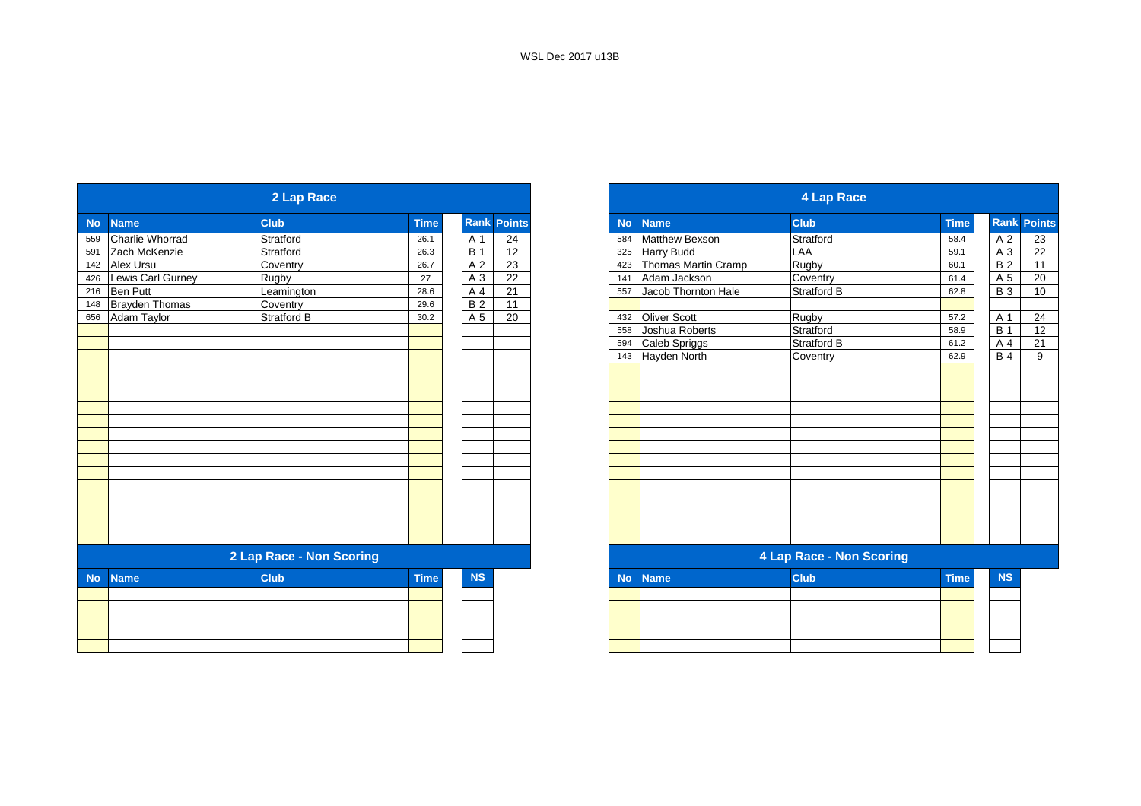|           |                       | 2 Lap Race               |             |                  |                    |           |                       | <b>4 Lap Race</b>        |             |
|-----------|-----------------------|--------------------------|-------------|------------------|--------------------|-----------|-----------------------|--------------------------|-------------|
| <b>No</b> | <b>Name</b>           | <b>Club</b>              | <b>Time</b> |                  | <b>Rank Points</b> | <b>No</b> | <b>Name</b>           | <b>Club</b>              | <b>Time</b> |
| 559       | Charlie Whorrad       | Stratford                | 26.1        | A 1              | 24                 | 584       | <b>Matthew Bexson</b> | Stratford                | 58.4        |
| 591       | Zach McKenzie         | Stratford                | 26.3        | $\overline{B}$ 1 | 12                 | 325       | <b>Harry Budd</b>     | LAA                      | 59.1        |
| 142       | Alex Ursu             | Coventry                 | 26.7        | A 2              | 23                 | 423       | Thomas Martin Cramp   | Rugby                    | 60.1        |
| 426       | Lewis Carl Gurney     | <b>Rugby</b>             | 27          | A 3              | 22                 | 141       | Adam Jackson          | Coventry                 | 61.4        |
| 216       | Ben Putt              | Leamington               | 28.6        | A 4              | 21                 | 557       | Jacob Thornton Hale   | <b>Stratford B</b>       | 62.8        |
| 148       | <b>Brayden Thomas</b> | Coventry                 | 29.6        | $\overline{B2}$  | 11                 |           |                       |                          |             |
| 656       | Adam Taylor           | Stratford B              | 30.2        | A 5              | 20                 | 432       | <b>Oliver Scott</b>   | <b>Rugby</b>             | 57.2        |
|           |                       |                          |             |                  |                    | 558       | Joshua Roberts        | Stratford                | 58.9        |
|           |                       |                          |             |                  |                    | 594       | Caleb Spriggs         | Stratford B              | 61.2        |
|           |                       |                          |             |                  |                    |           | 143 Hayden North      | Coventry                 | 62.9        |
|           |                       |                          |             |                  |                    |           |                       |                          |             |
|           |                       |                          |             |                  |                    |           |                       |                          |             |
|           |                       |                          |             |                  |                    |           |                       |                          |             |
|           |                       |                          |             |                  |                    |           |                       |                          |             |
|           |                       |                          |             |                  |                    |           |                       |                          |             |
|           |                       |                          |             |                  |                    |           |                       |                          |             |
|           |                       |                          |             |                  |                    |           |                       |                          |             |
|           |                       |                          |             |                  |                    |           |                       |                          |             |
|           |                       |                          |             |                  |                    |           |                       |                          |             |
|           |                       |                          |             |                  |                    |           |                       |                          |             |
|           |                       |                          |             |                  |                    |           |                       |                          |             |
|           |                       |                          |             |                  |                    |           |                       |                          |             |
|           |                       |                          |             |                  |                    |           |                       |                          |             |
|           |                       |                          |             |                  |                    |           |                       |                          |             |
|           |                       | 2 Lap Race - Non Scoring |             |                  |                    |           |                       | 4 Lap Race - Non Scoring |             |
| <b>No</b> | <b>Name</b>           | <b>Club</b>              | <b>Time</b> | <b>NS</b>        |                    | <b>No</b> | <b>Name</b>           | <b>Club</b>              | <b>Time</b> |
|           |                       |                          |             |                  |                    |           |                       |                          |             |
|           |                       |                          |             |                  |                    |           |                       |                          |             |
|           |                       |                          |             |                  |                    |           |                       |                          |             |
|           |                       |                          |             |                  |                    |           |                       |                          |             |
|           |                       |                          |             |                  |                    |           |                       |                          |             |

|                  |                       | 2 Lap Race               |             |            |               |
|------------------|-----------------------|--------------------------|-------------|------------|---------------|
| <b>No</b>        | <b>Name</b>           | <b>Club</b>              | <b>Time</b> | Rank       | <b>Points</b> |
| 559              | Charlie Whorrad       | Stratford                | 26.1        | A 1        | 24            |
| 591              | Zach McKenzie         | Stratford                | 26.3        | <b>B</b> 1 | 12            |
| 142              | <b>Alex Ursu</b>      | Coventry                 | 26.7        | A 2        | 23            |
| 426              | Lewis Carl Gurney     | Rugby                    | 27          | $A_3$      | 22            |
| 216              | Ben Putt              | Leamington               | 28.6        | A 4        | 21            |
| $\overline{148}$ | <b>Brayden Thomas</b> | Coventry                 | 29.6        | <b>B2</b>  | 11            |
| 656              | <b>Adam Taylor</b>    | <b>Stratford B</b>       | 30.2        | A 5        | 20            |
|                  |                       |                          |             |            |               |
|                  |                       |                          |             |            |               |
|                  |                       |                          |             |            |               |
|                  |                       |                          |             |            |               |
|                  |                       |                          |             |            |               |
|                  |                       |                          |             |            |               |
|                  |                       |                          |             |            |               |
|                  |                       |                          |             |            |               |
|                  |                       |                          |             |            |               |
|                  |                       |                          |             |            |               |
|                  |                       |                          |             |            |               |
|                  |                       |                          |             |            |               |
|                  |                       |                          |             |            |               |
|                  |                       |                          |             |            |               |
|                  |                       |                          |             |            |               |
|                  |                       |                          |             |            |               |
|                  |                       |                          |             |            |               |
|                  |                       | 2 Lap Race - Non Scoring |             |            |               |
| <b>No</b>        | <b>Name</b>           | <b>Club</b>              | <b>Time</b> | <b>NS</b>  |               |
|                  |                       |                          |             |            |               |
|                  |                       |                          |             |            |               |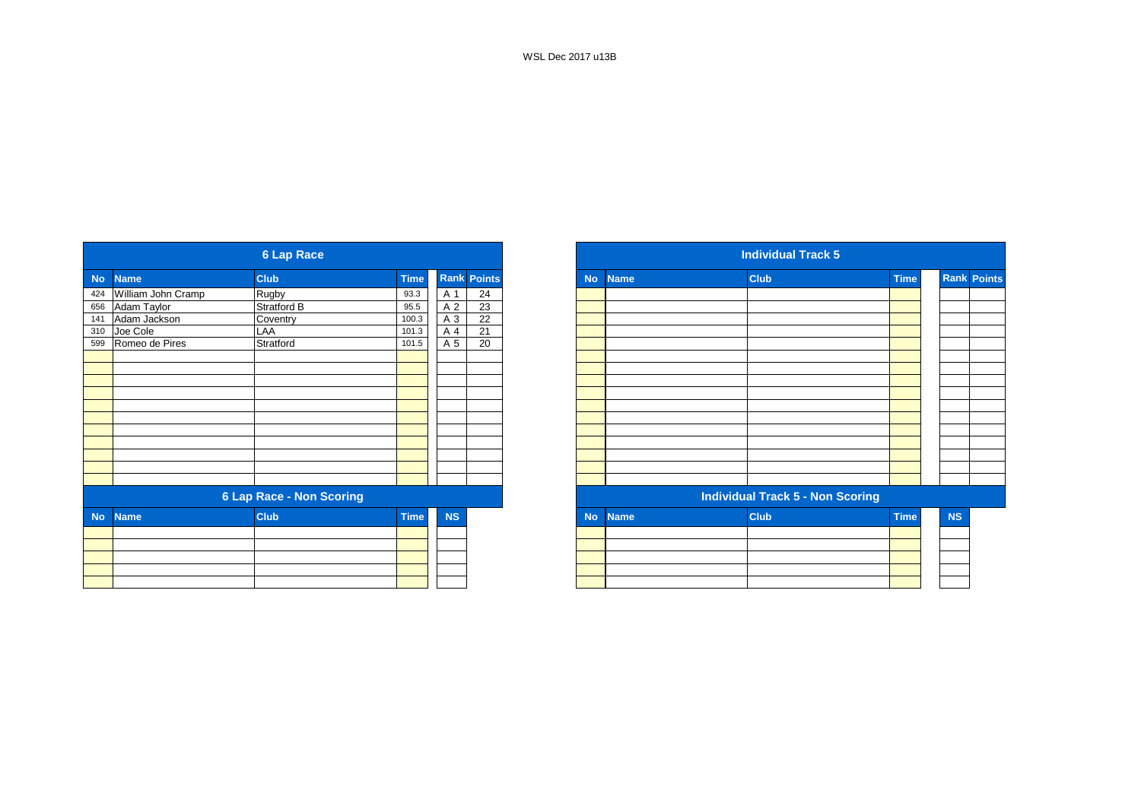|           |                        | <b>6 Lap Race</b>               |             |           |                    |
|-----------|------------------------|---------------------------------|-------------|-----------|--------------------|
| <b>No</b> | <b>Name</b>            | <b>Club</b>                     | <b>Time</b> |           | <b>Rank Points</b> |
|           | 424 William John Cramp | Rugby                           | 93.3        | A 1       | 24                 |
| 656       | Adam Taylor            | <b>Stratford B</b>              | 95.5        | A 2       | 23                 |
| 141       | Adam Jackson           | Coventry                        | 100.3       | A 3       | $\overline{22}$    |
| 310       | Joe Cole               | LAA                             | 101.3       | A 4       | 21                 |
| 599       | Romeo de Pires         | Stratford                       | 101.5       | A 5       | 20                 |
|           |                        |                                 |             |           |                    |
|           |                        |                                 |             |           |                    |
|           |                        |                                 |             |           |                    |
|           |                        |                                 |             |           |                    |
|           |                        |                                 |             |           |                    |
|           |                        |                                 |             |           |                    |
|           |                        |                                 |             |           |                    |
|           |                        |                                 |             |           |                    |
|           |                        |                                 |             |           |                    |
|           |                        |                                 |             |           |                    |
|           |                        |                                 |             |           |                    |
|           |                        | <b>6 Lap Race - Non Scoring</b> |             |           |                    |
| <b>No</b> | <b>Name</b>            | <b>Club</b>                     | <b>Time</b> | <b>NS</b> |                    |
|           |                        |                                 |             |           |                    |
|           |                        |                                 |             |           |                    |
|           |                        |                                 |             |           |                    |
|           |                        |                                 |             |           |                    |
|           |                        |                                 |             |           |                    |

| <b>Rank Points</b><br><b>Club</b><br><b>Time</b><br><b>Club</b><br><b>Time</b><br><b>No</b><br><b>Name</b><br>424 William John Cramp<br>Rugby<br>24<br>93.3<br>A 1<br>Adam Taylor<br>23<br>Stratford B<br>A 2<br>95.5<br>$\overline{22}$<br>Adam Jackson<br>Coventry<br>A 3<br>100.3 |
|--------------------------------------------------------------------------------------------------------------------------------------------------------------------------------------------------------------------------------------------------------------------------------------|
|                                                                                                                                                                                                                                                                                      |
|                                                                                                                                                                                                                                                                                      |
|                                                                                                                                                                                                                                                                                      |
|                                                                                                                                                                                                                                                                                      |
| LAA<br>A 4<br>21<br>101.3                                                                                                                                                                                                                                                            |
| Romeo de Pires<br>Stratford<br>20<br>A 5<br>101.5                                                                                                                                                                                                                                    |
|                                                                                                                                                                                                                                                                                      |
|                                                                                                                                                                                                                                                                                      |
|                                                                                                                                                                                                                                                                                      |
|                                                                                                                                                                                                                                                                                      |
|                                                                                                                                                                                                                                                                                      |
|                                                                                                                                                                                                                                                                                      |
|                                                                                                                                                                                                                                                                                      |
|                                                                                                                                                                                                                                                                                      |
|                                                                                                                                                                                                                                                                                      |
|                                                                                                                                                                                                                                                                                      |
|                                                                                                                                                                                                                                                                                      |
| <b>6 Lap Race - Non Scoring</b><br><b>Individual Track 5 - Non Scoring</b>                                                                                                                                                                                                           |
| <b>Club</b><br><b>Time</b><br><b>NS</b><br><b>Club</b><br><b>Time</b><br><b>No</b><br><b>Name</b>                                                                                                                                                                                    |
|                                                                                                                                                                                                                                                                                      |
|                                                                                                                                                                                                                                                                                      |
|                                                                                                                                                                                                                                                                                      |
|                                                                                                                                                                                                                                                                                      |
|                                                                                                                                                                                                                                                                                      |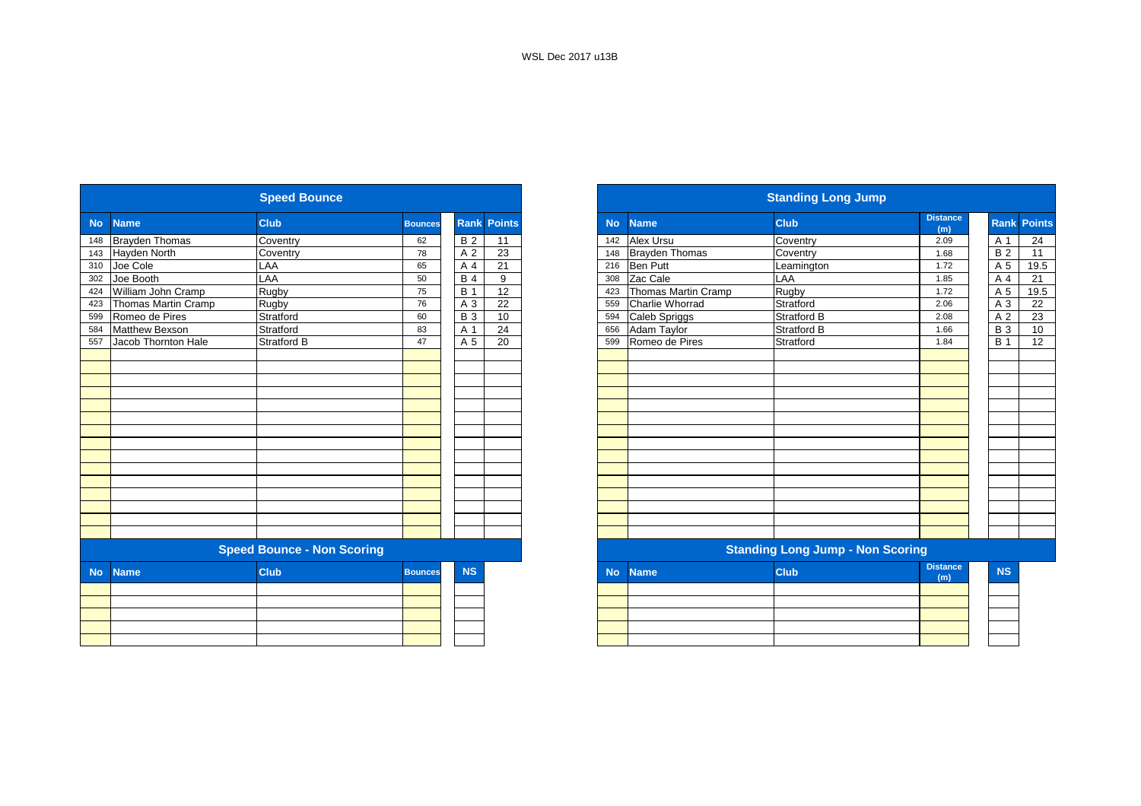|           |                       | <b>Speed Bounce</b>               |                |                |                    |           |                       | <b>Standing Long Jump</b>               |                        |
|-----------|-----------------------|-----------------------------------|----------------|----------------|--------------------|-----------|-----------------------|-----------------------------------------|------------------------|
| <b>No</b> | <b>Name</b>           | <b>Club</b>                       | <b>Bounces</b> |                | <b>Rank Points</b> | <b>No</b> | <b>Name</b>           | <b>Club</b>                             | <b>Distance</b><br>(m) |
| 148       | <b>Brayden Thomas</b> | Coventry                          | 62             | <b>B2</b>      | 11                 | 142       | Alex Ursu             | Coventry                                | 2.09                   |
| 143       | Hayden North          | Coventry                          | 78             | A <sub>2</sub> | 23                 | 148       | <b>Brayden Thomas</b> | Coventry                                | 1.68                   |
| 310       | Joe Cole              | LAA                               | 65             | A 4            | 21                 | 216       | <b>Ben Putt</b>       | Leamington                              | 1.72                   |
| 302       | Joe Booth             | LAA                               | 50             | <b>B4</b>      | 9                  | 308       | Zac Cale              | LAA                                     | 1.85                   |
| 424       | William John Cramp    | Rugby                             | 75             | <b>B</b> 1     | 12                 | 423       | Thomas Martin Cramp   | Rugby                                   | 1.72                   |
| 423       | Thomas Martin Cramp   | Rugby                             | 76             | A 3            | 22                 |           | 559 Charlie Whorrad   | Stratford                               | 2.06                   |
| 599       | Romeo de Pires        | Stratford                         | 60             | <b>B3</b>      | 10                 | 594       | Caleb Spriggs         | Stratford B                             | 2.08                   |
| 584       | <b>Matthew Bexson</b> | Stratford                         | 83             | A 1            | 24                 | 656       | Adam Taylor           | Stratford B                             | 1.66                   |
| 557       | Jacob Thornton Hale   | <b>Stratford B</b>                | 47             | A 5            | 20                 | 599       | Romeo de Pires        | Stratford                               | 1.84                   |
|           |                       |                                   |                |                |                    |           |                       |                                         |                        |
|           |                       |                                   |                |                |                    |           |                       |                                         |                        |
|           |                       |                                   |                |                |                    |           |                       |                                         |                        |
|           |                       |                                   |                |                |                    |           |                       |                                         |                        |
|           |                       |                                   |                |                |                    |           |                       |                                         |                        |
|           |                       |                                   |                |                |                    |           |                       |                                         |                        |
|           |                       |                                   |                |                |                    |           |                       |                                         |                        |
|           |                       |                                   |                |                |                    |           |                       |                                         |                        |
|           |                       |                                   |                |                |                    |           |                       |                                         |                        |
|           |                       |                                   |                |                |                    |           |                       |                                         |                        |
|           |                       |                                   |                |                |                    |           |                       |                                         |                        |
|           |                       |                                   |                |                |                    |           |                       |                                         |                        |
|           |                       |                                   |                |                |                    |           |                       |                                         |                        |
|           |                       |                                   |                |                |                    |           |                       |                                         |                        |
|           |                       |                                   |                |                |                    |           |                       |                                         |                        |
|           |                       | <b>Speed Bounce - Non Scoring</b> |                |                |                    |           |                       | <b>Standing Long Jump - Non Scoring</b> |                        |
| <b>No</b> | <b>Name</b>           | <b>Club</b>                       | <b>Bounces</b> | <b>NS</b>      |                    | <b>No</b> | <b>Name</b>           | <b>Club</b>                             | <b>Distance</b><br>(m) |
|           |                       |                                   |                |                |                    |           |                       |                                         |                        |
|           |                       |                                   |                |                |                    |           |                       |                                         |                        |
|           |                       |                                   |                |                |                    |           |                       |                                         |                        |
|           |                       |                                   |                |                |                    |           |                       |                                         |                        |
|           |                       |                                   |                |                |                    |           |                       |                                         |                        |

|                  |                     | <b>Speed Bounce</b>               |                |             |                 |           |                       | <b>Standing Long Jump</b>               |                        |            |                    |
|------------------|---------------------|-----------------------------------|----------------|-------------|-----------------|-----------|-----------------------|-----------------------------------------|------------------------|------------|--------------------|
| <b>No</b>        | <b>Name</b>         | <b>Club</b>                       | <b>Bounces</b> | <b>Rank</b> | <b>Points</b>   | <b>No</b> | <b>Name</b>           | <b>Club</b>                             | <b>Distance</b><br>(m) |            | <b>Rank Points</b> |
| 148              | Brayden Thomas      | Coventry                          | 62             | <b>B2</b>   | 11              | 142       | <b>Alex Ursu</b>      | Coventry                                | 2.09                   | A 1        | 24                 |
| 143              | Hayden North        | Coventry                          | 78             | A 2         | 23              | 148       | <b>Brayden Thomas</b> | Coventry                                | 1.68                   | <b>B2</b>  | 11                 |
| 310              | Joe Cole            | LAA                               | 65             | A 4         | 21              | 216       | <b>Ben Putt</b>       | Leamington                              | 1.72                   | A 5        | 19.5               |
| $\overline{302}$ | Joe Booth           | LAA                               | 50             | <b>B</b> 4  | 9               | 308       | Zac Cale              | LAA                                     | 1.85                   | A 4        | 21                 |
| 424              | William John Cramp  | Rugby                             | 75             | <b>B</b> 1  | $\overline{12}$ | 423       | Thomas Martin Cramp   | Rugby                                   | 1.72                   | A 5        | 19.5               |
| 423              | Thomas Martin Cramp | Rugby                             | 76             | A 3         | 22              | 559       | Charlie Whorrad       | Stratford                               | 2.06                   | A 3        | 22                 |
| 599              | Romeo de Pires      | Stratford                         | 60             | <b>B</b> 3  | 10              | 594       | Caleb Spriggs         | Stratford B                             | 2.08                   | A 2        | 23                 |
| 584              | Matthew Bexson      | Stratford                         | 83             | A 1         | 24              | 656       | Adam Taylor           | Stratford B                             | 1.66                   | <b>B</b> 3 | 10                 |
| 557              | Jacob Thornton Hale | <b>Stratford B</b>                | 47             | A 5         | 20              | 599       | Romeo de Pires        | Stratford                               | 1.84                   | <b>B</b> 1 | 12                 |
|                  |                     |                                   |                |             |                 |           |                       |                                         |                        |            |                    |
|                  |                     |                                   |                |             |                 |           |                       |                                         |                        |            |                    |
|                  |                     |                                   |                |             |                 |           |                       |                                         |                        |            |                    |
|                  |                     |                                   |                |             |                 |           |                       |                                         |                        |            |                    |
|                  |                     |                                   |                |             |                 |           |                       |                                         |                        |            |                    |
|                  |                     |                                   |                |             |                 |           |                       |                                         |                        |            |                    |
|                  |                     |                                   |                |             |                 |           |                       |                                         |                        |            |                    |
|                  |                     |                                   |                |             |                 |           |                       |                                         |                        |            |                    |
|                  |                     |                                   |                |             |                 |           |                       |                                         |                        |            |                    |
|                  |                     |                                   |                |             |                 |           |                       |                                         |                        |            |                    |
|                  |                     |                                   |                |             |                 |           |                       |                                         |                        |            |                    |
|                  |                     |                                   |                |             |                 |           |                       |                                         |                        |            |                    |
|                  |                     |                                   |                |             |                 |           |                       |                                         |                        |            |                    |
|                  |                     |                                   |                |             |                 |           |                       |                                         |                        |            |                    |
|                  |                     | <b>Speed Bounce - Non Scoring</b> |                |             |                 |           |                       | <b>Standing Long Jump - Non Scoring</b> |                        |            |                    |
| <b>No</b>        | <b>Name</b>         | <b>Club</b>                       | <b>Bounces</b> | <b>NS</b>   |                 | <b>No</b> | <b>Name</b>           | <b>Club</b>                             | <b>Distance</b><br>(m) | <b>NS</b>  |                    |
|                  |                     |                                   |                |             |                 |           |                       |                                         |                        |            |                    |
|                  |                     |                                   |                |             |                 |           |                       |                                         |                        |            |                    |
|                  |                     |                                   |                |             |                 |           |                       |                                         |                        |            |                    |
|                  |                     |                                   |                |             |                 |           |                       |                                         |                        |            |                    |
|                  |                     |                                   |                |             |                 |           |                       |                                         |                        |            |                    |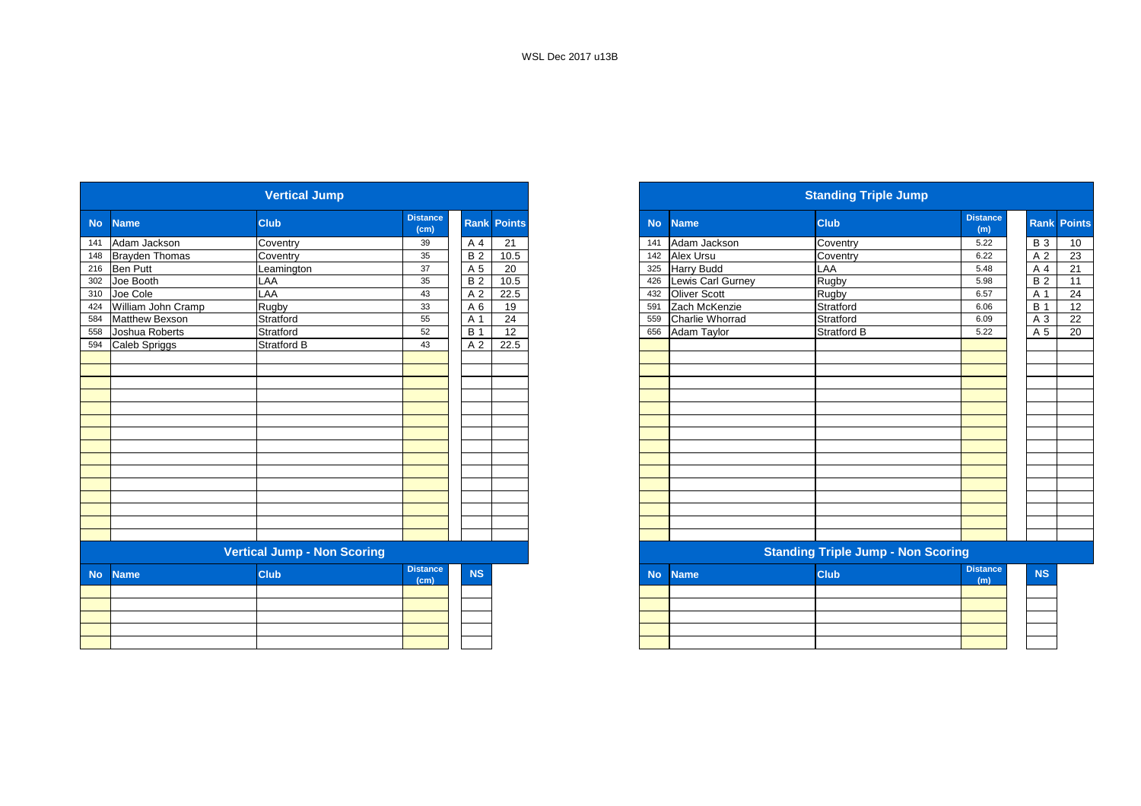|           |                       | <b>Vertical Jump</b>               |                         |                |                    |
|-----------|-----------------------|------------------------------------|-------------------------|----------------|--------------------|
| <b>No</b> | <b>Name</b>           | <b>Club</b>                        | <b>Distance</b><br>(cm) |                | <b>Rank Points</b> |
| 141       | Adam Jackson          | Coventry                           | 39                      | A 4            | 21                 |
| 148       | <b>Brayden Thomas</b> | Coventry                           | 35                      | <b>B2</b>      | 10.5               |
| 216       | <b>Ben Putt</b>       | Leamington                         | 37                      | A 5            | 20                 |
| 302       | Joe Booth             | LAA                                | 35                      | <b>B2</b>      | 10.5               |
| 310       | Joe Cole              | LAA                                | 43                      | A <sub>2</sub> | 22.5               |
| 424       | William John Cramp    | Rugby                              | 33                      | A <sub>6</sub> | 19                 |
| 584       | <b>Matthew Bexson</b> | Stratford                          | 55                      | A 1            | 24                 |
| 558       | Joshua Roberts        | Stratford                          | 52                      | <b>B</b> 1     | 12                 |
| 594       | Caleb Spriggs         | Stratford B                        | 43                      | A <sub>2</sub> | 22.5               |
|           |                       |                                    |                         |                |                    |
|           |                       |                                    |                         |                |                    |
|           |                       |                                    |                         |                |                    |
|           |                       |                                    |                         |                |                    |
|           |                       |                                    |                         |                |                    |
|           |                       |                                    |                         |                |                    |
|           |                       |                                    |                         |                |                    |
|           |                       |                                    |                         |                |                    |
|           |                       |                                    |                         |                |                    |
|           |                       |                                    |                         |                |                    |
|           |                       |                                    |                         |                |                    |
|           |                       |                                    |                         |                |                    |
|           |                       |                                    |                         |                |                    |
|           |                       |                                    |                         |                |                    |
|           |                       |                                    |                         |                |                    |
|           |                       | <b>Vertical Jump - Non Scoring</b> |                         |                |                    |
| <b>No</b> | <b>Name</b>           | <b>Club</b>                        | <b>Distance</b><br>(cm) | <b>NS</b>      |                    |
|           |                       |                                    |                         |                |                    |
|           |                       |                                    |                         |                |                    |
|           |                       |                                    |                         |                |                    |
|           |                       |                                    |                         |                |                    |
|           |                       |                                    |                         |                |                    |

|           |                       | <b>Vertical Jump</b>               |                         |                  |                    |
|-----------|-----------------------|------------------------------------|-------------------------|------------------|--------------------|
|           | <b>Name</b>           | <b>Club</b>                        | <b>Distance</b><br>(cm) |                  | <b>Rank Points</b> |
|           | Adam Jackson          | Coventry                           | 39                      | A 4              | 21                 |
|           | 148 Brayden Thomas    | Coventry                           | 35                      | $\overline{B}$ 2 | 10.5               |
|           | 216 Ben Putt          | Leamington                         | 37                      | A 5              | 20                 |
|           | 302 Joe Booth         | LAA                                | 35                      | <b>B2</b>        | 10.5               |
|           | 310 Joe Cole          | LAA                                | 43                      | A 2              | 22.5               |
|           | William John Cramp    | Rugby                              | 33                      | A 6              | 19                 |
|           | <b>Matthew Bexson</b> | Stratford                          | 55                      | A 1              | 24                 |
|           | Joshua Roberts        | Stratford                          | 52                      | <b>B</b> 1       | 12                 |
|           | 594 Caleb Spriggs     | <b>Stratford B</b>                 | 43                      | A 2              | 22.5               |
|           |                       |                                    |                         |                  |                    |
|           |                       |                                    |                         |                  |                    |
|           |                       |                                    |                         |                  |                    |
|           |                       |                                    |                         |                  |                    |
|           |                       |                                    |                         |                  |                    |
|           |                       |                                    |                         |                  |                    |
|           |                       |                                    |                         |                  |                    |
|           |                       |                                    |                         |                  |                    |
|           |                       |                                    |                         |                  |                    |
|           |                       |                                    |                         |                  |                    |
|           |                       |                                    |                         |                  |                    |
|           |                       |                                    |                         |                  |                    |
|           |                       |                                    |                         |                  |                    |
|           |                       |                                    |                         |                  |                    |
|           |                       |                                    |                         |                  |                    |
|           |                       | <b>Vertical Jump - Non Scoring</b> |                         |                  |                    |
| <b>No</b> | <b>Name</b>           | <b>Club</b>                        | <b>Distance</b><br>(cm) | <b>NS</b>        |                    |
|           |                       |                                    |                         |                  |                    |
|           |                       |                                    |                         |                  |                    |
|           |                       |                                    |                         |                  |                    |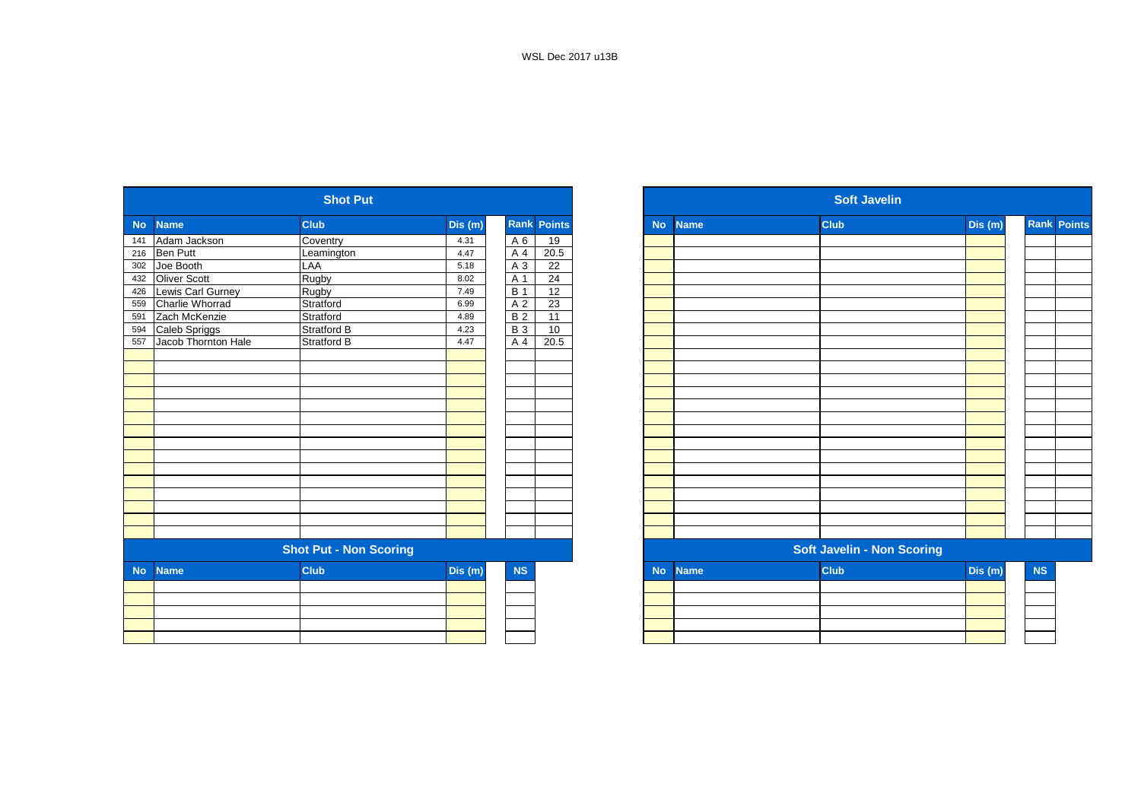|           |                     | <b>Shot Put</b>               |         |                  |                    |
|-----------|---------------------|-------------------------------|---------|------------------|--------------------|
| <b>No</b> | <b>Name</b>         | <b>Club</b>                   | Dis (m) |                  | <b>Rank Points</b> |
| 141       | Adam Jackson        | Coventry                      | 4.31    | A 6              | 19                 |
| 216       | <b>Ben Putt</b>     | Leamington                    | 4.47    | A 4              | 20.5               |
| 302       | Joe Booth           | LAA                           | 5.18    | A 3              | 22                 |
| 432       | <b>Oliver Scott</b> | Rugby                         | 8.02    | A 1              | 24                 |
| 426       | Lewis Carl Gurney   | Rugby                         | 7.49    | $\overline{B}$ 1 | 12                 |
| 559       | Charlie Whorrad     | Stratford                     | 6.99    | A <sub>2</sub>   | 23                 |
| 591       | Zach McKenzie       | Stratford                     | 4.89    | <b>B2</b>        | 11                 |
| 594       | Caleb Spriggs       | Stratford B                   | 4.23    | <b>B3</b>        | 10                 |
| 557       | Jacob Thornton Hale | Stratford B                   | 4.47    | A 4              | 20.5               |
|           |                     |                               |         |                  |                    |
|           |                     |                               |         |                  |                    |
|           |                     |                               |         |                  |                    |
|           |                     |                               |         |                  |                    |
|           |                     |                               |         |                  |                    |
|           |                     |                               |         |                  |                    |
|           |                     |                               |         |                  |                    |
|           |                     |                               |         |                  |                    |
|           |                     |                               |         |                  |                    |
|           |                     |                               |         |                  |                    |
|           |                     |                               |         |                  |                    |
|           |                     |                               |         |                  |                    |
|           |                     |                               |         |                  |                    |
|           |                     |                               |         |                  |                    |
|           |                     |                               |         |                  |                    |
|           |                     | <b>Shot Put - Non Scoring</b> |         |                  |                    |
| <b>No</b> | <b>Name</b>         | <b>Club</b>                   | Dis (m) | NS               |                    |
|           |                     |                               |         |                  |                    |
|           |                     |                               |         |                  |                    |
|           |                     |                               |         |                  |                    |
|           |                     |                               |         |                  |                    |
|           |                     |                               |         |                  |                    |
|           |                     |                               |         |                  |                    |

|                          | <b>Shot Put</b>               |        |            |                    |
|--------------------------|-------------------------------|--------|------------|--------------------|
| <b>No</b><br><b>Name</b> | <b>Club</b>                   | Dis(m) |            | <b>Rank Points</b> |
| Adam Jackson             | Coventry                      | 4.31   | A 6        | 19                 |
| Ben Putt                 | Leamington                    | 4.47   | A 4        | 20.5               |
| 302<br>Joe Booth         | LAA                           | 5.18   | A 3        | 22                 |
| Oliver Scott             | Rugby                         | 8.02   | A 1        | 24                 |
| Lewis Carl Gurney        | Rugby                         | 7.49   | <b>B</b> 1 | 12                 |
| Charlie Whorrad          | Stratford                     | 6.99   | A 2        | 23                 |
| Zach McKenzie            | Stratford                     | 4.89   | <b>B2</b>  | 11                 |
| Caleb Spriggs            | Stratford B                   | 4.23   | <b>B3</b>  | 10                 |
| Jacob Thornton Hale      | <b>Stratford B</b>            | 4.47   | A 4        | 20.5               |
|                          |                               |        |            |                    |
|                          |                               |        |            |                    |
|                          |                               |        |            |                    |
|                          |                               |        |            |                    |
|                          |                               |        |            |                    |
|                          |                               |        |            |                    |
|                          |                               |        |            |                    |
|                          |                               |        |            |                    |
|                          |                               |        |            |                    |
|                          |                               |        |            |                    |
|                          |                               |        |            |                    |
|                          |                               |        |            |                    |
|                          |                               |        |            |                    |
|                          |                               |        |            |                    |
|                          |                               |        |            |                    |
|                          | <b>Shot Put - Non Scoring</b> |        |            |                    |
| No.<br><b>Name</b>       | <b>Club</b>                   | Dis(m) | NS         |                    |
|                          |                               |        |            |                    |
|                          |                               |        |            |                    |
|                          |                               |        |            |                    |
|                          |                               |        |            |                    |
|                          |                               |        |            |                    |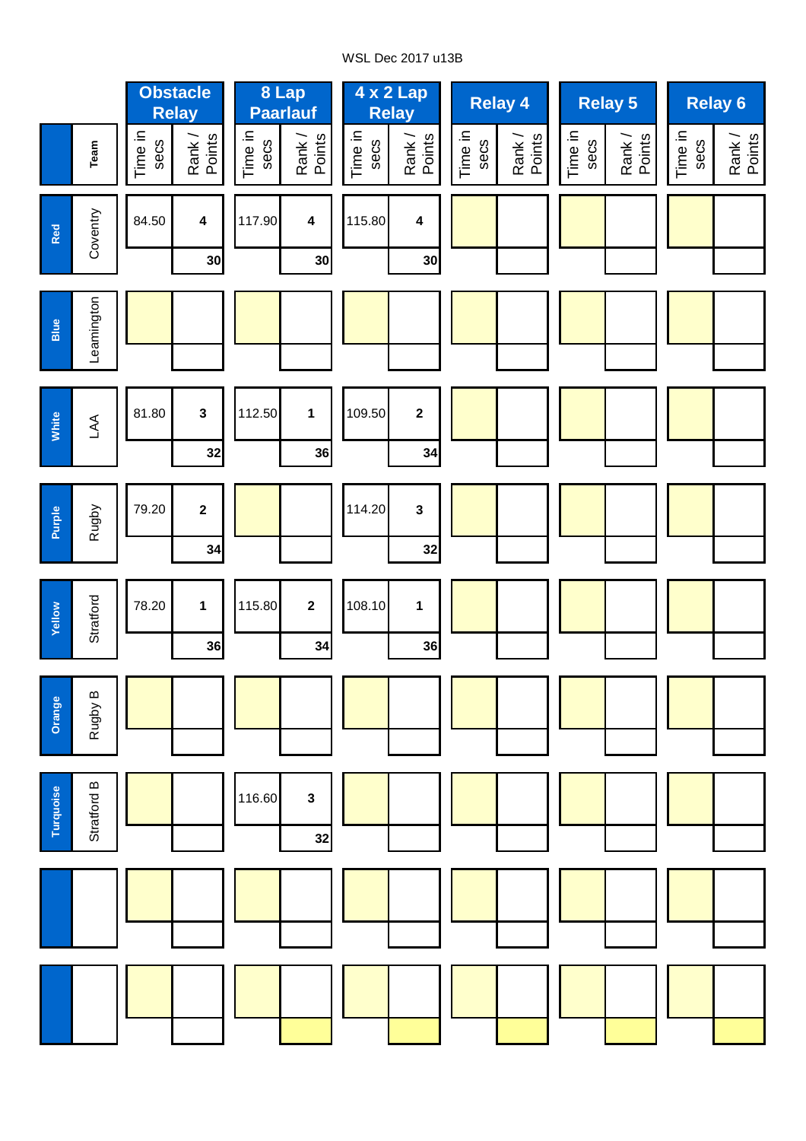# WSL Dec 2017 u13B

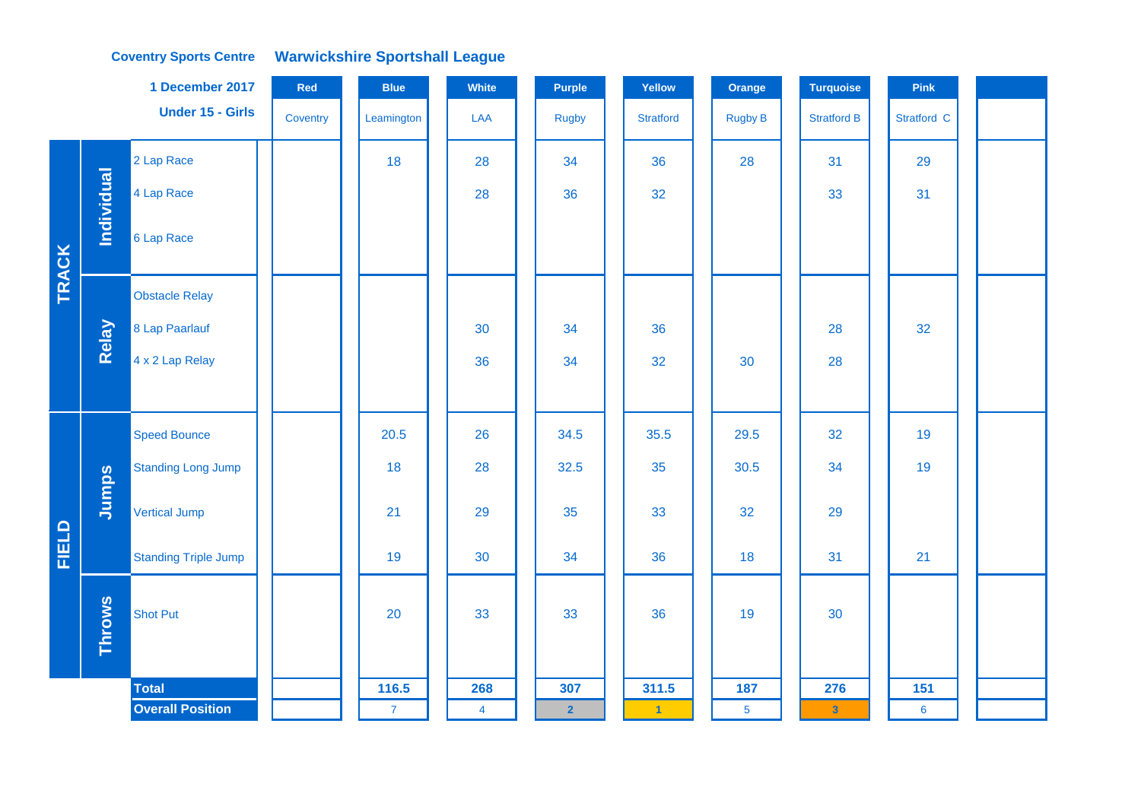## **Coventry Sports Centre Warwickshire Sportshall League**

|              |               | 1 December 2017             | Red      | <b>Blue</b>    | White          | <b>Purple</b>           | Yellow           | Orange          | <b>Turquoise</b>        | Pink           |  |
|--------------|---------------|-----------------------------|----------|----------------|----------------|-------------------------|------------------|-----------------|-------------------------|----------------|--|
|              |               | <b>Under 15 - Girls</b>     | Coventry | Leamington     | LAA            | Rugby                   | <b>Stratford</b> | <b>Rugby B</b>  | <b>Stratford B</b>      | Stratford C    |  |
|              |               | 2 Lap Race                  |          | 18             | 28             | 34                      | 36               | 28              | 31                      | 29             |  |
|              | Individual    | 4 Lap Race                  |          |                | 28             | 36                      | 32               |                 | 33                      | 31             |  |
|              |               | 6 Lap Race                  |          |                |                |                         |                  |                 |                         |                |  |
| TRACK        |               | <b>Obstacle Relay</b>       |          |                |                |                         |                  |                 |                         |                |  |
|              | Relay         | 8 Lap Paarlauf              |          |                | 30             | 34                      | 36               |                 | 28                      | 32             |  |
|              |               | 4 x 2 Lap Relay             |          |                | 36             | 34                      | 32               | 30              | 28                      |                |  |
|              |               |                             |          |                |                |                         |                  |                 |                         |                |  |
|              |               | <b>Speed Bounce</b>         |          | 20.5           | 26             | 34.5                    | 35.5             | 29.5            | 32                      | 19             |  |
|              |               | <b>Standing Long Jump</b>   |          | 18             | 28             | 32.5                    | 35               | 30.5            | 34                      | 19             |  |
|              | Jumps         | <b>Vertical Jump</b>        |          | 21             | 29             | 35                      | 33               | 32              | 29                      |                |  |
| <b>FIELD</b> |               | <b>Standing Triple Jump</b> |          | 19             | 30             | 34                      | 36               | 18              | 31                      | 21             |  |
|              | <b>Throws</b> | <b>Shot Put</b>             |          | 20             | 33             | 33                      | 36               | 19              | 30                      |                |  |
|              |               | <b>Total</b>                |          | 116.5          | 268            | 307                     | 311.5            | 187             | 276                     | 151            |  |
|              |               | <b>Overall Position</b>     |          | $\overline{7}$ | $\overline{4}$ | $\overline{\mathbf{2}}$ | $\vert$ 1        | $5\phantom{.0}$ | $\overline{\mathbf{3}}$ | $6\phantom{a}$ |  |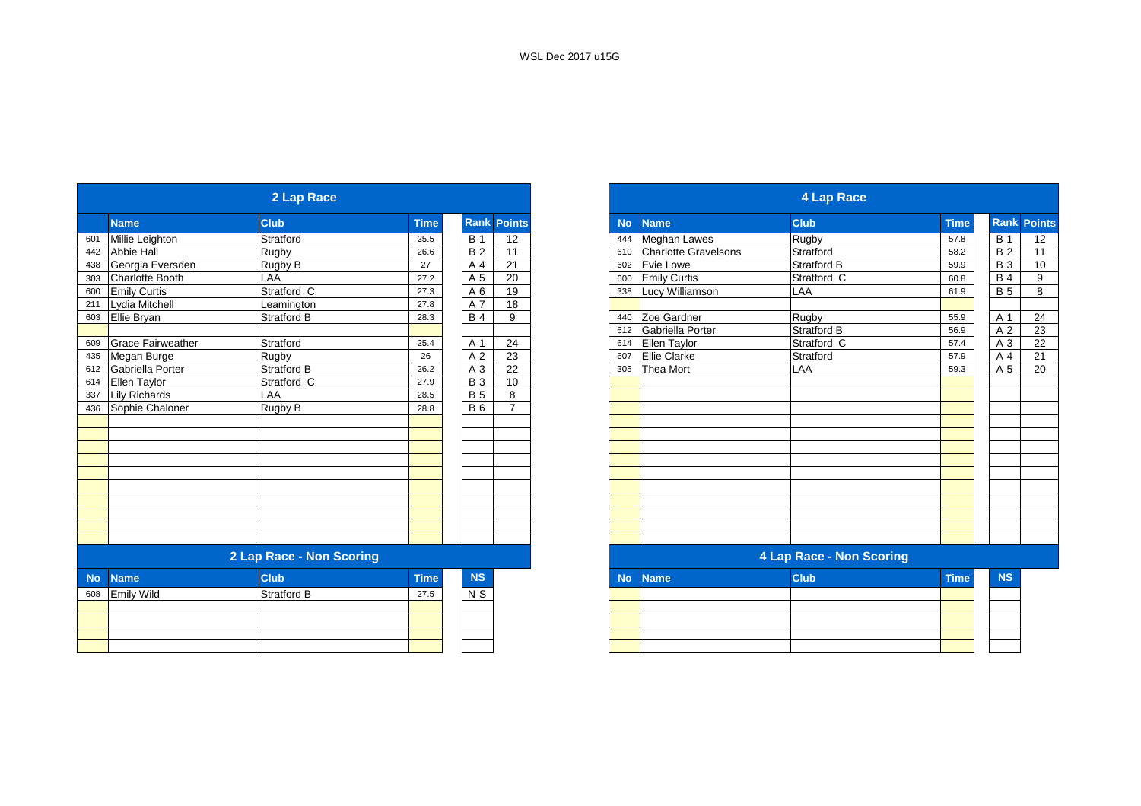|           |                          | 2 Lap Race               |             |                 |                    |
|-----------|--------------------------|--------------------------|-------------|-----------------|--------------------|
|           | <b>Name</b>              | <b>Club</b>              | <b>Time</b> |                 | <b>Rank Points</b> |
| 601       | Millie Leighton          | Stratford                | 25.5        | <b>B</b> 1      | 12                 |
| 442       | Abbie Hall               | Rugby                    | 26.6        | $\overline{B}$  | 11                 |
| 438       | Georgia Eversden         | Rugby B                  | 27          | A 4             | 21                 |
| 303       | Charlotte Booth          | LAA                      | 27.2        | A 5             | 20                 |
| 600       | <b>Emily Curtis</b>      | Stratford C              | 27.3        | A6              | 19                 |
| 211       | Lydia Mitchell           | Leamington               | 27.8        | A 7             | 18                 |
| 603       | Ellie Bryan              | Stratford B              | 28.3        | <b>B4</b>       | 9                  |
|           |                          |                          |             |                 |                    |
| 609       | <b>Grace Fairweather</b> | Stratford                | 25.4        | A 1             | 24                 |
| 435       | Megan Burge              | Rugby                    | 26          | A 2             | 23                 |
| 612       | Gabriella Porter         | Stratford B              | 26.2        | A 3             | 22                 |
| 614       | Ellen Taylor             | Stratford C              | 27.9        | $\overline{B}3$ | 10                 |
| 337       | <b>Lily Richards</b>     | LAA                      | 28.5        | <b>B</b> 5      | 8                  |
| 436       | Sophie Chaloner          | <b>Rugby B</b>           | 28.8        | <b>B6</b>       | $\overline{7}$     |
|           |                          |                          |             |                 |                    |
|           |                          |                          |             |                 |                    |
|           |                          |                          |             |                 |                    |
|           |                          |                          |             |                 |                    |
|           |                          |                          |             |                 |                    |
|           |                          |                          |             |                 |                    |
|           |                          |                          |             |                 |                    |
|           |                          |                          |             |                 |                    |
|           |                          |                          |             |                 |                    |
|           |                          |                          |             |                 |                    |
|           |                          | 2 Lap Race - Non Scoring |             |                 |                    |
| <b>No</b> | <b>Name</b>              | <b>Club</b>              | <b>Time</b> | <b>NS</b>       |                    |
| 608       | <b>Emily Wild</b>        | <b>Stratford B</b>       | 27.5        | N S             |                    |
|           |                          |                          |             |                 |                    |
|           |                          |                          |             |                 |                    |
|           |                          |                          |             |                 |                    |
|           |                          |                          |             |                 |                    |
|           |                          |                          |             |                 |                    |

|                        | 2 Lap Race               |             |                 |                    |
|------------------------|--------------------------|-------------|-----------------|--------------------|
| <b>Name</b>            | <b>Club</b>              | <b>Time</b> |                 | <b>Rank Points</b> |
| Millie Leighton        | Stratford                | 25.5        | <b>B</b> 1      | 12                 |
| <b>Abbie Hall</b>      | Rugby                    | 26.6        | $\overline{B2}$ | 11                 |
| Georgia Eversden       | Rugby B                  | 27          | A 4             | 21                 |
| <b>Charlotte Booth</b> | LAA                      | 27.2        | A 5             | 20                 |
| <b>Emily Curtis</b>    | Stratford C              | 27.3        | A <sub>6</sub>  | 19                 |
| Lydia Mitchell         | Leamington               | 27.8        | A 7             | 18                 |
| Ellie Bryan            | Stratford B              | 28.3        | <b>B</b> 4      | 9                  |
|                        |                          |             |                 |                    |
| Grace Fairweather      | Stratford                | 25.4        | A 1             | 24                 |
| Megan Burge            | Rugby                    | 26          | A 2             | 23                 |
| Gabriella Porter       | Stratford B              | 26.2        | A 3             | 22                 |
| Ellen Taylor           | Stratford C              | 27.9        | <b>B</b> 3      | 10                 |
| Lily Richards          | LAA                      | 28.5        | <b>B</b> 5      | 8                  |
| Sophie Chaloner        | Rugby B                  | 28.8        | <b>B6</b>       | $\overline{ }$     |
|                        |                          |             |                 |                    |
|                        |                          |             |                 |                    |
|                        |                          |             |                 |                    |
|                        |                          |             |                 |                    |
|                        |                          |             |                 |                    |
|                        |                          |             |                 |                    |
|                        |                          |             |                 |                    |
|                        |                          |             |                 |                    |
|                        |                          |             |                 |                    |
|                        |                          |             |                 |                    |
|                        | 2 Lap Race - Non Scoring |             |                 |                    |
| <b>Name</b>            | <b>Club</b>              | <b>Time</b> | <b>NS</b>       |                    |
| Emily Wild             | Stratford B              | 27.5        | N <sub>S</sub>  |                    |
|                        |                          |             |                 |                    |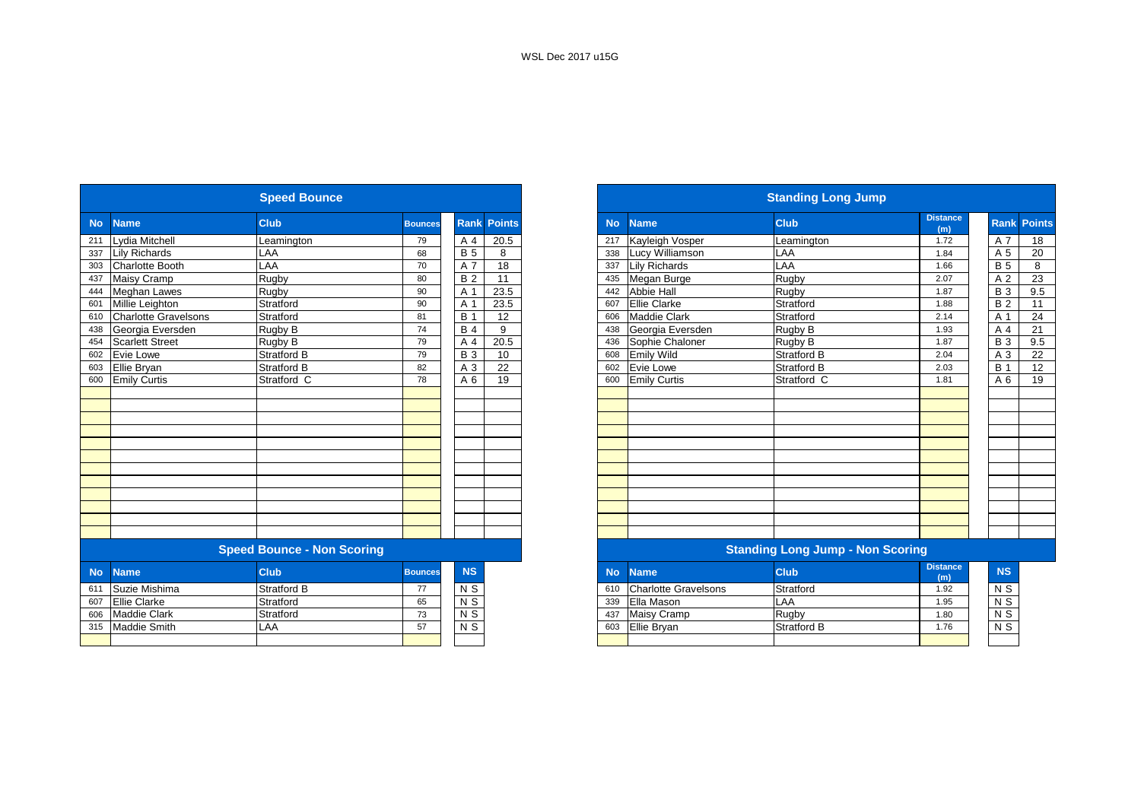|           |                             | <b>Speed Bounce</b>               |                |                |                    |
|-----------|-----------------------------|-----------------------------------|----------------|----------------|--------------------|
| <b>No</b> | <b>Name</b>                 | <b>Club</b>                       | <b>Bounces</b> |                | <b>Rank Points</b> |
| 211       | Lydia Mitchell              | Leamington                        | 79             | A 4            | 20.5               |
| 337       | <b>Lily Richards</b>        | LAA                               | 68             | <b>B</b> 5     | 8                  |
| 303       | <b>Charlotte Booth</b>      | LAA                               | 70             | A 7            | 18                 |
| 437       | Maisy Cramp                 | Rugby                             | 80             | <b>B2</b>      | $\overline{11}$    |
| 444       | <b>Meghan Lawes</b>         | Rugby                             | 90             | A 1            | 23.5               |
| 601       | Millie Leighton             | Stratford                         | 90             | A 1            | 23.5               |
| 610       | <b>Charlotte Gravelsons</b> | Stratford                         | 81             | <b>B</b> 1     | 12                 |
| 438       | Georgia Eversden            | Rugby B                           | 74             | <b>B4</b>      | 9                  |
| 454       | Scarlett Street             | Rugby B                           | 79             | A 4            | 20.5               |
| 602       | Evie Lowe                   | <b>Stratford B</b>                | 79             | <b>B3</b>      | 10                 |
| 603       | Ellie Bryan                 | <b>Stratford B</b>                | 82             | A 3            | 22                 |
| 600       | <b>Emily Curtis</b>         | Stratford C                       | 78             | A 6            | 19                 |
|           |                             |                                   |                |                |                    |
|           |                             |                                   |                |                |                    |
|           |                             |                                   |                |                |                    |
|           |                             |                                   |                |                |                    |
|           |                             |                                   |                |                |                    |
|           |                             |                                   |                |                |                    |
|           |                             |                                   |                |                |                    |
|           |                             |                                   |                |                |                    |
|           |                             |                                   |                |                |                    |
|           |                             |                                   |                |                |                    |
|           |                             |                                   |                |                |                    |
|           |                             | <b>Speed Bounce - Non Scoring</b> |                |                |                    |
| <b>No</b> | <b>Name</b>                 | <b>Club</b>                       | <b>Bounces</b> | <b>NS</b>      |                    |
| 611       | Suzie Mishima               | <b>Stratford B</b>                | 77             | N S            |                    |
| 607       | <b>Ellie Clarke</b>         | Stratford                         | 65             | $N$ S          |                    |
| 606       | <b>Maddie Clark</b>         | Stratford                         | 73             | $N$ S          |                    |
| 315       | <b>Maddie Smith</b>         | LAA                               | 57             | N <sub>S</sub> |                    |
|           |                             |                                   |                |                |                    |

|           |                             | <b>Speed Bounce</b>               |                |                |                 |
|-----------|-----------------------------|-----------------------------------|----------------|----------------|-----------------|
| <b>No</b> | <b>Name</b>                 | <b>Club</b>                       | <b>Bounces</b> | <b>Rank</b>    | <b>Points</b>   |
| 211       | Lydia Mitchell              | Leamington                        | 79             | A 4            | 20.5            |
| 337       | <b>Lily Richards</b>        | LAA                               | 68             | <b>B</b> 5     | 8               |
| 303       | <b>Charlotte Booth</b>      | LAA                               | 70             | A 7            | 18              |
| 437       | <b>Maisy Cramp</b>          | Rugby                             | 80             | <b>B2</b>      | 11              |
| 444       | <b>Meghan Lawes</b>         | Rugby                             | 90             | A 1            | 23.5            |
| 601       | Millie Leighton             | Stratford                         | 90             | A 1            | 23.5            |
| 610       | <b>Charlotte Gravelsons</b> | Stratford                         | 81             | <b>B</b> 1     | 12              |
| 438       | Georgia Eversden            | Rugby B                           | 74             | <b>B4</b>      | 9               |
| 454       | <b>Scarlett Street</b>      | Rugby B                           | 79             | A 4            | 20.5            |
| 602       | Evie Lowe                   | <b>Stratford B</b>                | 79             | <b>B</b> 3     | 10 <sup>°</sup> |
| 603       | Ellie Bryan                 | <b>Stratford B</b>                | 82             | A 3            | 22              |
| 600       | <b>Emily Curtis</b>         | Stratford C                       | 78             | A 6            | 19              |
|           |                             |                                   |                |                |                 |
|           |                             |                                   |                |                |                 |
|           |                             |                                   |                |                |                 |
|           |                             |                                   |                |                |                 |
|           |                             |                                   |                |                |                 |
|           |                             |                                   |                |                |                 |
|           |                             |                                   |                |                |                 |
|           |                             |                                   |                |                |                 |
|           |                             |                                   |                |                |                 |
|           |                             |                                   |                |                |                 |
|           |                             |                                   |                |                |                 |
|           |                             |                                   |                |                |                 |
|           |                             | <b>Speed Bounce - Non Scoring</b> |                |                |                 |
| <b>No</b> | <b>Name</b>                 | <b>Club</b>                       | <b>Bounces</b> | <b>NS</b>      |                 |
| 611       | Suzie Mishima               | Stratford B                       | 77             | N <sub>S</sub> |                 |
| 607       | <b>Ellie Clarke</b>         | Stratford                         | 65             | N <sub>S</sub> |                 |
| 606       | <b>Maddie Clark</b>         | Stratford                         | 73             | N <sub>S</sub> |                 |
|           | 315 Maddie Smith            | LAA                               | 57             | N S            |                 |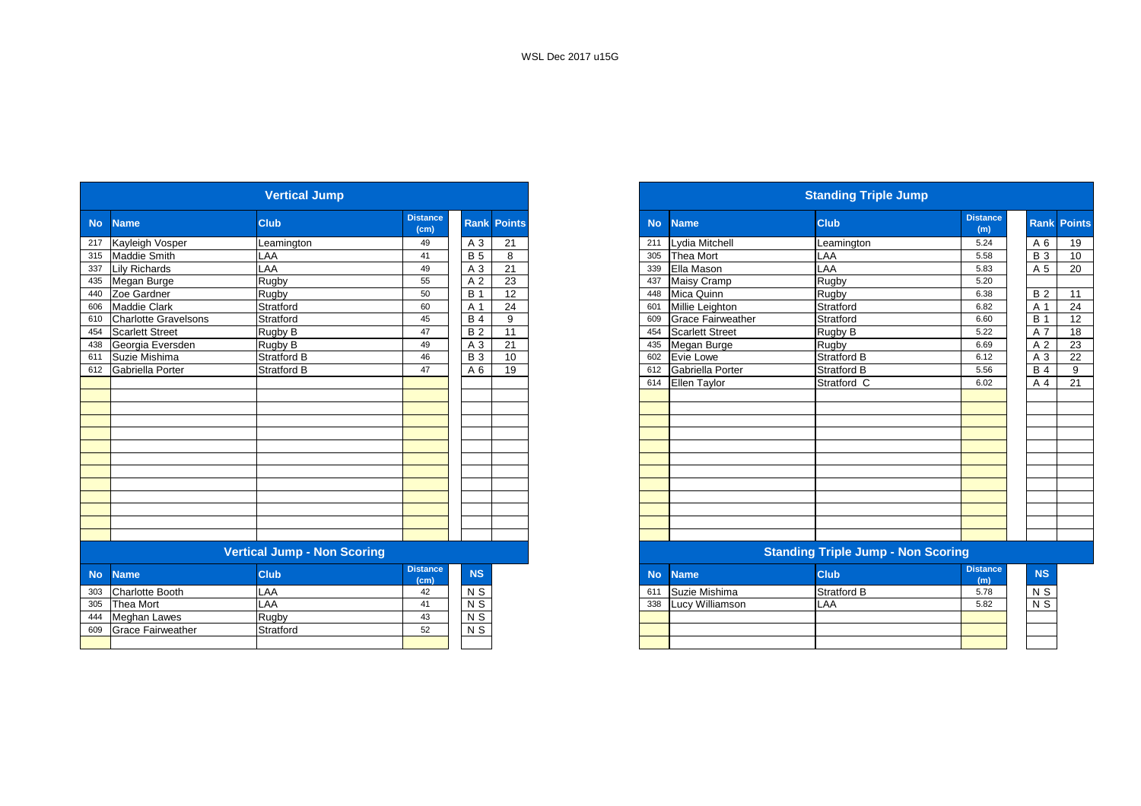|           |                             | <b>Vertical Jump</b>               |                         |                |               |           |                          | <b>Standing Triple Jump</b>               |                        |                  |         |
|-----------|-----------------------------|------------------------------------|-------------------------|----------------|---------------|-----------|--------------------------|-------------------------------------------|------------------------|------------------|---------|
| <b>No</b> | <b>Name</b>                 | <b>Club</b>                        | <b>Distance</b><br>(cm) | Rank           | <b>Points</b> | <b>No</b> | <b>Name</b>              | <b>Club</b>                               | <b>Distance</b><br>(m) |                  | Rank Po |
| 217       | Kayleigh Vosper             | Leamington                         | 49                      | A 3            | 21            | 211       | Lydia Mitchell           | Leamington                                | 5.24                   | A 6              |         |
| 315       | <b>Maddie Smith</b>         | LAA                                | 41                      | <b>B</b> 5     | 8             | 305       | <b>Thea Mort</b>         | LAA                                       | 5.58                   | <b>B</b> 3       |         |
| 337       | <b>Lily Richards</b>        | LAA                                | 49                      | A 3            | 21            | 339       | Ella Mason               | LAA                                       | 5.83                   | A 5              |         |
| 435       | Megan Burge                 | <b>Rugby</b>                       | 55                      | A 2            | 23            | 437       | Maisy Cramp              | Rugby                                     | 5.20                   |                  |         |
| 440       | Zoe Gardner                 | Rugby                              | 50                      | <b>B</b> 1     | 12            | 448       | Mica Quinn               | Rugby                                     | 6.38                   | <b>B2</b>        |         |
| 606       | <b>Maddie Clark</b>         | Stratford                          | 60                      | A 1            | 24            | 601       | Millie Leighton          | Stratford                                 | 6.82                   | A 1              |         |
| 610       | <b>Charlotte Gravelsons</b> | Stratford                          | 45                      | <b>B</b> 4     | 9             | 609       | <b>Grace Fairweather</b> | Stratford                                 | 6.60                   | $\overline{B}$ 1 |         |
| 454       | <b>Scarlett Street</b>      | Rugby B                            | 47                      | B <sub>2</sub> | 11            | 454       | <b>Scarlett Street</b>   | Rugby B                                   | 5.22                   | $\overline{A}$ 7 |         |
| 438       | Georgia Eversden            | Rugby B                            | 49                      | A 3            | 21            | 435       | Megan Burge              | Rugby                                     | 6.69                   | A 2              |         |
| 611       | Suzie Mishima               | <b>Stratford B</b>                 | 46                      | <b>B</b> 3     | 10            | 602       | Evie Lowe                | Stratford B                               | 6.12                   | A 3              |         |
| 612       | Gabriella Porter            | <b>Stratford B</b>                 | 47                      | A 6            | 19            | 612       | Gabriella Porter         | Stratford B                               | 5.56                   | <b>B</b> 4       |         |
|           |                             |                                    |                         |                |               | 614       | Ellen Taylor             | Stratford C                               | 6.02                   | A 4              |         |
|           |                             |                                    |                         |                |               |           |                          |                                           |                        |                  |         |
|           |                             |                                    |                         |                |               |           |                          |                                           |                        |                  |         |
|           |                             |                                    |                         |                |               |           |                          |                                           |                        |                  |         |
|           |                             |                                    |                         |                |               |           |                          |                                           |                        |                  |         |
|           |                             |                                    |                         |                |               |           |                          |                                           |                        |                  |         |
|           |                             |                                    |                         |                |               |           |                          |                                           |                        |                  |         |
|           |                             |                                    |                         |                |               |           |                          |                                           |                        |                  |         |
|           |                             |                                    |                         |                |               |           |                          |                                           |                        |                  |         |
|           |                             |                                    |                         |                |               |           |                          |                                           |                        |                  |         |
|           |                             |                                    |                         |                |               |           |                          |                                           |                        |                  |         |
|           |                             |                                    |                         |                |               |           |                          |                                           |                        |                  |         |
|           |                             |                                    |                         |                |               |           |                          |                                           |                        |                  |         |
|           |                             | <b>Vertical Jump - Non Scoring</b> |                         |                |               |           |                          | <b>Standing Triple Jump - Non Scoring</b> |                        |                  |         |
| <b>No</b> | <b>Name</b>                 | <b>Club</b>                        | <b>Distance</b><br>(cm) | NS             |               | <b>No</b> | <b>Name</b>              | <b>Club</b>                               | <b>Distance</b><br>(m) | <b>NS</b>        |         |
| 303       | <b>Charlotte Booth</b>      | LAA                                | 42                      | $N$ S          |               | 611       | Suzie Mishima            | <b>Stratford B</b>                        | 5.78                   | N S              |         |
| 305       | <b>Thea Mort</b>            | LAA                                | 41                      | N <sub>S</sub> |               | 338       | Lucy Williamson          | LAA                                       | 5.82                   | $N$ S            |         |
| 444       | <b>Meghan Lawes</b>         | <b>Rugby</b>                       | 43                      | $N$ S          |               |           |                          |                                           |                        |                  |         |
| 609       | <b>Grace Fairweather</b>    | Stratford                          | 52                      | $N$ S          |               |           |                          |                                           |                        |                  |         |
|           |                             |                                    |                         |                |               |           |                          |                                           |                        |                  |         |

|    |                          | <b>Vertical Jump</b>      |                         |            |                    |           |                          | <b>Standing Triple Jump</b>       |                        |            |                    |
|----|--------------------------|---------------------------|-------------------------|------------|--------------------|-----------|--------------------------|-----------------------------------|------------------------|------------|--------------------|
| No | <b>Name</b>              | <b>Club</b>               | <b>Distance</b><br>(cm) |            | <b>Rank Points</b> | <b>No</b> | <b>Name</b>              | <b>Club</b>                       | <b>Distance</b><br>(m) |            | <b>Rank Points</b> |
|    | 217 Kayleigh Vosper      | Leamington                | 49                      | A 3        | 21                 |           | 211 Lydia Mitchell       | Leamington                        | 5.24                   | A 6        | 19                 |
|    | 315 Maddie Smith         | LAA                       | 41                      | <b>B</b> 5 | 8                  |           | 305 Thea Mort            | LAA                               | 5.58                   | <b>B</b> 3 | 10 <sup>°</sup>    |
|    | 337 Lily Richards        | LAA                       | 49                      | A 3        | 21                 | 339       | Ella Mason               | LAA                               | 5.83                   | A 5        | 20                 |
|    | 435 Megan Burge          | Rugby                     | 55                      | A 2        | 23                 | 437       | Maisy Cramp              | Rugby                             | 5.20                   |            |                    |
|    | 440 Zoe Gardner          | Rugby                     | 50                      | <b>B</b> 1 | 12                 |           | 448 Mica Quinn           | Rugby                             | 6.38                   | <b>B2</b>  | 11                 |
|    | 606 Maddie Clark         | Stratford                 | 60                      | A 1        | 24                 | 601       | Millie Leighton          | Stratford                         | 6.82                   | A 1        | 24                 |
|    | 610 Charlotte Gravelsons | Stratford                 | 45                      | <b>B</b> 4 | 9                  | 609       | <b>Grace Fairweather</b> | Stratford                         | 6.60                   | <b>B</b> 1 | 12                 |
|    | 454 Scarlett Street      | Rugby B                   | 47                      | <b>B2</b>  | 11                 | 454       | Scarlett Street          | Rugby B                           | 5.22                   | A 7        | 18                 |
|    | 438 Georgia Eversden     | Rugby B                   | 49                      | A 3        | 21                 | 435       | Megan Burge              | Rugby                             | 6.69                   | A 2        | 23                 |
|    | 611 Suzie Mishima        | <b>Stratford B</b>        | 46                      | <b>B</b> 3 | 10                 |           | 602 Evie Lowe            | <b>Stratford B</b>                | 6.12                   | A 3        | 22                 |
|    | 612 Gabriella Porter     | <b>Stratford B</b>        | 47                      | A 6        | 19                 | 612       | Gabriella Porter         | <b>Stratford B</b>                | 5.56                   | <b>B</b> 4 | 9                  |
|    |                          |                           |                         |            |                    |           | 614 Ellen Taylor         | Stratford C                       | 6.02                   | A 4        | 21                 |
|    |                          |                           |                         |            |                    |           |                          |                                   |                        |            |                    |
|    |                          |                           |                         |            |                    |           |                          |                                   |                        |            |                    |
|    |                          |                           |                         |            |                    |           |                          |                                   |                        |            |                    |
|    |                          |                           |                         |            |                    |           |                          |                                   |                        |            |                    |
|    |                          |                           |                         |            |                    |           |                          |                                   |                        |            |                    |
|    |                          |                           |                         |            |                    |           |                          |                                   |                        |            |                    |
|    |                          |                           |                         |            |                    |           |                          |                                   |                        |            |                    |
|    |                          |                           |                         |            |                    |           |                          |                                   |                        |            |                    |
|    |                          |                           |                         |            |                    |           |                          |                                   |                        |            |                    |
|    |                          |                           |                         |            |                    |           |                          |                                   |                        |            |                    |
|    |                          |                           |                         |            |                    |           |                          |                                   |                        |            |                    |
|    |                          |                           |                         |            |                    |           |                          |                                   |                        |            |                    |
|    |                          | Varioni Jumn, Nan Caprina |                         |            |                    |           |                          | Chanding Triple Jump, Nep Cooring |                        |            |                    |

#### **Vertical Jump - Non Scoring Standing Triple Jump - Non Scoring**

| <b>stance</b><br>(cm) | <b>NS</b> | <b>No</b> | <b>Name</b>     | <b>Club</b>        | <b>Distance</b><br>(m) | <b>NS</b> |
|-----------------------|-----------|-----------|-----------------|--------------------|------------------------|-----------|
| 42                    | N S       | 61        | Suzie Mishima   | <b>Stratford B</b> | 5.78                   | N S       |
| 41                    | N S       | 338       | Lucy Williamson | LAA                | 5.82                   | N S       |
| 43                    | N S       |           |                 |                    |                        |           |
| 52                    | N S       |           |                 |                    |                        |           |
|                       |           |           |                 |                    |                        |           |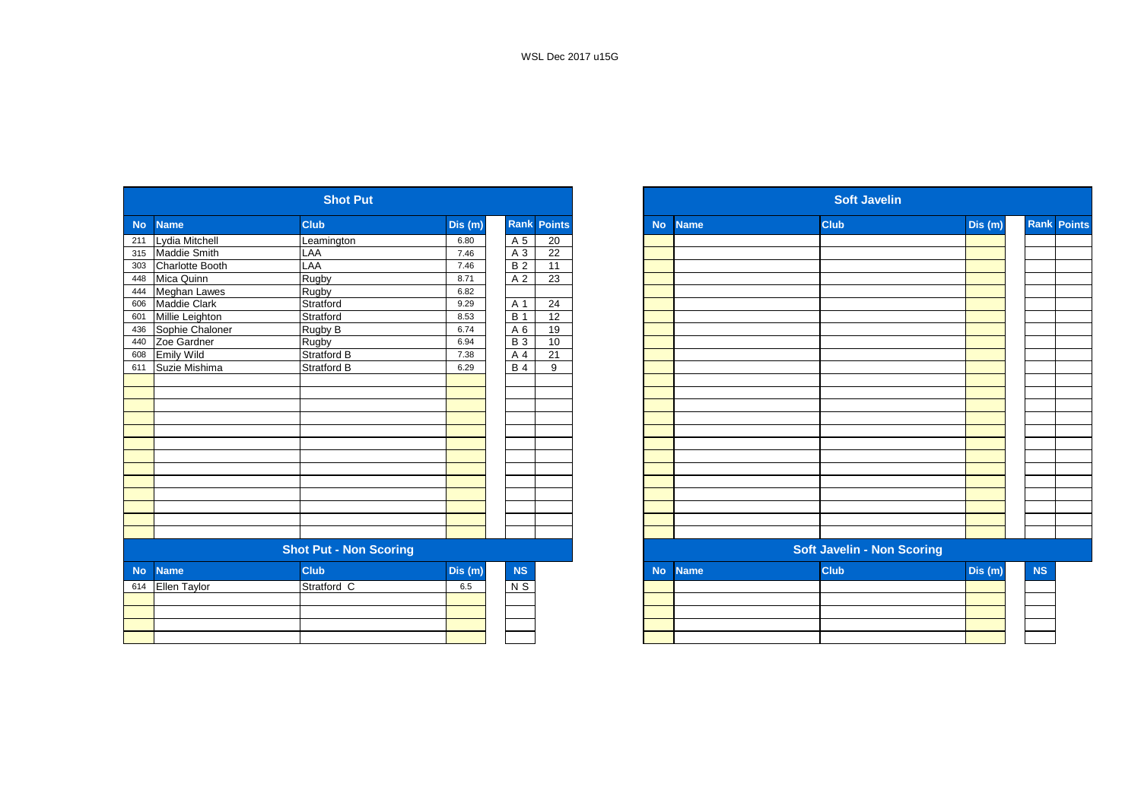|           |                        | <b>Shot Put</b>               |         |                |                    |           |             | <b>Soft Javelin</b>               |         |
|-----------|------------------------|-------------------------------|---------|----------------|--------------------|-----------|-------------|-----------------------------------|---------|
| <b>No</b> | <b>Name</b>            | <b>Club</b>                   | Dis (m) |                | <b>Rank Points</b> | <b>No</b> | <b>Name</b> | <b>Club</b>                       | Dis (m) |
| 211       | Lydia Mitchell         | Leamington                    | 6.80    | A 5            | 20                 |           |             |                                   |         |
| 315       | Maddie Smith           | LAA                           | 7.46    | A 3            | 22                 |           |             |                                   |         |
| 303       | <b>Charlotte Booth</b> | LAA                           | 7.46    | B <sub>2</sub> | $\overline{11}$    |           |             |                                   |         |
| 448       | Mica Quinn             | Rugby                         | 8.71    | A 2            | $\overline{23}$    |           |             |                                   |         |
| 444       | Meghan Lawes           | Rugby                         | 6.82    |                |                    |           |             |                                   |         |
| 606       | <b>Maddie Clark</b>    | Stratford                     | 9.29    | A 1            | 24                 |           |             |                                   |         |
| 601       | Millie Leighton        | Stratford                     | 8.53    | <b>B</b> 1     | 12                 |           |             |                                   |         |
| 436       | Sophie Chaloner        | Rugby B                       | 6.74    | A 6            | 19                 |           |             |                                   |         |
| 440       | Zoe Gardner            | Rugby                         | 6.94    | <b>B3</b>      | 10                 |           |             |                                   |         |
| 608       | <b>Emily Wild</b>      | <b>Stratford B</b>            | 7.38    | A <sub>4</sub> | 21                 |           |             |                                   |         |
| 611       | Suzie Mishima          | <b>Stratford B</b>            | 6.29    | <b>B4</b>      | 9                  |           |             |                                   |         |
|           |                        |                               |         |                |                    |           |             |                                   |         |
|           |                        |                               |         |                |                    |           |             |                                   |         |
|           |                        |                               |         |                |                    |           |             |                                   |         |
|           |                        |                               |         |                |                    |           |             |                                   |         |
|           |                        |                               |         |                |                    |           |             |                                   |         |
|           |                        |                               |         |                |                    |           |             |                                   |         |
|           |                        |                               |         |                |                    |           |             |                                   |         |
|           |                        |                               |         |                |                    |           |             |                                   |         |
|           |                        |                               |         |                |                    |           |             |                                   |         |
|           |                        |                               |         |                |                    |           |             |                                   |         |
|           |                        |                               |         |                |                    |           |             |                                   |         |
|           |                        |                               |         |                |                    |           |             |                                   |         |
|           |                        |                               |         |                |                    |           |             |                                   |         |
|           |                        | <b>Shot Put - Non Scoring</b> |         |                |                    |           |             | <b>Soft Javelin - Non Scoring</b> |         |
| <b>No</b> | <b>Name</b>            | <b>Club</b>                   | Dis(m)  | <b>NS</b>      |                    | <b>No</b> | <b>Name</b> | <b>Club</b>                       | Dis(m)  |
| 614       | Ellen Taylor           | Stratford C                   | 6.5     | N S            |                    |           |             |                                   |         |
|           |                        |                               |         |                |                    |           |             |                                   |         |
|           |                        |                               |         |                |                    |           |             |                                   |         |
|           |                        |                               |         |                |                    |           |             |                                   |         |
|           |                        |                               |         |                |                    |           |             |                                   |         |

|                  |                        | <b>Shot Put</b>               |         |                  |                    |
|------------------|------------------------|-------------------------------|---------|------------------|--------------------|
| No.              | <b>Name</b>            | <b>Club</b>                   | Dis(m)  |                  | <b>Rank Points</b> |
| 211              | Lydia Mitchell         | Leamington                    | 6.80    | A 5              | 20                 |
| 315              | Maddie Smith           | LAA                           | 7.46    | A 3              | 22                 |
| 303              | <b>Charlotte Booth</b> | LAA                           | 7.46    | <b>B2</b>        | 11                 |
| 448              | Mica Quinn             | Rugby                         | 8.71    | A 2              | 23                 |
| 444              | <b>Meghan Lawes</b>    | Rugby                         | 6.82    |                  |                    |
| 606              | Maddie Clark           | Stratford                     | 9.29    | A 1              | 24                 |
| 601              | Millie Leighton        | Stratford                     | 8.53    | $\overline{B}$ 1 | 12                 |
| 436              | Sophie Chaloner        | Rugby B                       | 6.74    | A 6              | 19                 |
| 440              | Zoe Gardner            | Rugby                         | 6.94    | <b>B3</b>        | 10                 |
| 608              | <b>Emily Wild</b>      | Stratford B                   | 7.38    | A 4              | $\overline{21}$    |
| $\overline{611}$ | Suzie Mishima          | Stratford B                   | 6.29    | <b>B4</b>        | 9                  |
|                  |                        |                               |         |                  |                    |
|                  |                        |                               |         |                  |                    |
|                  |                        |                               |         |                  |                    |
|                  |                        |                               |         |                  |                    |
|                  |                        |                               |         |                  |                    |
|                  |                        |                               |         |                  |                    |
|                  |                        |                               |         |                  |                    |
|                  |                        |                               |         |                  |                    |
|                  |                        |                               |         |                  |                    |
|                  |                        |                               |         |                  |                    |
|                  |                        |                               |         |                  |                    |
|                  |                        |                               |         |                  |                    |
|                  |                        |                               |         |                  |                    |
|                  |                        | <b>Shot Put - Non Scoring</b> |         |                  |                    |
| <b>No</b>        | <b>Name</b>            | <b>Club</b>                   | Dis (m) | NS               |                    |
| $\overline{614}$ | <b>Ellen Taylor</b>    | Stratford C                   | 6.5     | $\overline{N}$   |                    |
|                  |                        |                               |         |                  |                    |
|                  |                        |                               |         |                  |                    |
|                  |                        |                               |         |                  |                    |
|                  |                        |                               |         |                  |                    |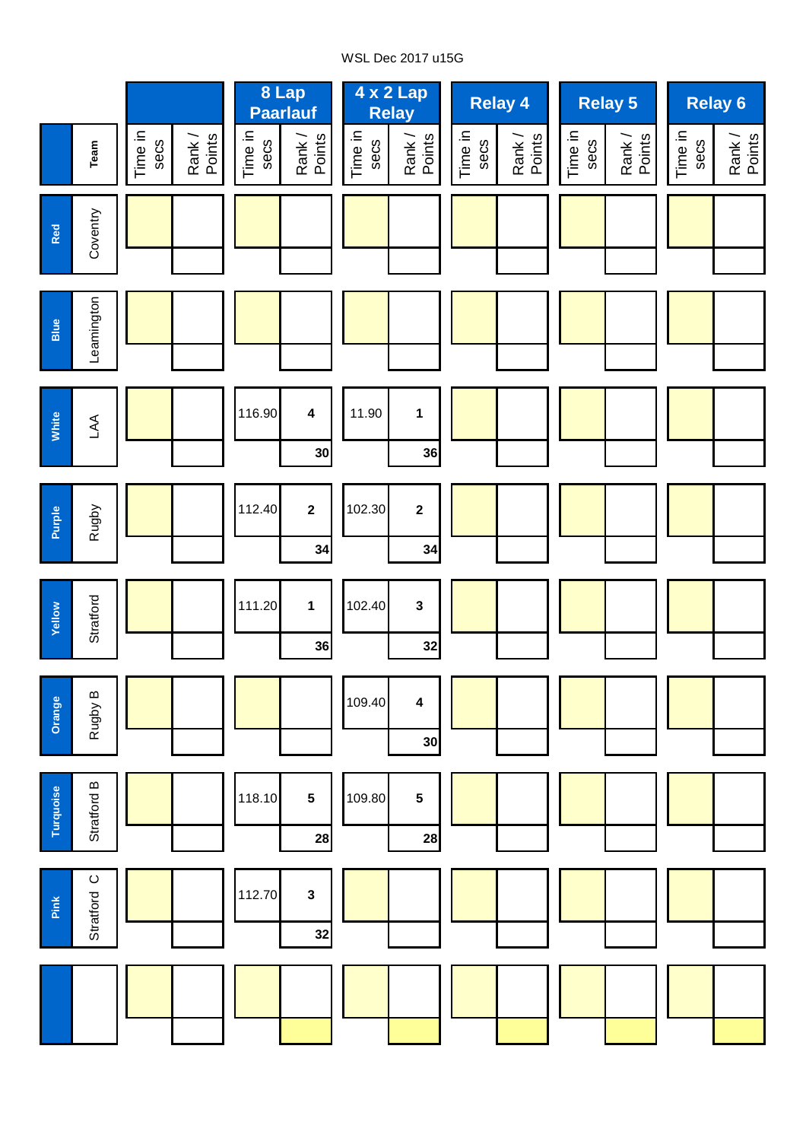# WSL Dec 2017 u15G

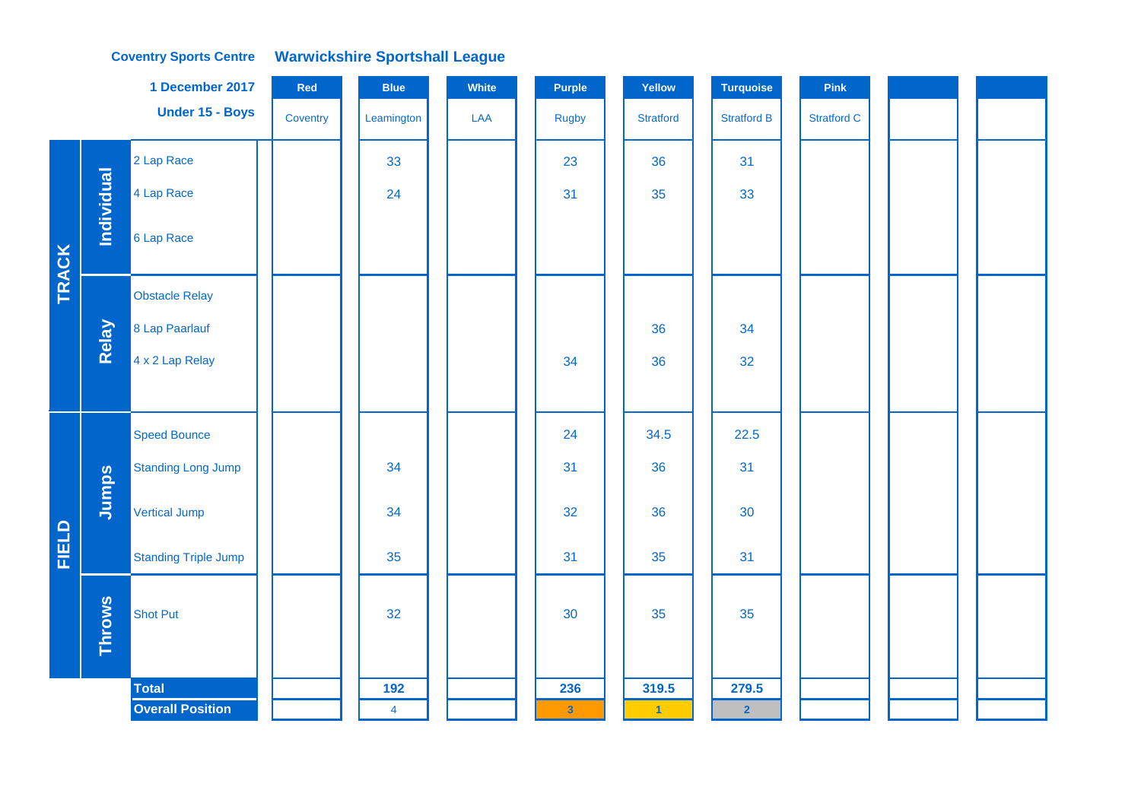## **Coventry Sports Centre Warwickshire Sportshall League**

|              |                   | 1 December 2017             | Red      | <b>Blue</b>    | White | <b>Purple</b>  | Yellow           | Turquoise          | Pink               |  |
|--------------|-------------------|-----------------------------|----------|----------------|-------|----------------|------------------|--------------------|--------------------|--|
|              |                   | Under 15 - Boys             | Coventry | Leamington     | LAA   | <b>Rugby</b>   | <b>Stratford</b> | <b>Stratford B</b> | <b>Stratford C</b> |  |
|              |                   | 2 Lap Race                  |          | 33             |       | 23             | 36               | 31                 |                    |  |
|              | <b>Individual</b> | 4 Lap Race                  |          | 24             |       | 31             | 35               | 33                 |                    |  |
| <b>TRACK</b> |                   | 6 Lap Race                  |          |                |       |                |                  |                    |                    |  |
|              |                   | <b>Obstacle Relay</b>       |          |                |       |                |                  |                    |                    |  |
|              | Relay             | 8 Lap Paarlauf              |          |                |       |                | 36               | 34                 |                    |  |
|              |                   | 4 x 2 Lap Relay             |          |                |       | 34             | 36               | 32                 |                    |  |
|              |                   |                             |          |                |       |                |                  |                    |                    |  |
|              |                   | <b>Speed Bounce</b>         |          |                |       | 24             | 34.5             | 22.5               |                    |  |
|              |                   | <b>Standing Long Jump</b>   |          | 34             |       | 31             | 36               | 31                 |                    |  |
|              | Jumps             | Vertical Jump               |          | 34             |       | 32             | 36               | 30                 |                    |  |
| FIELD        |                   | <b>Standing Triple Jump</b> |          | 35             |       | 31             | 35               | 31                 |                    |  |
|              | <b>Throws</b>     | <b>Shot Put</b>             |          | 32             |       | 30             | 35               | 35                 |                    |  |
|              |                   | <b>Total</b>                |          | 192            |       | 236            | 319.5            | 279.5              |                    |  |
|              |                   | <b>Overall Position</b>     |          | $\overline{4}$ |       | 3 <sup>°</sup> | $\vert$ 1        | $\overline{2}$     |                    |  |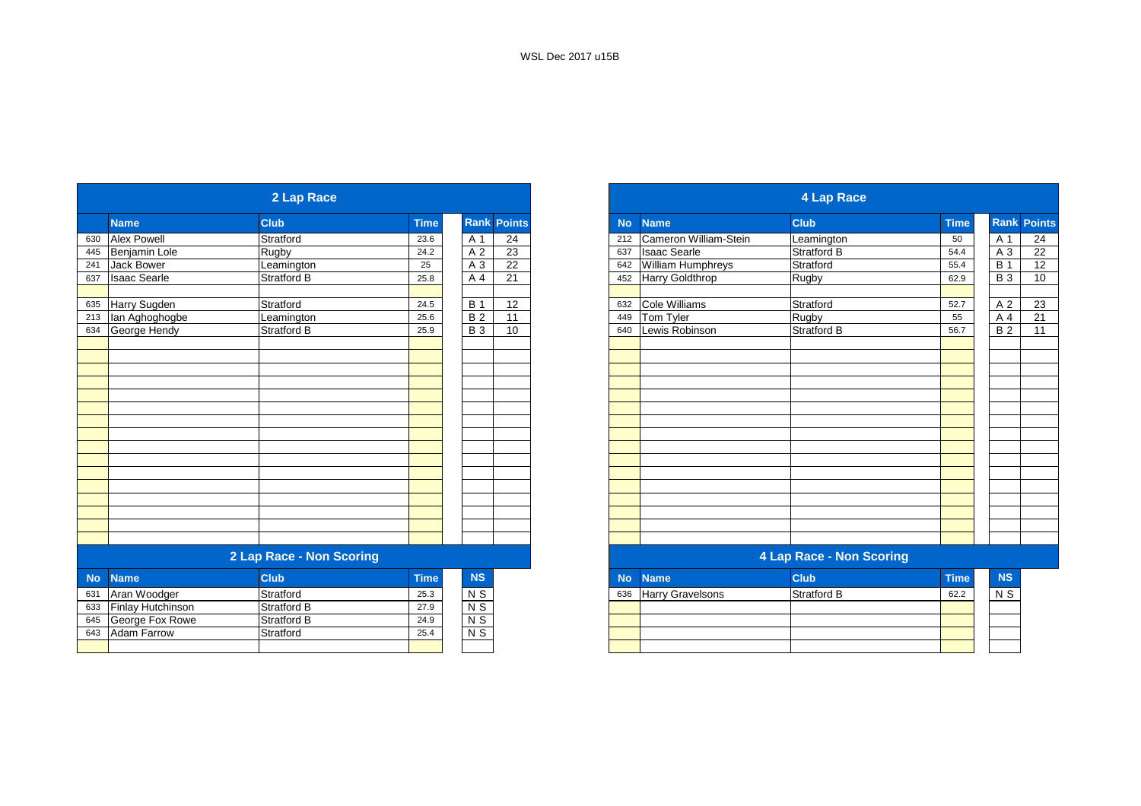|           |                     | 2 Lap Race               |             |                |                    |           |                         | 4 Lap Race                      |             |                  |                 |
|-----------|---------------------|--------------------------|-------------|----------------|--------------------|-----------|-------------------------|---------------------------------|-------------|------------------|-----------------|
|           | <b>Name</b>         | <b>Club</b>              | <b>Time</b> |                | <b>Rank Points</b> | <b>No</b> | <b>Name</b>             | <b>Club</b>                     | <b>Time</b> | <b>Rank Poin</b> |                 |
| 630       | <b>Alex Powell</b>  | Stratford                | 23.6        | A 1            | 24                 | 212       | Cameron William-Stein   | Leamington                      | 50          | A 1              | 24              |
| 445       | Benjamin Lole       | Rugby                    | 24.2        | A 2            | $\overline{23}$    | 637       | <b>Isaac Searle</b>     | Stratford B                     | 54.4        | A 3              | 22              |
| 241       | Jack Bower          | Leamington               | 25          | A 3            | $\overline{22}$    | 642       | William Humphreys       | Stratford                       | 55.4        | <b>B</b> 1       | 12              |
| 637       | <b>Isaac Searle</b> | Stratford B              | 25.8        | A 4            | 21                 | 452       | Harry Goldthrop         | Rugby                           | 62.9        | $B_3$            | $\overline{10}$ |
| 635       | Harry Sugden        | Stratford                | 24.5        | <b>B</b> 1     | 12                 | 632       | Cole Williams           | Stratford                       | 52.7        | A 2              | 23              |
| 213       | lan Aghoghogbe      | Leamington               | 25.6        | B <sub>2</sub> | $\overline{11}$    | 449       | Tom Tyler               | <b>Rugby</b>                    | 55          | A 4              | 21              |
| 634       | George Hendy        | Stratford B              | 25.9        | <b>B</b> 3     | 10                 | 640       | Lewis Robinson          | <b>Stratford B</b>              | 56.7        | <b>B</b> 2       | 11              |
|           |                     |                          |             |                |                    |           |                         |                                 |             |                  |                 |
|           |                     |                          |             |                |                    |           |                         |                                 |             |                  |                 |
|           |                     |                          |             |                |                    |           |                         |                                 |             |                  |                 |
|           |                     |                          |             |                |                    |           |                         |                                 |             |                  |                 |
|           |                     |                          |             |                |                    |           |                         |                                 |             |                  |                 |
|           |                     |                          |             |                |                    |           |                         |                                 |             |                  |                 |
|           |                     |                          |             |                |                    |           |                         |                                 |             |                  |                 |
|           |                     |                          |             |                |                    |           |                         |                                 |             |                  |                 |
|           |                     |                          |             |                |                    |           |                         |                                 |             |                  |                 |
|           |                     |                          |             |                |                    |           |                         |                                 |             |                  |                 |
|           |                     |                          |             |                |                    |           |                         |                                 |             |                  |                 |
|           |                     |                          |             |                |                    |           |                         |                                 |             |                  |                 |
|           |                     | 2 Lap Race - Non Scoring |             |                |                    |           |                         | <b>4 Lap Race - Non Scoring</b> |             |                  |                 |
| <b>No</b> | <b>Name</b>         | <b>Club</b>              | <b>Time</b> | NS             |                    | <b>No</b> | <b>Name</b>             | <b>Club</b>                     | <b>Time</b> | <b>NS</b>        |                 |
| 631       | Aran Woodger        | Stratford                | 25.3        | N <sub>S</sub> |                    | 636       | <b>Harry Gravelsons</b> | <b>Stratford B</b>              | 62.2        | N <sub>S</sub>   |                 |
| 633       | Finlay Hutchinson   | <b>Stratford B</b>       | 27.9        | $N$ S          |                    |           |                         |                                 |             |                  |                 |
| 645       | George Fox Rowe     | <b>Stratford B</b>       | 24.9        | $N$ S          |                    |           |                         |                                 |             |                  |                 |
| 643       | <b>Adam Farrow</b>  | Stratford                | 25.4        | $N$ S          |                    |           |                         |                                 |             |                  |                 |
|           |                     |                          |             |                |                    |           |                         |                                 |             |                  |                 |

|                      | 2 Lap Race               |             |                |                    |
|----------------------|--------------------------|-------------|----------------|--------------------|
| <b>Name</b>          | <b>Club</b>              | <b>Time</b> |                | <b>Rank Points</b> |
| <b>Alex Powell</b>   | Stratford                | 23.6        | A 1            | 24                 |
| <b>Benjamin Lole</b> | <b>Rugby</b>             | 24.2        | A 2            | 23                 |
| Jack Bower           | Leamington               | 25          | A 3            | 22                 |
| Isaac Searle         | Stratford B              | 25.8        | A 4            | 21                 |
| Harry Sugden         | Stratford                | 24.5        | <b>B</b> 1     | 12                 |
| lan Aghoghogbe       | Leamington               | 25.6        | B <sub>2</sub> | 11                 |
| George Hendy         | Stratford B              | 25.9        | <b>B</b> 3     | 10                 |
|                      |                          |             |                |                    |
|                      |                          |             |                |                    |
|                      |                          |             |                |                    |
|                      |                          |             |                |                    |
|                      |                          |             |                |                    |
|                      |                          |             |                |                    |
|                      |                          |             |                |                    |
|                      |                          |             |                |                    |
|                      |                          |             |                |                    |
|                      |                          |             |                |                    |
|                      |                          |             |                |                    |
|                      |                          |             |                |                    |
|                      | 2 Lap Race - Non Scoring |             |                |                    |

| <b>NS</b>  |     | No Name                 | <b>Club</b> | <b>Time</b> | <b>NS</b>      |
|------------|-----|-------------------------|-------------|-------------|----------------|
| $\sqrt{S}$ | 636 | <b>Harry Gravelsons</b> | Stratford B | 62.2        | N <sub>S</sub> |
| V S        |     |                         |             |             |                |
| ۷S         |     |                         |             |             |                |
| V S        |     |                         |             |             |                |
|            |     |                         |             |             |                |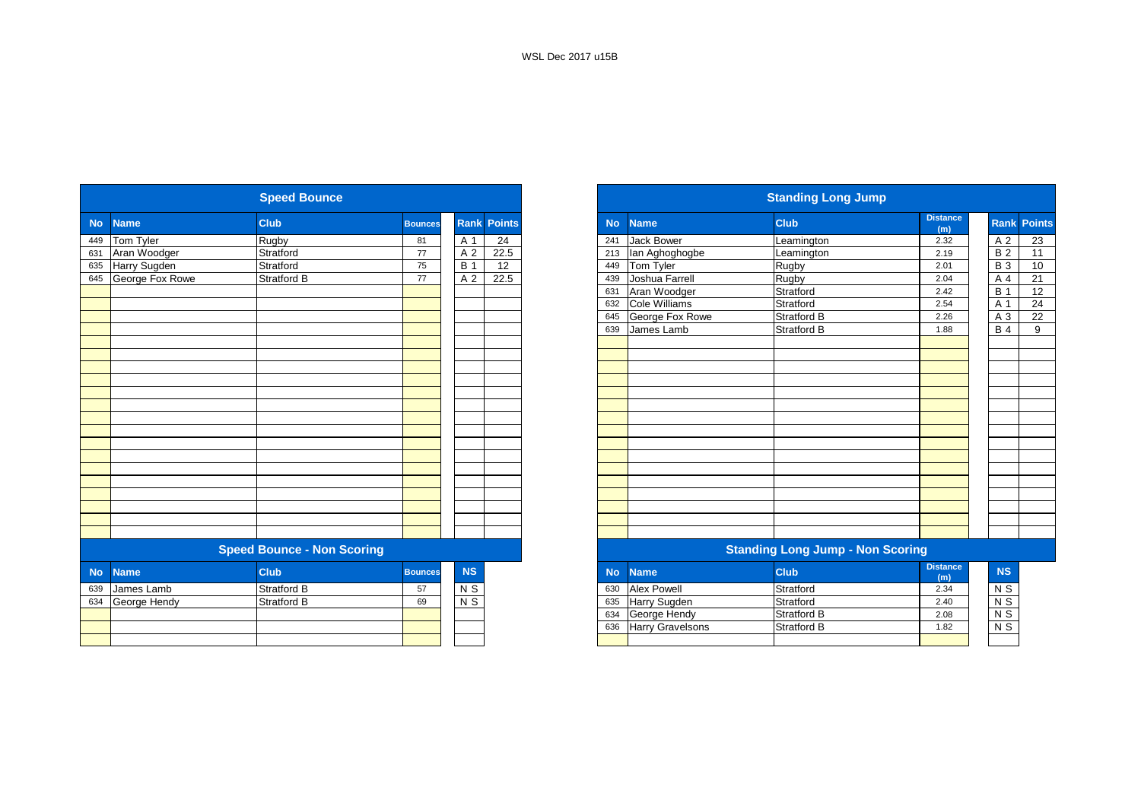|           |                 | <b>Speed Bounce</b>               |                |                 |                    |           |                         | <b>Standing Long Jump</b>               |                        |
|-----------|-----------------|-----------------------------------|----------------|-----------------|--------------------|-----------|-------------------------|-----------------------------------------|------------------------|
| <b>No</b> | <b>Name</b>     | <b>Club</b>                       | <b>Bounces</b> |                 | <b>Rank Points</b> | <b>No</b> | <b>Name</b>             | <b>Club</b>                             | <b>Distance</b><br>(m) |
| 449       | Tom Tyler       | Rugby                             | 81             | A 1             | 24                 | 241       | <b>Jack Bower</b>       | Leamington                              | 2.32                   |
| 631       | Aran Woodger    | Stratford                         | 77             | A <sub>2</sub>  | 22.5               | 213       | lan Aghoghogbe          | Leamington                              | 2.19                   |
| 635       | Harry Sugden    | Stratford                         | 75             | <b>B</b> 1      | 12                 | 449       | Tom Tyler               | Rugby                                   | 2.01                   |
| 645       | George Fox Rowe | Stratford B                       | 77             | A <sub>2</sub>  | 22.5               | 439       | Joshua Farrell          | Rugby                                   | 2.04                   |
|           |                 |                                   |                |                 |                    | 631       | Aran Woodger            | Stratford                               | 2.42                   |
|           |                 |                                   |                |                 |                    | 632       | Cole Williams           | Stratford                               | 2.54                   |
|           |                 |                                   |                |                 |                    | 645       | George Fox Rowe         | <b>Stratford B</b>                      | 2.26                   |
|           |                 |                                   |                |                 |                    | 639       | James Lamb              | Stratford B                             | 1.88                   |
|           |                 |                                   |                |                 |                    |           |                         |                                         |                        |
|           |                 |                                   |                |                 |                    |           |                         |                                         |                        |
|           |                 |                                   |                |                 |                    |           |                         |                                         |                        |
|           |                 |                                   |                |                 |                    |           |                         |                                         |                        |
|           |                 |                                   |                |                 |                    |           |                         |                                         |                        |
|           |                 |                                   |                |                 |                    |           |                         |                                         |                        |
|           |                 |                                   |                |                 |                    |           |                         |                                         |                        |
|           |                 |                                   |                |                 |                    |           |                         |                                         |                        |
|           |                 |                                   |                |                 |                    |           |                         |                                         |                        |
|           |                 |                                   |                |                 |                    |           |                         |                                         |                        |
|           |                 |                                   |                |                 |                    |           |                         |                                         |                        |
|           |                 |                                   |                |                 |                    |           |                         |                                         |                        |
|           |                 |                                   |                |                 |                    |           |                         |                                         |                        |
|           |                 | <b>Speed Bounce - Non Scoring</b> |                |                 |                    |           |                         | <b>Standing Long Jump - Non Scoring</b> |                        |
| <b>No</b> | <b>Name</b>     | <b>Club</b>                       | <b>Bounces</b> | <b>NS</b>       |                    | <b>No</b> | <b>Name</b>             | <b>Club</b>                             | <b>Distance</b><br>(m) |
| 639       | James Lamb      | <b>Stratford B</b>                | 57             | N <sub>S</sub>  |                    | 630       | <b>Alex Powell</b>      | Stratford                               | 2.34                   |
| 634       | George Hendy    | <b>Stratford B</b>                | 69             | $\overline{NS}$ |                    | 635       | Harry Sugden            | Stratford                               | 2.40                   |
|           |                 |                                   |                |                 |                    | 634       | George Hendy            | <b>Stratford B</b>                      | 2.08                   |
|           |                 |                                   |                |                 |                    | 636       | <b>Harry Gravelsons</b> | <b>Stratford B</b>                      | 1.82                   |
|           |                 |                                   |                |                 |                    |           |                         |                                         |                        |

| <b>Distance</b><br><b>Club</b><br><b>Rank Points</b><br><b>Club</b><br><b>No</b><br><b>Name</b><br><b>Bounces</b><br>(m)<br>Jack Bower<br>Rugby<br>24<br>2.32<br>A 1<br>241<br>81<br>Leamington<br>22.5<br>Stratford<br>77<br>lan Aghoghogbe<br>A 2<br>2.19<br>213<br>Leamington<br>12<br>75<br><b>B</b> 1<br>Tom Tyler<br>Stratford<br>Rugby<br>2.01<br>449<br>Joshua Farrell<br>A 2<br>22.5<br>Stratford B<br>Rugby<br>77<br>439<br>2.04<br>Aran Woodger<br>Stratford<br>2.42<br>631<br>Stratford<br><b>Cole Williams</b><br>632<br>2.54<br>Stratford B<br>George Fox Rowe<br>645<br>2.26<br><b>Stratford B</b><br>James Lamb<br>639<br>1.88<br><b>Speed Bounce - Non Scoring</b><br><b>Standing Long Jump - Non Scoring</b><br><b>Distance</b><br><b>Club</b><br><b>NS</b><br><b>Club</b><br><b>Name</b><br><b>Bounces</b><br><b>No</b><br>(m)<br><b>Alex Powell</b><br><b>Stratford B</b><br>$N$ S<br>Stratford<br>57<br>2.34<br>630<br>$N$ S<br>Stratford<br><b>Stratford B</b><br><b>Harry Sugden</b><br>69<br>635<br>2.40<br>George Hendy<br><b>Stratford B</b><br>634<br>2.08<br><b>Stratford B</b><br><b>Harry Gravelsons</b><br>636<br>1.82 |                     | <b>Speed Bounce</b> |  |  |
|-------------------------------------------------------------------------------------------------------------------------------------------------------------------------------------------------------------------------------------------------------------------------------------------------------------------------------------------------------------------------------------------------------------------------------------------------------------------------------------------------------------------------------------------------------------------------------------------------------------------------------------------------------------------------------------------------------------------------------------------------------------------------------------------------------------------------------------------------------------------------------------------------------------------------------------------------------------------------------------------------------------------------------------------------------------------------------------------------------------------------------------------------------|---------------------|---------------------|--|--|
|                                                                                                                                                                                                                                                                                                                                                                                                                                                                                                                                                                                                                                                                                                                                                                                                                                                                                                                                                                                                                                                                                                                                                       | <b>Name</b>         |                     |  |  |
|                                                                                                                                                                                                                                                                                                                                                                                                                                                                                                                                                                                                                                                                                                                                                                                                                                                                                                                                                                                                                                                                                                                                                       | Tom Tyler           |                     |  |  |
|                                                                                                                                                                                                                                                                                                                                                                                                                                                                                                                                                                                                                                                                                                                                                                                                                                                                                                                                                                                                                                                                                                                                                       | Aran Woodger        |                     |  |  |
|                                                                                                                                                                                                                                                                                                                                                                                                                                                                                                                                                                                                                                                                                                                                                                                                                                                                                                                                                                                                                                                                                                                                                       | Harry Sugden        |                     |  |  |
|                                                                                                                                                                                                                                                                                                                                                                                                                                                                                                                                                                                                                                                                                                                                                                                                                                                                                                                                                                                                                                                                                                                                                       | George Fox Rowe     |                     |  |  |
|                                                                                                                                                                                                                                                                                                                                                                                                                                                                                                                                                                                                                                                                                                                                                                                                                                                                                                                                                                                                                                                                                                                                                       |                     |                     |  |  |
|                                                                                                                                                                                                                                                                                                                                                                                                                                                                                                                                                                                                                                                                                                                                                                                                                                                                                                                                                                                                                                                                                                                                                       |                     |                     |  |  |
|                                                                                                                                                                                                                                                                                                                                                                                                                                                                                                                                                                                                                                                                                                                                                                                                                                                                                                                                                                                                                                                                                                                                                       |                     |                     |  |  |
|                                                                                                                                                                                                                                                                                                                                                                                                                                                                                                                                                                                                                                                                                                                                                                                                                                                                                                                                                                                                                                                                                                                                                       |                     |                     |  |  |
|                                                                                                                                                                                                                                                                                                                                                                                                                                                                                                                                                                                                                                                                                                                                                                                                                                                                                                                                                                                                                                                                                                                                                       |                     |                     |  |  |
|                                                                                                                                                                                                                                                                                                                                                                                                                                                                                                                                                                                                                                                                                                                                                                                                                                                                                                                                                                                                                                                                                                                                                       |                     |                     |  |  |
|                                                                                                                                                                                                                                                                                                                                                                                                                                                                                                                                                                                                                                                                                                                                                                                                                                                                                                                                                                                                                                                                                                                                                       |                     |                     |  |  |
|                                                                                                                                                                                                                                                                                                                                                                                                                                                                                                                                                                                                                                                                                                                                                                                                                                                                                                                                                                                                                                                                                                                                                       |                     |                     |  |  |
|                                                                                                                                                                                                                                                                                                                                                                                                                                                                                                                                                                                                                                                                                                                                                                                                                                                                                                                                                                                                                                                                                                                                                       |                     |                     |  |  |
|                                                                                                                                                                                                                                                                                                                                                                                                                                                                                                                                                                                                                                                                                                                                                                                                                                                                                                                                                                                                                                                                                                                                                       |                     |                     |  |  |
|                                                                                                                                                                                                                                                                                                                                                                                                                                                                                                                                                                                                                                                                                                                                                                                                                                                                                                                                                                                                                                                                                                                                                       |                     |                     |  |  |
|                                                                                                                                                                                                                                                                                                                                                                                                                                                                                                                                                                                                                                                                                                                                                                                                                                                                                                                                                                                                                                                                                                                                                       |                     |                     |  |  |
|                                                                                                                                                                                                                                                                                                                                                                                                                                                                                                                                                                                                                                                                                                                                                                                                                                                                                                                                                                                                                                                                                                                                                       |                     |                     |  |  |
|                                                                                                                                                                                                                                                                                                                                                                                                                                                                                                                                                                                                                                                                                                                                                                                                                                                                                                                                                                                                                                                                                                                                                       |                     |                     |  |  |
|                                                                                                                                                                                                                                                                                                                                                                                                                                                                                                                                                                                                                                                                                                                                                                                                                                                                                                                                                                                                                                                                                                                                                       |                     |                     |  |  |
|                                                                                                                                                                                                                                                                                                                                                                                                                                                                                                                                                                                                                                                                                                                                                                                                                                                                                                                                                                                                                                                                                                                                                       |                     |                     |  |  |
|                                                                                                                                                                                                                                                                                                                                                                                                                                                                                                                                                                                                                                                                                                                                                                                                                                                                                                                                                                                                                                                                                                                                                       |                     |                     |  |  |
|                                                                                                                                                                                                                                                                                                                                                                                                                                                                                                                                                                                                                                                                                                                                                                                                                                                                                                                                                                                                                                                                                                                                                       |                     |                     |  |  |
|                                                                                                                                                                                                                                                                                                                                                                                                                                                                                                                                                                                                                                                                                                                                                                                                                                                                                                                                                                                                                                                                                                                                                       |                     |                     |  |  |
|                                                                                                                                                                                                                                                                                                                                                                                                                                                                                                                                                                                                                                                                                                                                                                                                                                                                                                                                                                                                                                                                                                                                                       |                     |                     |  |  |
|                                                                                                                                                                                                                                                                                                                                                                                                                                                                                                                                                                                                                                                                                                                                                                                                                                                                                                                                                                                                                                                                                                                                                       |                     |                     |  |  |
|                                                                                                                                                                                                                                                                                                                                                                                                                                                                                                                                                                                                                                                                                                                                                                                                                                                                                                                                                                                                                                                                                                                                                       | <b>Name</b>         |                     |  |  |
|                                                                                                                                                                                                                                                                                                                                                                                                                                                                                                                                                                                                                                                                                                                                                                                                                                                                                                                                                                                                                                                                                                                                                       | James Lamb          |                     |  |  |
|                                                                                                                                                                                                                                                                                                                                                                                                                                                                                                                                                                                                                                                                                                                                                                                                                                                                                                                                                                                                                                                                                                                                                       | 634<br>George Hendy |                     |  |  |
|                                                                                                                                                                                                                                                                                                                                                                                                                                                                                                                                                                                                                                                                                                                                                                                                                                                                                                                                                                                                                                                                                                                                                       |                     |                     |  |  |
|                                                                                                                                                                                                                                                                                                                                                                                                                                                                                                                                                                                                                                                                                                                                                                                                                                                                                                                                                                                                                                                                                                                                                       |                     |                     |  |  |
|                                                                                                                                                                                                                                                                                                                                                                                                                                                                                                                                                                                                                                                                                                                                                                                                                                                                                                                                                                                                                                                                                                                                                       |                     |                     |  |  |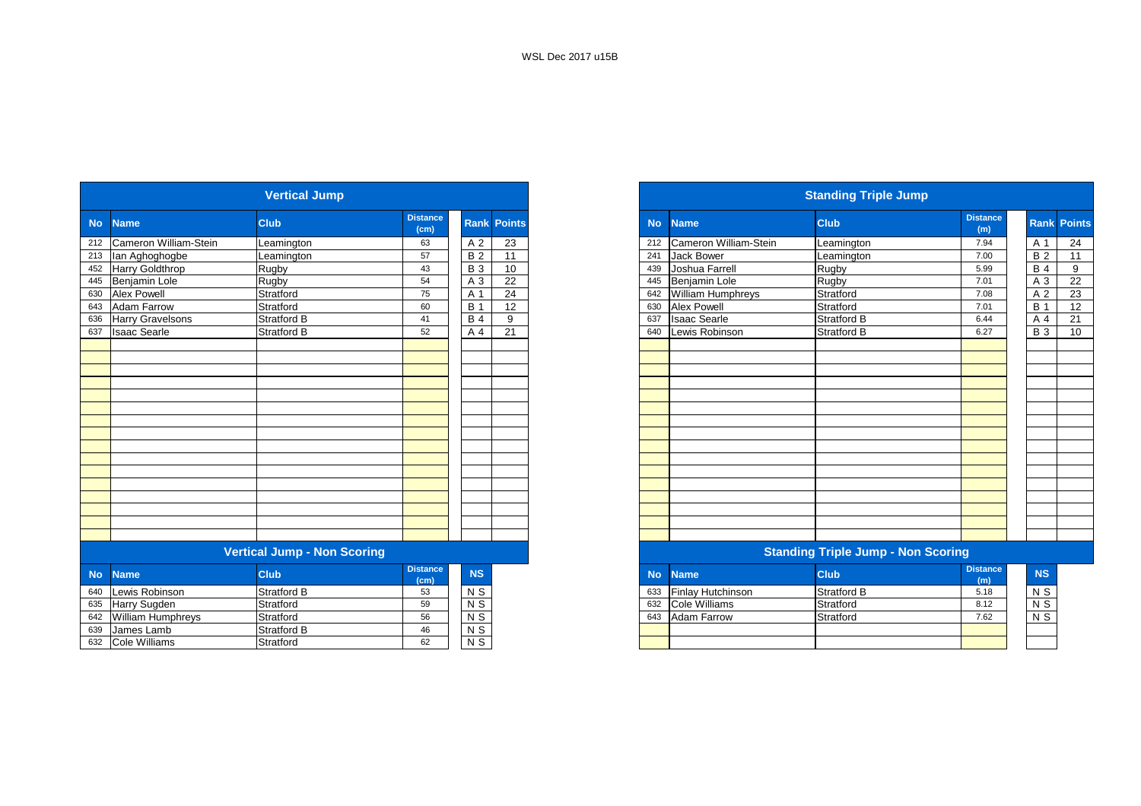|           |                          | <b>Vertical Jump</b>               |                         | <b>Standing Triple Jump</b> |                 |  |  |  |  |  |  |
|-----------|--------------------------|------------------------------------|-------------------------|-----------------------------|-----------------|--|--|--|--|--|--|
| <b>No</b> | <b>Name</b>              | <b>Club</b>                        | <b>Distance</b><br>(cm) | Rank                        | <b>Points</b>   |  |  |  |  |  |  |
| 212       | Cameron William-Stein    | Leamington                         | 63                      | A 2                         | $\overline{23}$ |  |  |  |  |  |  |
| 213       | lan Aghoghogbe           | Leamington                         | 57                      | <b>B2</b>                   | 11              |  |  |  |  |  |  |
| 452       | Harry Goldthrop          | Rugby                              | 43                      | <b>B</b> 3                  | 10              |  |  |  |  |  |  |
| 445       | Benjamin Lole            | Rugby                              | 54                      | A 3                         | 22              |  |  |  |  |  |  |
| 630       | <b>Alex Powell</b>       | Stratford                          | 75                      | A 1                         | 24              |  |  |  |  |  |  |
| 643       | <b>Adam Farrow</b>       | Stratford                          | 60                      | <b>B</b> 1                  | 12              |  |  |  |  |  |  |
| 636       | Harry Gravelsons         | Stratford B                        | 41                      | <b>B</b> 4                  | 9               |  |  |  |  |  |  |
| 637       | <b>Isaac Searle</b>      | Stratford B                        | 52                      | A 4                         | 21              |  |  |  |  |  |  |
|           |                          |                                    |                         |                             |                 |  |  |  |  |  |  |
|           |                          |                                    |                         |                             |                 |  |  |  |  |  |  |
|           |                          |                                    |                         |                             |                 |  |  |  |  |  |  |
|           |                          |                                    |                         |                             |                 |  |  |  |  |  |  |
|           |                          |                                    |                         |                             |                 |  |  |  |  |  |  |
|           |                          |                                    |                         |                             |                 |  |  |  |  |  |  |
|           |                          |                                    |                         |                             |                 |  |  |  |  |  |  |
|           |                          |                                    |                         |                             |                 |  |  |  |  |  |  |
|           |                          |                                    |                         |                             |                 |  |  |  |  |  |  |
|           |                          |                                    |                         |                             |                 |  |  |  |  |  |  |
|           |                          |                                    |                         |                             |                 |  |  |  |  |  |  |
|           |                          |                                    |                         |                             |                 |  |  |  |  |  |  |
|           |                          |                                    |                         |                             |                 |  |  |  |  |  |  |
|           |                          |                                    |                         |                             |                 |  |  |  |  |  |  |
|           |                          |                                    |                         |                             |                 |  |  |  |  |  |  |
|           |                          |                                    |                         |                             |                 |  |  |  |  |  |  |
|           |                          | <b>Vertical Jump - Non Scoring</b> |                         |                             |                 |  |  |  |  |  |  |
| <b>No</b> | <b>Name</b>              | <b>Club</b>                        | <b>Distance</b><br>(cm) | <b>NS</b>                   |                 |  |  |  |  |  |  |
| 640       | Lewis Robinson           | <b>Stratford B</b>                 | 53                      | $N$ S                       |                 |  |  |  |  |  |  |
| 635       | Harry Sugden             | Stratford                          | 59                      | $N$ S                       |                 |  |  |  |  |  |  |
| 642       | <b>William Humphreys</b> | Stratford                          | 56                      | $N$ S                       |                 |  |  |  |  |  |  |
| 639       | James Lamb               | Stratford B                        | 46                      | $N$ S                       |                 |  |  |  |  |  |  |
|           | 632 Cole Williams        | Stratford                          | 62                      | $N$ S                       |                 |  |  |  |  |  |  |

| <b>Vertical Jump</b> |                           |                             |                         |            |                    | <b>Standing Triple Jump</b> |                           |                                           |                        |            |                    |
|----------------------|---------------------------|-----------------------------|-------------------------|------------|--------------------|-----------------------------|---------------------------|-------------------------------------------|------------------------|------------|--------------------|
|                      | No Name                   | <b>Club</b>                 | <b>Distance</b><br>(cm) |            | <b>Rank Points</b> | <b>No</b>                   | <b>Name</b>               | <b>Club</b>                               | <b>Distance</b><br>(m) |            | <b>Rank Points</b> |
|                      | 212 Cameron William-Stein | Leamington                  | 63                      | A 2        | 23                 |                             | 212 Cameron William-Stein | Leamington                                | 7.94                   | A 1        | 24                 |
|                      | 213 Ian Aghoghogbe        | Leamington                  | 57                      | <b>B2</b>  | 11                 | 241                         | <b>Jack Bower</b>         | Leamington                                | 7.00                   | <b>B2</b>  | 11                 |
|                      | 452 Harry Goldthrop       | Rugby                       | 43                      | <b>B</b> 3 | 10                 | 439                         | Joshua Farrell            | Rugby                                     | 5.99                   | <b>B</b> 4 | 9                  |
|                      | 445 Benjamin Lole         | Rugby                       | 54                      | A 3        | 22                 | 445                         | Benjamin Lole             | Rugby                                     | 7.01                   | A 3        | 22                 |
| 630                  | <b>Alex Powell</b>        | Stratford                   | 75                      | A 1        | 24                 |                             | 642 William Humphreys     | Stratford                                 | 7.08                   | A 2        | 23                 |
|                      | 643 Adam Farrow           | Stratford                   | 60                      | <b>B</b> 1 | 12                 | 630                         | <b>Alex Powell</b>        | Stratford                                 | 7.01                   | <b>B</b> 1 | 12                 |
|                      | 636 Harry Gravelsons      | <b>Stratford B</b>          | 41                      | <b>B</b> 4 | 9                  | 637                         | <b>Isaac Searle</b>       | <b>Stratford B</b>                        | 6.44                   | A 4        | 21                 |
|                      | 637 Isaac Searle          | <b>Stratford B</b>          | 52                      | A 4        | 21                 | 640                         | Lewis Robinson            | <b>Stratford B</b>                        | 6.27                   | <b>B</b> 3 | 10                 |
|                      |                           |                             |                         |            |                    |                             |                           |                                           |                        |            |                    |
|                      |                           |                             |                         |            |                    |                             |                           |                                           |                        |            |                    |
|                      |                           |                             |                         |            |                    |                             |                           |                                           |                        |            |                    |
|                      |                           |                             |                         |            |                    |                             |                           |                                           |                        |            |                    |
|                      |                           |                             |                         |            |                    |                             |                           |                                           |                        |            |                    |
|                      |                           |                             |                         |            |                    |                             |                           |                                           |                        |            |                    |
|                      |                           |                             |                         |            |                    |                             |                           |                                           |                        |            |                    |
|                      |                           |                             |                         |            |                    |                             |                           |                                           |                        |            |                    |
|                      |                           |                             |                         |            |                    |                             |                           |                                           |                        |            |                    |
|                      |                           |                             |                         |            |                    |                             |                           |                                           |                        |            |                    |
|                      |                           |                             |                         |            |                    |                             |                           |                                           |                        |            |                    |
|                      |                           |                             |                         |            |                    |                             |                           |                                           |                        |            |                    |
|                      |                           |                             |                         |            |                    |                             |                           |                                           |                        |            |                    |
|                      |                           |                             |                         |            |                    |                             |                           |                                           |                        |            |                    |
|                      |                           |                             |                         |            |                    |                             |                           |                                           |                        |            |                    |
|                      |                           |                             |                         |            |                    |                             |                           |                                           |                        |            |                    |
|                      |                           | Vertical Jumn - Non Scoring |                         |            |                    |                             |                           | <b>Standing Trinle Jumn - Non Scoring</b> |                        |            |                    |

|               |                |           |                          | the contract of the contract of the contract of the contract of the contract of the contract of the contract of |                        |
|---------------|----------------|-----------|--------------------------|-----------------------------------------------------------------------------------------------------------------|------------------------|
| <b>stance</b> | <b>NS</b>      | <b>No</b> | ⊾Name \                  | <b>Club</b>                                                                                                     | <b>Distance</b><br>(m) |
|               | N <sub>S</sub> | 633       | <b>Finlay Hutchinson</b> | <b>Stratford B</b>                                                                                              | 5.18                   |
|               | N <sub>S</sub> | 632       | Cole Williams            | Stratford                                                                                                       | 8.12                   |
|               | N <sub>S</sub> | 643       | <b>Adam Farrow</b>       | Stratford                                                                                                       | 7.62                   |
|               | N <sub>S</sub> |           |                          |                                                                                                                 |                        |
|               | $\mathbf{M}$   |           |                          |                                                                                                                 |                        |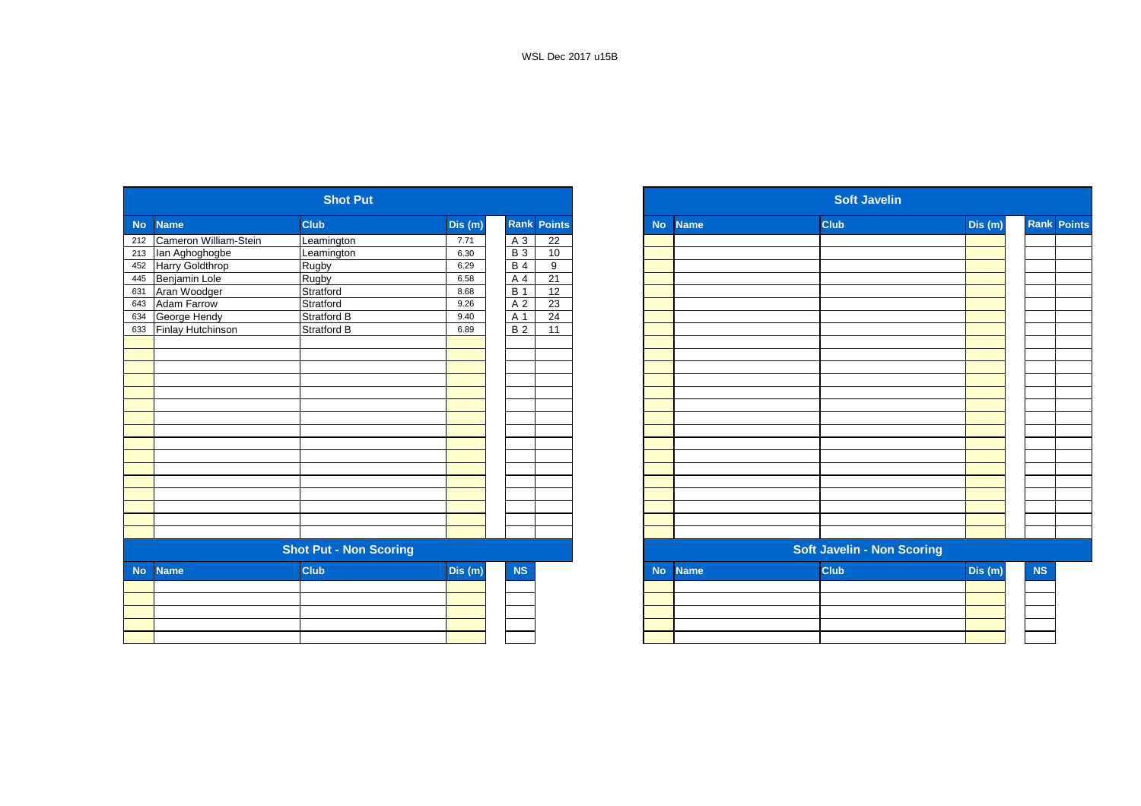|                |                       | <b>Shot Put</b>               |         |            |                    |
|----------------|-----------------------|-------------------------------|---------|------------|--------------------|
| N <sub>O</sub> | <b>Name</b>           | <b>Club</b>                   | Dis(m)  |            | <b>Rank Points</b> |
| 212            | Cameron William-Stein | Leamington                    | 7.71    | A 3        | 22                 |
|                | 213 Ian Aghoghogbe    | Leamington                    | 6.30    | <b>B3</b>  | 10                 |
| 452            | Harry Goldthrop       | Rugby                         | 6.29    | <b>B4</b>  | 9                  |
| 445            | Benjamin Lole         | <b>Rugby</b>                  | 6.58    | A 4        | 21                 |
| 631            | Aran Woodger          | Stratford                     | 8.68    | <b>B</b> 1 | 12                 |
| 643            | Adam Farrow           | Stratford                     | 9.26    | A 2        | 23                 |
| 634            | George Hendy          | Stratford B                   | 9.40    | A 1        | 24                 |
| 633            | Finlay Hutchinson     | <b>Stratford B</b>            | 6.89    | <b>B2</b>  | 11                 |
|                |                       |                               |         |            |                    |
|                |                       |                               |         |            |                    |
|                |                       |                               |         |            |                    |
|                |                       |                               |         |            |                    |
|                |                       |                               |         |            |                    |
|                |                       |                               |         |            |                    |
|                |                       |                               |         |            |                    |
|                |                       |                               |         |            |                    |
|                |                       |                               |         |            |                    |
|                |                       |                               |         |            |                    |
|                |                       |                               |         |            |                    |
|                |                       |                               |         |            |                    |
|                |                       |                               |         |            |                    |
|                |                       |                               |         |            |                    |
|                |                       |                               |         |            |                    |
|                |                       |                               |         |            |                    |
|                |                       | <b>Shot Put - Non Scoring</b> |         |            |                    |
| <b>No</b>      | <b>Name</b>           | <b>Club</b>                   | Dis (m) | NS         |                    |
|                |                       |                               |         |            |                    |
|                |                       |                               |         |            |                    |
|                |                       |                               |         |            |                    |
|                |                       |                               |         |            |                    |
|                |                       |                               |         |            |                    |
|                |                       |                               |         |            |                    |

|                          |                        | <b>Shot Put</b>               |        |            |                        |           |             | <b>Soft Javelin</b>               |        |                    |
|--------------------------|------------------------|-------------------------------|--------|------------|------------------------|-----------|-------------|-----------------------------------|--------|--------------------|
|                          | <b>Name</b>            | <b>Club</b>                   | Dis(m) |            | Rank<br><b>Points</b>  | <b>No</b> | <b>Name</b> | <b>Club</b>                       | Dis(m) | <b>Rank Points</b> |
|                          | Cameron William-Stein  | Leamington                    | 7.71   |            | $\overline{22}$<br>A 3 |           |             |                                   |        |                    |
|                          | lan Aghoghogbe         | Leamington                    | 6.30   |            | <b>B</b> 3<br>10       |           |             |                                   |        |                    |
|                          | <b>Harry Goldthrop</b> | Rugby                         | 6.29   |            | <b>B</b> 4<br>9        |           |             |                                   |        |                    |
|                          | Benjamin Lole          | Rugby                         | 6.58   |            | 21<br>A 4              |           |             |                                   |        |                    |
|                          | Aran Woodger           | Stratford                     | 8.68   | <b>B</b> 1 | 12                     |           |             |                                   |        |                    |
|                          | <b>Adam Farrow</b>     | Stratford                     | 9.26   |            | $\overline{23}$<br>A 2 |           |             |                                   |        |                    |
|                          | George Hendy           | <b>Stratford B</b>            | 9.40   |            | 24<br>A 1              |           |             |                                   |        |                    |
|                          | Finlay Hutchinson      | <b>Stratford B</b>            | 6.89   |            | B <sub>2</sub><br>11   |           |             |                                   |        |                    |
|                          |                        |                               |        |            |                        |           |             |                                   |        |                    |
|                          |                        |                               |        |            |                        |           |             |                                   |        |                    |
|                          |                        |                               |        |            |                        |           |             |                                   |        |                    |
|                          |                        |                               |        |            |                        |           |             |                                   |        |                    |
|                          |                        |                               |        |            |                        |           |             |                                   |        |                    |
|                          |                        |                               |        |            |                        |           |             |                                   |        |                    |
|                          |                        |                               |        |            |                        |           |             |                                   |        |                    |
|                          |                        |                               |        |            |                        |           |             |                                   |        |                    |
|                          |                        |                               |        |            |                        |           |             |                                   |        |                    |
|                          |                        |                               |        |            |                        |           |             |                                   |        |                    |
|                          |                        |                               |        |            |                        |           |             |                                   |        |                    |
|                          |                        |                               |        |            |                        |           |             |                                   |        |                    |
|                          |                        |                               |        |            |                        |           |             |                                   |        |                    |
|                          |                        |                               |        |            |                        |           |             |                                   |        |                    |
|                          |                        |                               |        |            |                        |           |             |                                   |        |                    |
|                          |                        |                               |        |            |                        |           |             |                                   |        |                    |
|                          |                        | <b>Shot Put - Non Scoring</b> |        |            |                        |           |             | <b>Soft Javelin - Non Scoring</b> |        |                    |
| <b>No</b><br><b>Name</b> |                        | <b>Club</b>                   | Dis(m) |            | NS                     | <b>No</b> | <b>Name</b> | <b>Club</b>                       | Dis(m) |                    |
|                          |                        |                               |        |            |                        |           |             |                                   |        |                    |
|                          |                        |                               |        |            |                        |           |             |                                   |        |                    |
|                          |                        |                               |        |            |                        |           |             |                                   |        |                    |
|                          |                        |                               |        |            |                        |           |             |                                   |        |                    |
|                          |                        |                               |        |            |                        |           |             |                                   |        |                    |